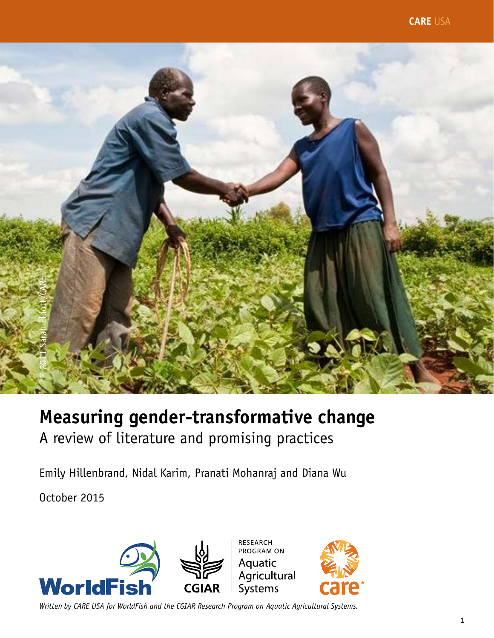

# **Measuring gender-transformative change** A review of literature and promising practices

Emily Hillenbrand, Nidal Karim, Pranati Mohanraj and Diana Wu

October 2015

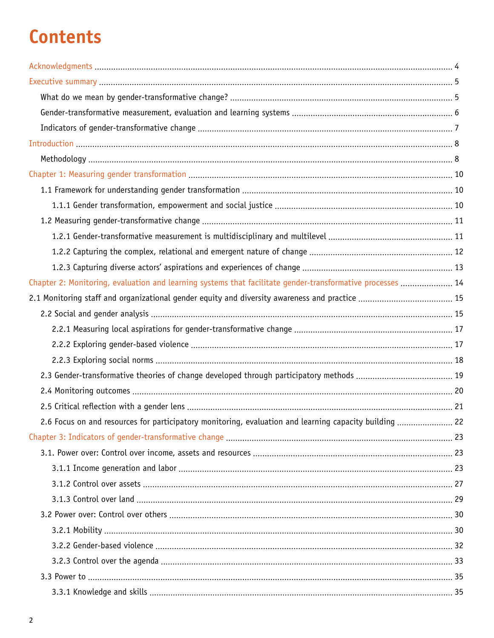# **Contents**

| Chapter 2: Monitoring, evaluation and learning systems that facilitate gender-transformative processes  14 |  |
|------------------------------------------------------------------------------------------------------------|--|
|                                                                                                            |  |
|                                                                                                            |  |
|                                                                                                            |  |
|                                                                                                            |  |
|                                                                                                            |  |
|                                                                                                            |  |
|                                                                                                            |  |
|                                                                                                            |  |
| 2.6 Focus on and resources for participatory monitoring, evaluation and learning capacity building  22     |  |
|                                                                                                            |  |
|                                                                                                            |  |
|                                                                                                            |  |
|                                                                                                            |  |
|                                                                                                            |  |
|                                                                                                            |  |
|                                                                                                            |  |
|                                                                                                            |  |
|                                                                                                            |  |
|                                                                                                            |  |
|                                                                                                            |  |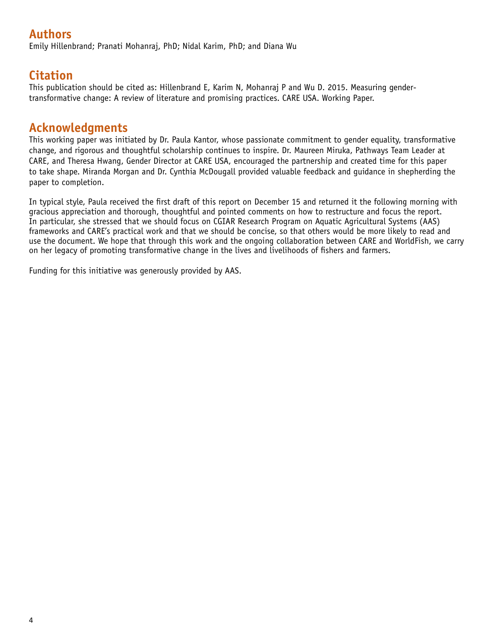# **Authors**

Emily Hillenbrand; Pranati Mohanraj, PhD; Nidal Karim, PhD; and Diana Wu

# **Citation**

This publication should be cited as: Hillenbrand E, Karim N, Mohanraj P and Wu D. 2015. Measuring gendertransformative change: A review of literature and promising practices. CARE USA. Working Paper.

### **Acknowledgments**

This working paper was initiated by Dr. Paula Kantor, whose passionate commitment to gender equality, transformative change, and rigorous and thoughtful scholarship continues to inspire. Dr. Maureen Miruka, Pathways Team Leader at CARE, and Theresa Hwang, Gender Director at CARE USA, encouraged the partnership and created time for this paper to take shape. Miranda Morgan and Dr. Cynthia McDougall provided valuable feedback and guidance in shepherding the paper to completion.

In typical style, Paula received the first draft of this report on December 15 and returned it the following morning with gracious appreciation and thorough, thoughtful and pointed comments on how to restructure and focus the report. In particular, she stressed that we should focus on CGIAR Research Program on Aquatic Agricultural Systems (AAS) frameworks and CARE's practical work and that we should be concise, so that others would be more likely to read and use the document. We hope that through this work and the ongoing collaboration between CARE and WorldFish, we carry on her legacy of promoting transformative change in the lives and livelihoods of fishers and farmers.

Funding for this initiative was generously provided by AAS.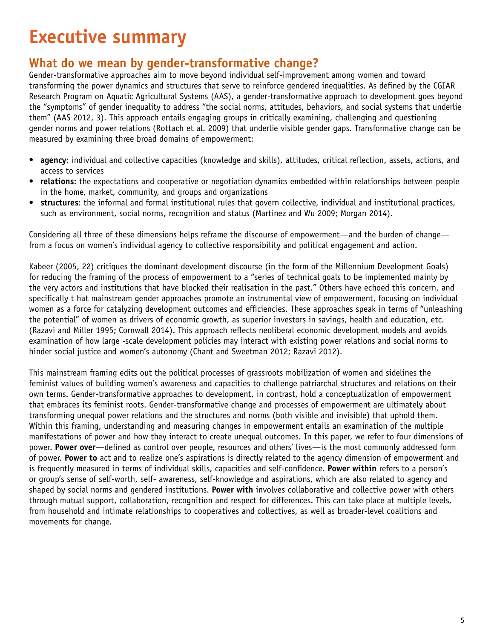# **Executive summary**

## **What do we mean by gender-transformative change?**

Gender-transformative approaches aim to move beyond individual self-improvement among women and toward transforming the power dynamics and structures that serve to reinforce gendered inequalities. As defined by the CGIAR Research Program on Aquatic Agricultural Systems (AAS), a gender-transformative approach to development goes beyond the "symptoms" of gender inequality to address "the social norms, attitudes, behaviors, and social systems that underlie them" (AAS 2012, 3). This approach entails engaging groups in critically examining, challenging and questioning gender norms and power relations (Rottach et al. 2009) that underlie visible gender gaps. Transformative change can be measured by examining three broad domains of empowerment:

- **• agency**: individual and collective capacities (knowledge and skills), attitudes, critical reflection, assets, actions, and access to services
- **• relations**: the expectations and cooperative or negotiation dynamics embedded within relationships between people in the home, market, community, and groups and organizations
- **• structures**: the informal and formal institutional rules that govern collective, individual and institutional practices, such as environment, social norms, recognition and status (Martinez and Wu 2009; Morgan 2014).

Considering all three of these dimensions helps reframe the discourse of empowerment—and the burden of change from a focus on women's individual agency to collective responsibility and political engagement and action.

Kabeer (2005, 22) critiques the dominant development discourse (in the form of the Millennium Development Goals) for reducing the framing of the process of empowerment to a "series of technical goals to be implemented mainly by the very actors and institutions that have blocked their realisation in the past." Others have echoed this concern, and specifically t hat mainstream gender approaches promote an instrumental view of empowerment, focusing on individual women as a force for catalyzing development outcomes and efficiencies. These approaches speak in terms of "unleashing the potential" of women as drivers of economic growth, as superior investors in savings, health and education, etc. (Razavi and Miller 1995; Cornwall 2014). This approach reflects neoliberal economic development models and avoids examination of how large -scale development policies may interact with existing power relations and social norms to hinder social justice and women's autonomy (Chant and Sweetman 2012; Razavi 2012).

This mainstream framing edits out the political processes of grassroots mobilization of women and sidelines the feminist values of building women's awareness and capacities to challenge patriarchal structures and relations on their own terms. Gender-transformative approaches to development, in contrast, hold a conceptualization of empowerment that embraces its feminist roots. Gender-transformative change and processes of empowerment are ultimately about transforming unequal power relations and the structures and norms (both visible and invisible) that uphold them. Within this framing, understanding and measuring changes in empowerment entails an examination of the multiple manifestations of power and how they interact to create unequal outcomes. In this paper, we refer to four dimensions of power. **Power over**—defined as control over people, resources and others' lives—is the most commonly addressed form of power. **Power to** act and to realize one's aspirations is directly related to the agency dimension of empowerment and is frequently measured in terms of individual skills, capacities and self-confidence. **Power within** refers to a person's or group's sense of self-worth, self- awareness, self-knowledge and aspirations, which are also related to agency and shaped by social norms and gendered institutions. **Power with** involves collaborative and collective power with others through mutual support, collaboration, recognition and respect for differences. This can take place at multiple levels, from household and intimate relationships to cooperatives and collectives, as well as broader-level coalitions and movements for change.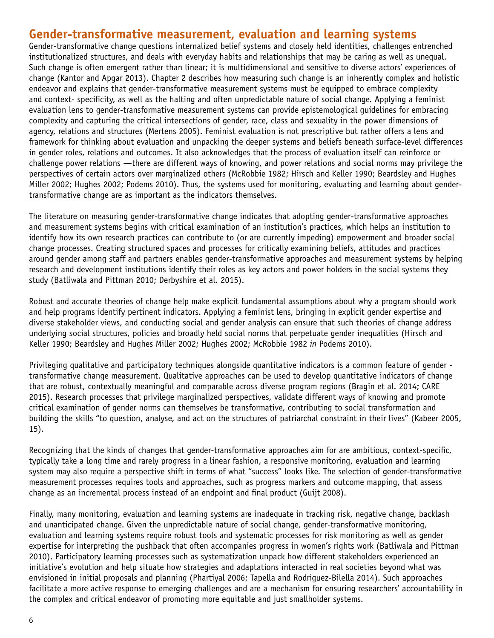### **Gender-transformative measurement, evaluation and learning systems**

Gender-transformative change questions internalized belief systems and closely held identities, challenges entrenched institutionalized structures, and deals with everyday habits and relationships that may be caring as well as unequal. Such change is often emergent rather than linear; it is multidimensional and sensitive to diverse actors' experiences of change (Kantor and Apgar 2013). Chapter 2 describes how measuring such change is an inherently complex and holistic endeavor and explains that gender-transformative measurement systems must be equipped to embrace complexity and context- specificity, as well as the halting and often unpredictable nature of social change. Applying a feminist evaluation lens to gender-transformative measurement systems can provide epistemological guidelines for embracing complexity and capturing the critical intersections of gender, race, class and sexuality in the power dimensions of agency, relations and structures (Mertens 2005). Feminist evaluation is not prescriptive but rather offers a lens and framework for thinking about evaluation and unpacking the deeper systems and beliefs beneath surface-level differences in gender roles, relations and outcomes. It also acknowledges that the process of evaluation itself can reinforce or challenge power relations —there are different ways of knowing, and power relations and social norms may privilege the perspectives of certain actors over marginalized others (McRobbie 1982; Hirsch and Keller 1990; Beardsley and Hughes Miller 2002; Hughes 2002; Podems 2010). Thus, the systems used for monitoring, evaluating and learning about gendertransformative change are as important as the indicators themselves.

The literature on measuring gender-transformative change indicates that adopting gender-transformative approaches and measurement systems begins with critical examination of an institution's practices, which helps an institution to identify how its own research practices can contribute to (or are currently impeding) empowerment and broader social change processes. Creating structured spaces and processes for critically examining beliefs, attitudes and practices around gender among staff and partners enables gender-transformative approaches and measurement systems by helping research and development institutions identify their roles as key actors and power holders in the social systems they study (Batliwala and Pittman 2010; Derbyshire et al. 2015).

Robust and accurate theories of change help make explicit fundamental assumptions about why a program should work and help programs identify pertinent indicators. Applying a feminist lens, bringing in explicit gender expertise and diverse stakeholder views, and conducting social and gender analysis can ensure that such theories of change address underlying social structures, policies and broadly held social norms that perpetuate gender inequalities (Hirsch and Keller 1990; Beardsley and Hughes Miller 2002; Hughes 2002; McRobbie 1982 *in* Podems 2010).

Privileging qualitative and participatory techniques alongside quantitative indicators is a common feature of gender transformative change measurement. Qualitative approaches can be used to develop quantitative indicators of change that are robust, contextually meaningful and comparable across diverse program regions (Bragin et al. 2014; CARE 2015). Research processes that privilege marginalized perspectives, validate different ways of knowing and promote critical examination of gender norms can themselves be transformative, contributing to social transformation and building the skills "to question, analyse, and act on the structures of patriarchal constraint in their lives" (Kabeer 2005, 15).

Recognizing that the kinds of changes that gender-transformative approaches aim for are ambitious, context-specific, typically take a long time and rarely progress in a linear fashion, a responsive monitoring, evaluation and learning system may also require a perspective shift in terms of what "success" looks like. The selection of gender-transformative measurement processes requires tools and approaches, such as progress markers and outcome mapping, that assess change as an incremental process instead of an endpoint and final product (Guijt 2008).

Finally, many monitoring, evaluation and learning systems are inadequate in tracking risk, negative change, backlash and unanticipated change. Given the unpredictable nature of social change, gender-transformative monitoring, evaluation and learning systems require robust tools and systematic processes for risk monitoring as well as gender expertise for interpreting the pushback that often accompanies progress in women's rights work (Batliwala and Pittman 2010). Participatory learning processes such as systematization unpack how different stakeholders experienced an initiative's evolution and help situate how strategies and adaptations interacted in real societies beyond what was envisioned in initial proposals and planning (Phartiyal 2006; Tapella and Rodriguez-Bilella 2014). Such approaches facilitate a more active response to emerging challenges and are a mechanism for ensuring researchers' accountability in the complex and critical endeavor of promoting more equitable and just smallholder systems.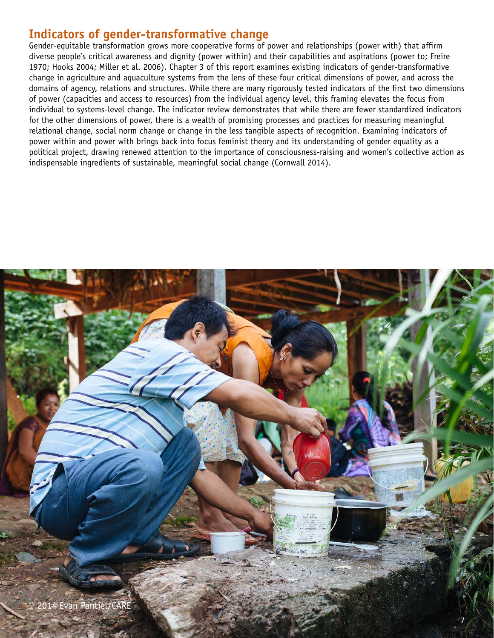# **Indicators of gender-transformative change**

Gender-equitable transformation grows more cooperative forms of power and relationships (power with) that affirm diverse people's critical awareness and dignity (power within) and their capabilities and aspirations (power to; Freire 1970; Hooks 2004; Miller et al. 2006). Chapter 3 of this report examines existing indicators of gender-transformative change in agriculture and aquaculture systems from the lens of these four critical dimensions of power, and across the domains of agency, relations and structures. While there are many rigorously tested indicators of the first two dimensions of power (capacities and access to resources) from the individual agency level, this framing elevates the focus from individual to systems-level change. The indicator review demonstrates that while there are fewer standardized indicators for the other dimensions of power, there is a wealth of promising processes and practices for measuring meaningful relational change, social norm change or change in the less tangible aspects of recognition. Examining indicators of power within and power with brings back into focus feminist theory and its understanding of gender equality as a political project, drawing renewed attention to the importance of consciousness-raising and women's collective action as indispensable ingredients of sustainable, meaningful social change (Cornwall 2014).

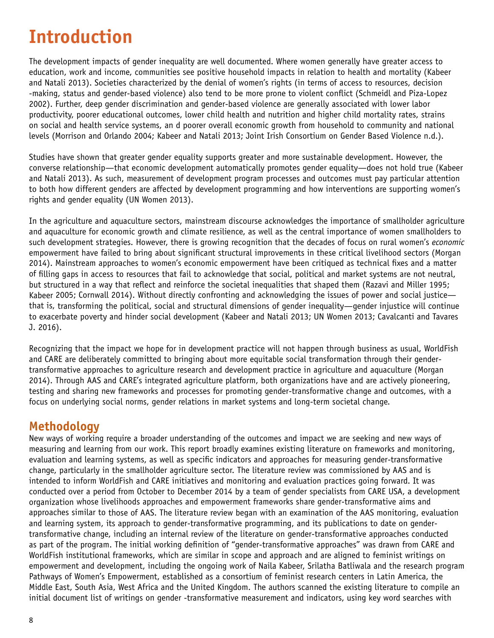# **Introduction**

The development impacts of gender inequality are well documented. Where women generally have greater access to education, work and income, communities see positive household impacts in relation to health and mortality (Kabeer and Natali 2013). Societies characterized by the denial of women's rights (in terms of access to resources, decision -making, status and gender-based violence) also tend to be more prone to violent conflict (Schmeidl and Piza-Lopez 2002). Further, deep gender discrimination and gender-based violence are generally associated with lower labor productivity, poorer educational outcomes, lower child health and nutrition and higher child mortality rates, strains on social and health service systems, an d poorer overall economic growth from household to community and national levels (Morrison and Orlando 2004; Kabeer and Natali 2013; Joint Irish Consortium on Gender Based Violence n.d.).

Studies have shown that greater gender equality supports greater and more sustainable development. However, the converse relationship—that economic development automatically promotes gender equality—does not hold true (Kabeer and Natali 2013). As such, measurement of development program processes and outcomes must pay particular attention to both how different genders are affected by development programming and how interventions are supporting women's rights and gender equality (UN Women 2013).

In the agriculture and aquaculture sectors, mainstream discourse acknowledges the importance of smallholder agriculture and aquaculture for economic growth and climate resilience, as well as the central importance of women smallholders to such development strategies. However, there is growing recognition that the decades of focus on rural women's *economic* empowerment have failed to bring about significant structural improvements in these critical livelihood sectors (Morgan 2014). Mainstream approaches to women's economic empowerment have been critiqued as technical fixes and a matter of filling gaps in access to resources that fail to acknowledge that social, political and market systems are not neutral, but structured in a way that reflect and reinforce the societal inequalities that shaped them (Razavi and Miller 1995; Kabeer 2005; Cornwall 2014). Without directly confronting and acknowledging the issues of power and social justice that is, transforming the political, social and structural dimensions of gender inequality—gender injustice will continue to exacerbate poverty and hinder social development (Kabeer and Natali 2013; UN Women 2013; Cavalcanti and Tavares J. 2016).

Recognizing that the impact we hope for in development practice will not happen through business as usual, WorldFish and CARE are deliberately committed to bringing about more equitable social transformation through their gendertransformative approaches to agriculture research and development practice in agriculture and aquaculture (Morgan 2014). Through AAS and CARE's integrated agriculture platform, both organizations have and are actively pioneering, testing and sharing new frameworks and processes for promoting gender-transformative change and outcomes, with a focus on underlying social norms, gender relations in market systems and long-term societal change.

### **Methodology**

New ways of working require a broader understanding of the outcomes and impact we are seeking and new ways of measuring and learning from our work. This report broadly examines existing literature on frameworks and monitoring, evaluation and learning systems, as well as specific indicators and approaches for measuring gender-transformative change, particularly in the smallholder agriculture sector. The literature review was commissioned by AAS and is intended to inform WorldFish and CARE initiatives and monitoring and evaluation practices going forward. It was conducted over a period from October to December 2014 by a team of gender specialists from CARE USA, a development organization whose livelihoods approaches and empowerment frameworks share gender-transformative aims and approaches similar to those of AAS. The literature review began with an examination of the AAS monitoring, evaluation and learning system, its approach to gender-transformative programming, and its publications to date on gendertransformative change, including an internal review of the literature on gender-transformative approaches conducted as part of the program. The initial working definition of "gender-transformative approaches" was drawn from CARE and WorldFish institutional frameworks, which are similar in scope and approach and are aligned to feminist writings on empowerment and development, including the ongoing work of Naila Kabeer, Srilatha Batliwala and the research program Pathways of Women's Empowerment, established as a consortium of feminist research centers in Latin America, the Middle East, South Asia, West Africa and the United Kingdom. The authors scanned the existing literature to compile an initial document list of writings on gender -transformative measurement and indicators, using key word searches with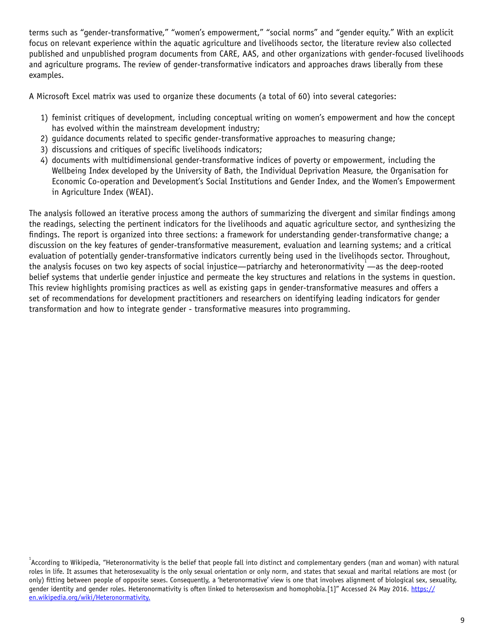terms such as "gender-transformative," "women's empowerment," "social norms" and "gender equity." With an explicit focus on relevant experience within the aquatic agriculture and livelihoods sector, the literature review also collected published and unpublished program documents from CARE, AAS, and other organizations with gender-focused livelihoods and agriculture programs. The review of gender-transformative indicators and approaches draws liberally from these examples.

A Microsoft Excel matrix was used to organize these documents (a total of 60) into several categories:

- 1) feminist critiques of development, including conceptual writing on women's empowerment and how the concept has evolved within the mainstream development industry;
- 2) guidance documents related to specific gender-transformative approaches to measuring change;
- 3) discussions and critiques of specific livelihoods indicators;
- 4) documents with multidimensional gender-transformative indices of poverty or empowerment, including the Wellbeing Index developed by the University of Bath, the Individual Deprivation Measure, the Organisation for Economic Co-operation and Development's Social Institutions and Gender Index, and the Women's Empowerment in Agriculture Index (WEAI).

The analysis followed an iterative process among the authors of summarizing the divergent and similar findings among the readings, selecting the pertinent indicators for the livelihoods and aquatic agriculture sector, and synthesizing the findings. The report is organized into three sections: a framework for understanding gender-transformative change; a discussion on the key features of gender-transformative measurement, evaluation and learning systems; and a critical evaluation of potentially gender-transformative indicators currently being used in the livelihoods sector. Throughout, the analysis focuses on two key aspects of social injustice—patriarchy and heteronormativity<sup>1</sup>—as the deep-rooted belief systems that underlie gender injustice and permeate the key structures and relations in the systems in question. This review highlights promising practices as well as existing gaps in gender-transformative measures and offers a set of recommendations for development practitioners and researchers on identifying leading indicators for gender transformation and how to integrate gender - transformative measures into programming.

 $^{\rm 1}$ According to Wikipedia, "Heteronormativity is the belief that people fall into distinct and complementary genders (man and woman) with natural roles in life. It assumes that heterosexuality is the only sexual orientation or only norm, and states that sexual and marital relations are most (or only) fitting between people of opposite sexes. Consequently, a 'heteronormative' view is one that involves alignment of biological sex, sexuality, gender identity and gender roles. Heteronormativity is often linked to heterosexism and homophobia.[1]" Accessed 24 May 2016. [https://](https://en.wikipedia.org/wiki/Heteronormativity) [en.wikipedia.org/wiki/Heteronormativity.](https://en.wikipedia.org/wiki/Heteronormativity)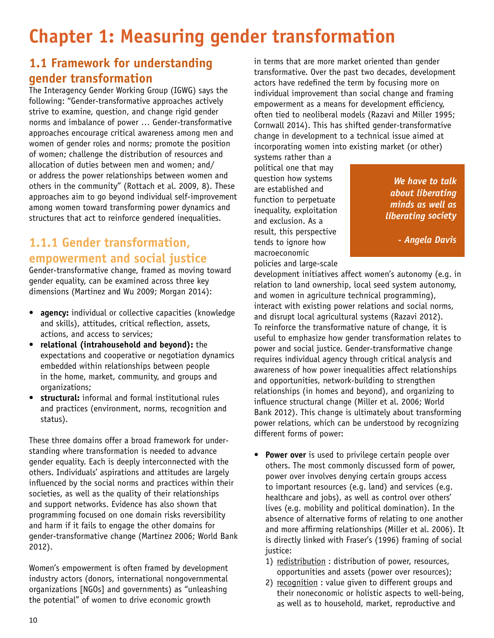# **Chapter 1: Measuring gender transformation**

# **1.1 Framework for understanding gender transformation**

The Interagency Gender Working Group (IGWG) says the following: "Gender-transformative approaches actively strive to examine, question, and change rigid gender norms and imbalance of power … Gender-transformative approaches encourage critical awareness among men and women of gender roles and norms; promote the position of women; challenge the distribution of resources and allocation of duties between men and women; and/ or address the power relationships between women and others in the community" (Rottach et al. 2009, 8). These approaches aim to go beyond individual self-improvement among women toward transforming power dynamics and structures that act to reinforce gendered inequalities.

# **1.1.1 Gender transformation, empowerment and social justice**

Gender-transformative change, framed as moving toward gender equality, can be examined across three key dimensions (Martinez and Wu 2009; Morgan 2014):

- **agency:** individual or collective capacities (knowledge and skills), attitudes, critical reflection, assets, actions, and access to services;
- **relational (intrahousehold and beyond):** the expectations and cooperative or negotiation dynamics embedded within relationships between people in the home, market, community, and groups and organizations;
- **structural:** informal and formal institutional rules and practices (environment, norms, recognition and status).

These three domains offer a broad framework for understanding where transformation is needed to advance gender equality. Each is deeply interconnected with the others. Individuals' aspirations and attitudes are largely influenced by the social norms and practices within their societies, as well as the quality of their relationships and support networks. Evidence has also shown that programming focused on one domain risks reversibility and harm if it fails to engage the other domains for gender-transformative change (Martinez 2006; World Bank 2012).

Women's empowerment is often framed by development industry actors (donors, international nongovernmental organizations [NGOs] and governments) as "unleashing the potential" of women to drive economic growth

in terms that are more market oriented than gender transformative. Over the past two decades, development actors have redefined the term by focusing more on individual improvement than social change and framing empowerment as a means for development efficiency, often tied to neoliberal models (Razavi and Miller 1995; Cornwall 2014). This has shifted gender-transformative change in development to a technical issue aimed at incorporating women into existing market (or other)

systems rather than a political one that may question how systems are established and function to perpetuate inequality, exploitation and exclusion. As a result, this perspective tends to ignore how macroeconomic policies and large-scale

*We have to talk about liberating minds as well as liberating society*

*- Angela Davis*

development initiatives affect women's autonomy (e.g. in relation to land ownership, local seed system autonomy, and women in agriculture technical programming), interact with existing power relations and social norms, and disrupt local agricultural systems (Razavi 2012). To reinforce the transformative nature of change, it is useful to emphasize how gender transformation relates to power and social justice. Gender-transformative change requires individual agency through critical analysis and awareness of how power inequalities affect relationships and opportunities, network-building to strengthen relationships (in homes and beyond), and organizing to influence structural change (Miller et al. 2006; World Bank 2012). This change is ultimately about transforming power relations, which can be understood by recognizing different forms of power:

- **Power over** is used to privilege certain people over others. The most commonly discussed form of power, power over involves denying certain groups access to important resources (e.g. land) and services (e.g. healthcare and jobs), as well as control over others' lives (e.g. mobility and political domination). In the absence of alternative forms of relating to one another and more affirming relationships (Miller et al. 2006). It is directly linked with Fraser's (1996) framing of social iustice:
	- 1) redistribution : distribution of power, resources, opportunities and assets (power over resources);
	- 2) recognition : value given to different groups and their noneconomic or holistic aspects to well-being, as well as to household, market, reproductive and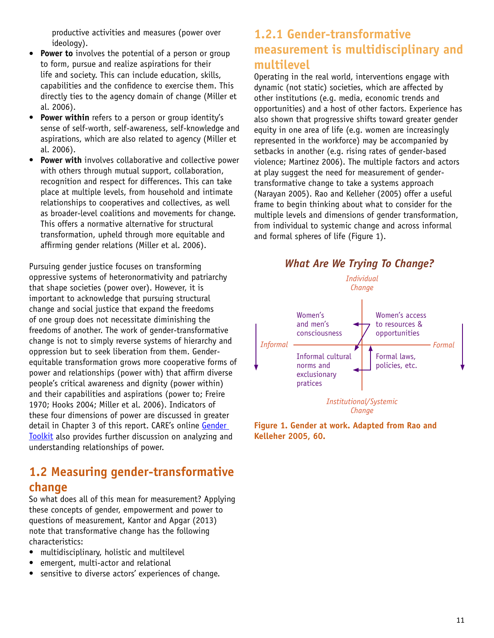productive activities and measures (power over ideology).

- **Power to** involves the potential of a person or group to form, pursue and realize aspirations for their life and society. This can include education, skills, capabilities and the confidence to exercise them. This directly ties to the agency domain of change (Miller et al. 2006).
- **Power within** refers to a person or group identity's sense of self-worth, self-awareness, self-knowledge and aspirations, which are also related to agency (Miller et al. 2006).
- **Power with** involves collaborative and collective power with others through mutual support, collaboration, recognition and respect for differences. This can take place at multiple levels, from household and intimate relationships to cooperatives and collectives, as well as broader-level coalitions and movements for change. This offers a normative alternative for structural transformation, upheld through more equitable and affirming gender relations (Miller et al. 2006).

Pursuing gender justice focuses on transforming oppressive systems of heteronormativity and patriarchy that shape societies (power over). However, it is important to acknowledge that pursuing structural change and social justice that expand the freedoms of one group does not necessitate diminishing the freedoms of another. The work of gender-transformative change is not to simply reverse systems of hierarchy and oppression but to seek liberation from them. Genderequitable transformation grows more cooperative forms of power and relationships (power with) that affirm diverse people's critical awareness and dignity (power within) and their capabilities and aspirations (power to; Freire 1970; Hooks 2004; Miller et al. 2006). Indicators of these four dimensions of power are discussed in greater detail in Chapter 3 of this report. CARE's online Gender [Toolkit](http://gendertoolkit.care.org/pages/frameworks.aspx) also provides further discussion on analyzing and understanding relationships of power.

## **1.2 Measuring gender-transformative change**

So what does all of this mean for measurement? Applying these concepts of gender, empowerment and power to questions of measurement, Kantor and Apgar (2013) note that transformative change has the following characteristics:

- multidisciplinary, holistic and multilevel
- emergent, multi-actor and relational
- sensitive to diverse actors' experiences of change.

## **1.2.1 Gender-transformative measurement is multidisciplinary and multilevel**

Operating in the real world, interventions engage with dynamic (not static) societies, which are affected by other institutions (e.g. media, economic trends and opportunities) and a host of other factors. Experience has also shown that progressive shifts toward greater gender equity in one area of life (e.g. women are increasingly represented in the workforce) may be accompanied by setbacks in another (e.g. rising rates of gender-based violence; Martinez 2006). The multiple factors and actors at play suggest the need for measurement of gendertransformative change to take a systems approach (Narayan 2005). Rao and Kelleher (2005) offer a useful frame to begin thinking about what to consider for the multiple levels and dimensions of gender transformation, from individual to systemic change and across informal and formal spheres of life (Figure 1).



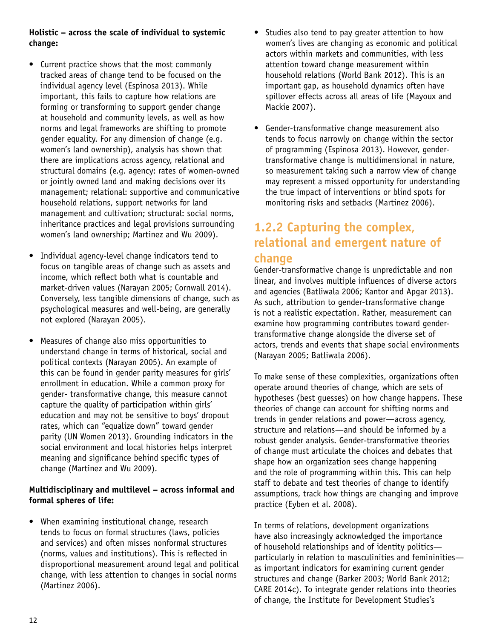### **Holistic – across the scale of individual to systemic change:**

- Current practice shows that the most commonly tracked areas of change tend to be focused on the individual agency level (Espinosa 2013). While important, this fails to capture how relations are forming or transforming to support gender change at household and community levels, as well as how norms and legal frameworks are shifting to promote gender equality. For any dimension of change (e.g. women's land ownership), analysis has shown that there are implications across agency, relational and structural domains (e.g. agency: rates of women-owned or jointly owned land and making decisions over its management; relational: supportive and communicative household relations, support networks for land management and cultivation; structural: social norms, inheritance practices and legal provisions surrounding women's land ownership; Martinez and Wu 2009).
- Individual agency-level change indicators tend to focus on tangible areas of change such as assets and income, which reflect both what is countable and market-driven values (Narayan 2005; Cornwall 2014). Conversely, less tangible dimensions of change, such as psychological measures and well-being, are generally not explored (Narayan 2005).
- Measures of change also miss opportunities to understand change in terms of historical, social and political contexts (Narayan 2005). An example of this can be found in gender parity measures for girls' enrollment in education. While a common proxy for gender- transformative change, this measure cannot capture the quality of participation within girls' education and may not be sensitive to boys' dropout rates, which can "equalize down" toward gender parity (UN Women 2013). Grounding indicators in the social environment and local histories helps interpret meaning and significance behind specific types of change (Martinez and Wu 2009).

### **Multidisciplinary and multilevel – across informal and formal spheres of life:**

• When examining institutional change, research tends to focus on formal structures (laws, policies and services) and often misses nonformal structures (norms, values and institutions). This is reflected in disproportional measurement around legal and political change, with less attention to changes in social norms (Martinez 2006).

- Studies also tend to pay greater attention to how women's lives are changing as economic and political actors within markets and communities, with less attention toward change measurement within household relations (World Bank 2012). This is an important gap, as household dynamics often have spillover effects across all areas of life (Mayoux and Mackie 2007).
- Gender-transformative change measurement also tends to focus narrowly on change within the sector of programming (Espinosa 2013). However, gendertransformative change is multidimensional in nature, so measurement taking such a narrow view of change may represent a missed opportunity for understanding the true impact of interventions or blind spots for monitoring risks and setbacks (Martinez 2006).

## **1.2.2 Capturing the complex, relational and emergent nature of change**

Gender-transformative change is unpredictable and non linear, and involves multiple influences of diverse actors and agencies (Batliwala 2006; Kantor and Apgar 2013). As such, attribution to gender-transformative change is not a realistic expectation. Rather, measurement can examine how programming contributes toward gendertransformative change alongside the diverse set of actors, trends and events that shape social environments (Narayan 2005; Batliwala 2006).

To make sense of these complexities, organizations often operate around theories of change, which are sets of hypotheses (best guesses) on how change happens. These theories of change can account for shifting norms and trends in gender relations and power—across agency, structure and relations—and should be informed by a robust gender analysis. Gender-transformative theories of change must articulate the choices and debates that shape how an organization sees change happening and the role of programming within this. This can help staff to debate and test theories of change to identify assumptions, track how things are changing and improve practice (Eyben et al. 2008).

In terms of relations, development organizations have also increasingly acknowledged the importance of household relationships and of identity politics particularly in relation to masculinities and femininities as important indicators for examining current gender structures and change (Barker 2003; World Bank 2012; CARE 2014c). To integrate gender relations into theories of change, the Institute for Development Studies's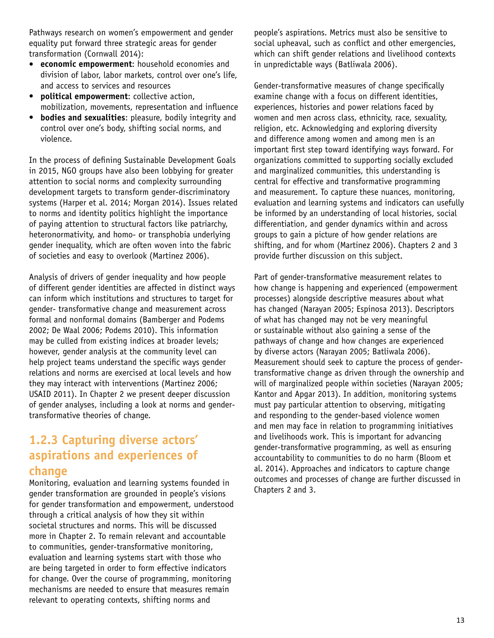Pathways research on women's empowerment and gender equality put forward three strategic areas for gender transformation (Cornwall 2014):

- **economic empowerment**: household economies and division of labor, labor markets, control over one's life, and access to services and resources
- **political empowerment**: collective action, mobilization, movements, representation and influence
- **bodies and sexualities**: pleasure, bodily integrity and control over one's body, shifting social norms, and violence.

In the process of defining Sustainable Development Goals in 2015, NGO groups have also been lobbying for greater attention to social norms and complexity surrounding development targets to transform gender-discriminatory systems (Harper et al. 2014; Morgan 2014). Issues related to norms and identity politics highlight the importance of paying attention to structural factors like patriarchy, heteronormativity, and homo- or transphobia underlying gender inequality, which are often woven into the fabric of societies and easy to overlook (Martinez 2006).

Analysis of drivers of gender inequality and how people of different gender identities are affected in distinct ways can inform which institutions and structures to target for gender- transformative change and measurement across formal and nonformal domains (Bamberger and Podems 2002; De Waal 2006; Podems 2010). This information may be culled from existing indices at broader levels; however, gender analysis at the community level can help project teams understand the specific ways gender relations and norms are exercised at local levels and how they may interact with interventions (Martinez 2006; USAID 2011). In Chapter 2 we present deeper discussion of gender analyses, including a look at norms and gendertransformative theories of change.

# **1.2.3 Capturing diverse actors' aspirations and experiences of change**

Monitoring, evaluation and learning systems founded in gender transformation are grounded in people's visions for gender transformation and empowerment, understood through a critical analysis of how they sit within societal structures and norms. This will be discussed more in Chapter 2. To remain relevant and accountable to communities, gender-transformative monitoring, evaluation and learning systems start with those who are being targeted in order to form effective indicators for change. Over the course of programming, monitoring mechanisms are needed to ensure that measures remain relevant to operating contexts, shifting norms and

people's aspirations. Metrics must also be sensitive to social upheaval, such as conflict and other emergencies, which can shift gender relations and livelihood contexts in unpredictable ways (Batliwala 2006).

Gender-transformative measures of change specifically examine change with a focus on different identities, experiences, histories and power relations faced by women and men across class, ethnicity, race, sexuality, religion, etc. Acknowledging and exploring diversity and difference among women and among men is an important first step toward identifying ways forward. For organizations committed to supporting socially excluded and marginalized communities, this understanding is central for effective and transformative programming and measurement. To capture these nuances, monitoring, evaluation and learning systems and indicators can usefully be informed by an understanding of local histories, social differentiation, and gender dynamics within and across groups to gain a picture of how gender relations are shifting, and for whom (Martinez 2006). Chapters 2 and 3 provide further discussion on this subject.

Part of gender-transformative measurement relates to how change is happening and experienced (empowerment processes) alongside descriptive measures about what has changed (Narayan 2005; Espinosa 2013). Descriptors of what has changed may not be very meaningful or sustainable without also gaining a sense of the pathways of change and how changes are experienced by diverse actors (Narayan 2005; Batliwala 2006). Measurement should seek to capture the process of gendertransformative change as driven through the ownership and will of marginalized people within societies (Narayan 2005; Kantor and Apgar 2013). In addition, monitoring systems must pay particular attention to observing, mitigating and responding to the gender-based violence women and men may face in relation to programming initiatives and livelihoods work. This is important for advancing gender-transformative programming, as well as ensuring accountability to communities to do no harm (Bloom et al. 2014). Approaches and indicators to capture change outcomes and processes of change are further discussed in Chapters 2 and 3.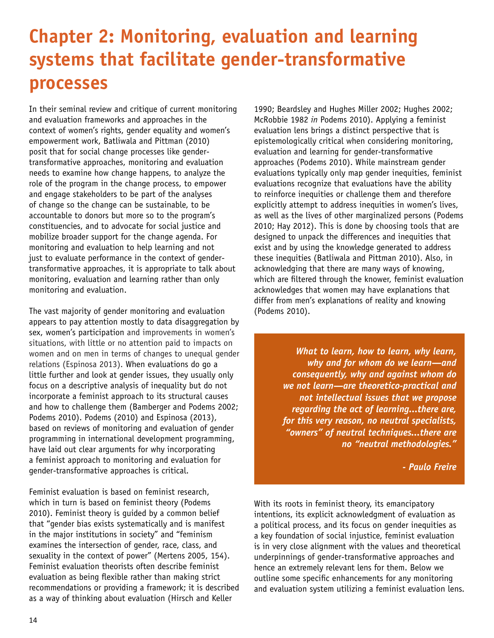# **Chapter 2: Monitoring, evaluation and learning systems that facilitate gender-transformative processes**

In their seminal review and critique of current monitoring and evaluation frameworks and approaches in the context of women's rights, gender equality and women's empowerment work, Batliwala and Pittman (2010) posit that for social change processes like gendertransformative approaches, monitoring and evaluation needs to examine how change happens, to analyze the role of the program in the change process, to empower and engage stakeholders to be part of the analyses of change so the change can be sustainable, to be accountable to donors but more so to the program's constituencies, and to advocate for social justice and mobilize broader support for the change agenda. For monitoring and evaluation to help learning and not just to evaluate performance in the context of gendertransformative approaches, it is appropriate to talk about monitoring, evaluation and learning rather than only monitoring and evaluation.

The vast majority of gender monitoring and evaluation appears to pay attention mostly to data disaggregation by sex, women's participation and improvements in women's situations, with little or no attention paid to impacts on women and on men in terms of changes to unequal gender relations (Espinosa 2013). When evaluations do go a little further and look at gender issues, they usually only focus on a descriptive analysis of inequality but do not incorporate a feminist approach to its structural causes and how to challenge them (Bamberger and Podems 2002; Podems 2010). Podems (2010) and Espinosa (2013), based on reviews of monitoring and evaluation of gender programming in international development programming, have laid out clear arguments for why incorporating a feminist approach to monitoring and evaluation for gender-transformative approaches is critical.

Feminist evaluation is based on feminist research, which in turn is based on feminist theory (Podems 2010). Feminist theory is guided by a common belief that "gender bias exists systematically and is manifest in the major institutions in society" and "feminism examines the intersection of gender, race, class, and sexuality in the context of power" (Mertens 2005, 154). Feminist evaluation theorists often describe feminist evaluation as being flexible rather than making strict recommendations or providing a framework; it is described as a way of thinking about evaluation (Hirsch and Keller

1990; Beardsley and Hughes Miller 2002; Hughes 2002; McRobbie 1982 *in* Podems 2010). Applying a feminist evaluation lens brings a distinct perspective that is epistemologically critical when considering monitoring, evaluation and learning for gender-transformative approaches (Podems 2010). While mainstream gender evaluations typically only map gender inequities, feminist evaluations recognize that evaluations have the ability to reinforce inequities or challenge them and therefore explicitly attempt to address inequities in women's lives, as well as the lives of other marginalized persons (Podems 2010; Hay 2012). This is done by choosing tools that are designed to unpack the differences and inequities that exist and by using the knowledge generated to address these inequities (Batliwala and Pittman 2010). Also, in acknowledging that there are many ways of knowing, which are filtered through the knower, feminist evaluation acknowledges that women may have explanations that differ from men's explanations of reality and knowing (Podems 2010).

> *What to learn, how to learn, why learn, why and for whom do we learn—and consequently, why and against whom do we not learn—are theoretico-practical and not intellectual issues that we propose regarding the act of learning...there are, for this very reason, no neutral specialists, "owners" of neutral techniques...there are no "neutral methodologies."*

> > *- Paulo Freire*

With its roots in feminist theory, its emancipatory intentions, its explicit acknowledgment of evaluation as a political process, and its focus on gender inequities as a key foundation of social injustice, feminist evaluation is in very close alignment with the values and theoretical underpinnings of gender-transformative approaches and hence an extremely relevant lens for them. Below we outline some specific enhancements for any monitoring and evaluation system utilizing a feminist evaluation lens.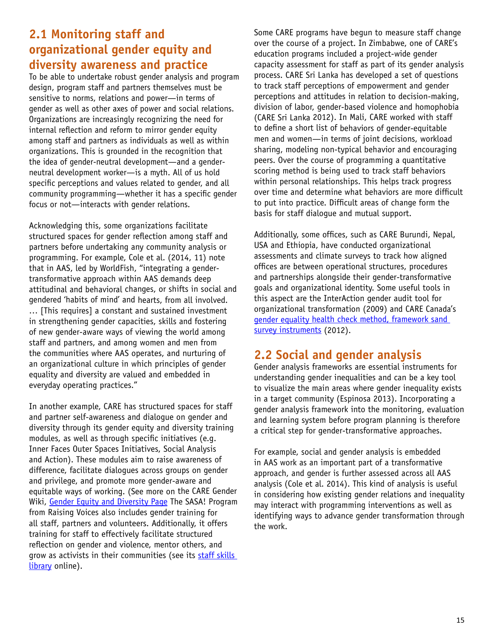# **2.1 Monitoring staff and organizational gender equity and diversity awareness and practice**

To be able to undertake robust gender analysis and program design, program staff and partners themselves must be sensitive to norms, relations and power—in terms of gender as well as other axes of power and social relations. Organizations are increasingly recognizing the need for internal reflection and reform to mirror gender equity among staff and partners as individuals as well as within organizations. This is grounded in the recognition that the idea of gender-neutral development—and a genderneutral development worker—is a myth. All of us hold specific perceptions and values related to gender, and all community programming—whether it has a specific gender focus or not—interacts with gender relations.

Acknowledging this, some organizations facilitate structured spaces for gender reflection among staff and partners before undertaking any community analysis or programming. For example, Cole et al. (2014, 11) note that in AAS, led by WorldFish, "integrating a gendertransformative approach within AAS demands deep attitudinal and behavioral changes, or shifts in social and gendered 'habits of mind' and hearts, from all involved. … [This requires] a constant and sustained investment in strengthening gender capacities, skills and fostering of new gender-aware ways of viewing the world among staff and partners, and among women and men from the communities where AAS operates, and nurturing of an organizational culture in which principles of gender equality and diversity are valued and embedded in everyday operating practices."

In another example, CARE has structured spaces for staff and partner self-awareness and dialogue on gender and diversity through its gender equity and diversity training modules, as well as through specific initiatives (e.g. Inner Faces Outer Spaces Initiatives, Social Analysis and Action). These modules aim to raise awareness of difference, facilitate dialogues across groups on gender and privilege, and promote more gender-aware and equitable ways of working. (See more on the CARE Gender Wiki, [Gender Equity and Diversity Page](http://gender.care2share.wikispaces.net/Gender+Equity+and+Diversity+work+at+CARE) The SASA! Program from Raising Voices also includes gender training for all staff, partners and volunteers. Additionally, it offers training for staff to effectively facilitate structured reflection on gender and violence, mentor others, and grow as activists in their communities (see its [staff skills](http://raisingvoices.org/activism/institutional/#tabs-212-0-3)  [library](http://raisingvoices.org/activism/institutional/#tabs-212-0-3) online).

Some CARE programs have begun to measure staff change over the course of a project. In Zimbabwe, one of CARE's education programs included a project-wide gender capacity assessment for staff as part of its gender analysis process. CARE Sri Lanka has developed a set of questions to track staff perceptions of empowerment and gender perceptions and attitudes in relation to decision-making, division of labor, gender-based violence and homophobia (CARE Sri Lanka 2012). In Mali, CARE worked with staff to define a short list of behaviors of gender-equitable men and women—in terms of joint decisions, workload sharing, modeling non-typical behavior and encouraging peers. Over the course of programming a quantitative scoring method is being used to track staff behaviors within personal relationships. This helps track progress over time and determine what behaviors are more difficult to put into practice. Difficult areas of change form the basis for staff dialogue and mutual support.

Additionally, some offices, such as CARE Burundi, Nepal, USA and Ethiopia, have conducted organizational assessments and climate surveys to track how aligned offices are between operational structures, procedures and partnerships alongside their gender-transformative goals and organizational identity. Some useful tools in this aspect are the InterAction gender audit tool for organizational transformation (2009) and CARE Canada's [gender equality health check method, framework sand](http://gender.care2share.wikispaces.net/file/view/2.+CARE+Canada+2011+Gender+Audit+Method,+Frameworks+and+Tools.pdf)  [survey instruments](http://gender.care2share.wikispaces.net/file/view/2.+CARE+Canada+2011+Gender+Audit+Method,+Frameworks+and+Tools.pdf) (2012).

## **2.2 Social and gender analysis**

Gender analysis frameworks are essential instruments for understanding gender inequalities and can be a key tool to visualize the main areas where gender inequality exists in a target community (Espinosa 2013). Incorporating a gender analysis framework into the monitoring, evaluation and learning system before program planning is therefore a critical step for gender-transformative approaches.

For example, social and gender analysis is embedded in AAS work as an important part of a transformative approach, and gender is further assessed across all AAS analysis (Cole et al. 2014). This kind of analysis is useful in considering how existing gender relations and inequality may interact with programming interventions as well as identifying ways to advance gender transformation through the work.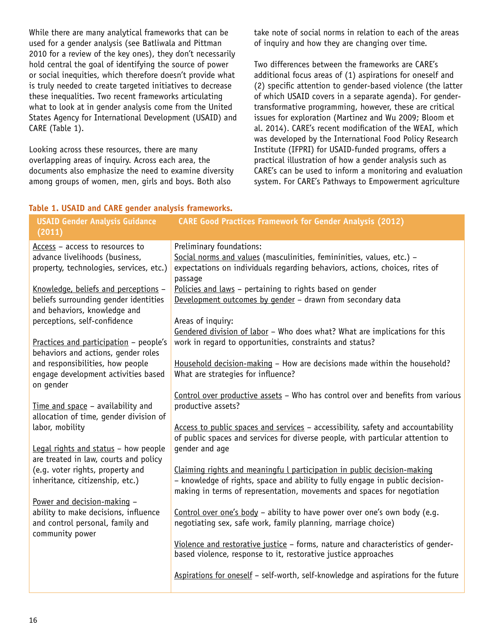While there are many analytical frameworks that can be used for a gender analysis (see Batliwala and Pittman 2010 for a review of the key ones), they don't necessarily hold central the goal of identifying the source of power or social inequities, which therefore doesn't provide what is truly needed to create targeted initiatives to decrease these inequalities. Two recent frameworks articulating what to look at in gender analysis come from the United States Agency for International Development (USAID) and CARE (Table 1).

Looking across these resources, there are many overlapping areas of inquiry. Across each area, the documents also emphasize the need to examine diversity among groups of women, men, girls and boys. Both also

take note of social norms in relation to each of the areas of inquiry and how they are changing over time.

Two differences between the frameworks are CARE's additional focus areas of (1) aspirations for oneself and (2) specific attention to gender-based violence (the latter of which USAID covers in a separate agenda). For gendertransformative programming, however, these are critical issues for exploration (Martinez and Wu 2009; Bloom et al. 2014). CARE's recent modification of the WEAI, which was developed by the International Food Policy Research Institute (IFPRI) for USAID-funded programs, offers a practical illustration of how a gender analysis such as CARE's can be used to inform a monitoring and evaluation system. For CARE's Pathways to Empowerment agriculture

### **Table 1. USAID and CARE gender analysis frameworks.**

| <b>USAID Gender Analysis Guidance</b><br>(2011)                         | <b>CARE Good Practices Framework for Gender Analysis (2012)</b>                     |
|-------------------------------------------------------------------------|-------------------------------------------------------------------------------------|
| Access - access to resources to                                         | Preliminary foundations:                                                            |
| advance livelihoods (business,                                          | Social norms and values (masculinities, femininities, values, etc.) -               |
| property, technologies, services, etc.)                                 | expectations on individuals regarding behaviors, actions, choices, rites of         |
|                                                                         | passage                                                                             |
| Knowledge, beliefs and perceptions -                                    | Policies and laws - pertaining to rights based on gender                            |
| beliefs surrounding gender identities                                   | Development outcomes by gender - drawn from secondary data                          |
| and behaviors, knowledge and                                            |                                                                                     |
| perceptions, self-confidence                                            | Areas of inquiry:                                                                   |
|                                                                         | Gendered division of labor - Who does what? What are implications for this          |
| Practices and participation - people's                                  | work in regard to opportunities, constraints and status?                            |
| behaviors and actions, gender roles<br>and responsibilities, how people | Household decision-making - How are decisions made within the household?            |
| engage development activities based                                     | What are strategies for influence?                                                  |
| on gender                                                               |                                                                                     |
|                                                                         | Control over productive assets - Who has control over and benefits from various     |
| Time and space - availability and                                       | productive assets?                                                                  |
| allocation of time, gender division of                                  |                                                                                     |
| labor, mobility                                                         | Access to public spaces and services - accessibility, safety and accountability     |
|                                                                         | of public spaces and services for diverse people, with particular attention to      |
| Legal rights and status - how people                                    | gender and age                                                                      |
| are treated in law, courts and policy                                   |                                                                                     |
| (e.g. voter rights, property and                                        | Claiming rights and meaningfu L participation in public decision-making             |
| inheritance, citizenship, etc.)                                         | - knowledge of rights, space and ability to fully engage in public decision-        |
|                                                                         | making in terms of representation, movements and spaces for negotiation             |
| Power and decision-making -<br>ability to make decisions, influence     | Control over one's body - ability to have power over one's own body (e.g.           |
| and control personal, family and                                        | negotiating sex, safe work, family planning, marriage choice)                       |
| community power                                                         |                                                                                     |
|                                                                         | Violence and restorative justice - forms, nature and characteristics of gender-     |
|                                                                         | based violence, response to it, restorative justice approaches                      |
|                                                                         |                                                                                     |
|                                                                         | Aspirations for oneself - self-worth, self-knowledge and aspirations for the future |
|                                                                         |                                                                                     |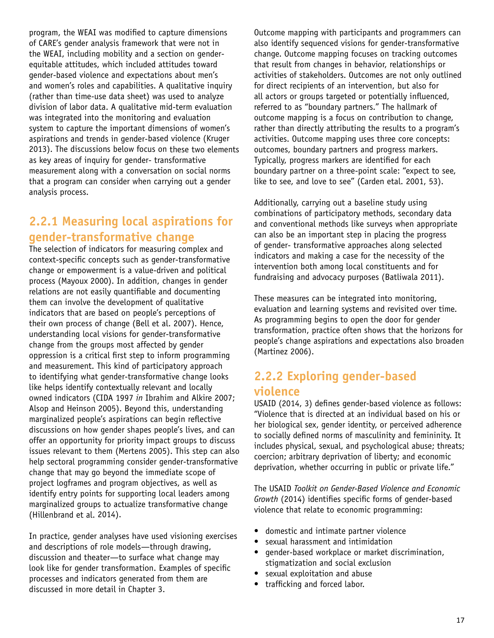program, the WEAI was modified to capture dimensions of CARE's gender analysis framework that were not in the WEAI, including mobility and a section on genderequitable attitudes, which included attitudes toward gender-based violence and expectations about men's and women's roles and capabilities. A qualitative inquiry (rather than time-use data sheet) was used to analyze division of labor data. A qualitative mid-term evaluation was integrated into the monitoring and evaluation system to capture the important dimensions of women's aspirations and trends in gender-based violence (Kruger 2013). The discussions below focus on these two elements as key areas of inquiry for gender- transformative measurement along with a conversation on social norms that a program can consider when carrying out a gender analysis process.

# **2.2.1 Measuring local aspirations for gender-transformative change**

The selection of indicators for measuring complex and context-specific concepts such as gender-transformative change or empowerment is a value-driven and political process (Mayoux 2000). In addition, changes in gender relations are not easily quantifiable and documenting them can involve the development of qualitative indicators that are based on people's perceptions of their own process of change (Bell et al. 2007). Hence, understanding local visions for gender-transformative change from the groups most affected by gender oppression is a critical first step to inform programming and measurement. This kind of participatory approach to identifying what gender-transformative change looks like helps identify contextually relevant and locally owned indicators (CIDA 1997 *in* Ibrahim and Alkire 2007; Alsop and Heinson 2005). Beyond this, understanding marginalized people's aspirations can begin reflective discussions on how gender shapes people's lives, and can offer an opportunity for priority impact groups to discuss issues relevant to them (Mertens 2005). This step can also help sectoral programming consider gender-transformative change that may go beyond the immediate scope of project logframes and program objectives, as well as identify entry points for supporting local leaders among marginalized groups to actualize transformative change (Hillenbrand et al. 2014).

In practice, gender analyses have used visioning exercises and descriptions of role models—through drawing, discussion and theater—to surface what change may look like for gender transformation. Examples of specific processes and indicators generated from them are discussed in more detail in Chapter 3.

Outcome mapping with participants and programmers can also identify sequenced visions for gender-transformative change. Outcome mapping focuses on tracking outcomes that result from changes in behavior, relationships or activities of stakeholders. Outcomes are not only outlined for direct recipients of an intervention, but also for all actors or groups targeted or potentially influenced, referred to as "boundary partners." The hallmark of outcome mapping is a focus on contribution to change, rather than directly attributing the results to a program's activities. Outcome mapping uses three core concepts: outcomes, boundary partners and progress markers. Typically, progress markers are identified for each boundary partner on a three-point scale: "expect to see, like to see, and love to see" (Carden etal. 2001, 53).

Additionally, carrying out a baseline study using combinations of participatory methods, secondary data and conventional methods like surveys when appropriate can also be an important step in placing the progress of gender- transformative approaches along selected indicators and making a case for the necessity of the intervention both among local constituents and for fundraising and advocacy purposes (Batliwala 2011).

These measures can be integrated into monitoring, evaluation and learning systems and revisited over time. As programming begins to open the door for gender transformation, practice often shows that the horizons for people's change aspirations and expectations also broaden (Martinez 2006).

## **2.2.2 Exploring gender-based violence**

USAID (2014, 3) defines gender-based violence as follows: "Violence that is directed at an individual based on his or her biological sex, gender identity, or perceived adherence to socially defined norms of masculinity and femininity. It includes physical, sexual, and psychological abuse; threats; coercion; arbitrary deprivation of liberty; and economic deprivation, whether occurring in public or private life."

The USAID *Toolkit on Gender-Based Violence and Economic Growth* (2014) identifies specific forms of gender-based violence that relate to economic programming:

- domestic and intimate partner violence
- sexual harassment and intimidation
- gender-based workplace or market discrimination, stigmatization and social exclusion
- sexual exploitation and abuse
- trafficking and forced labor.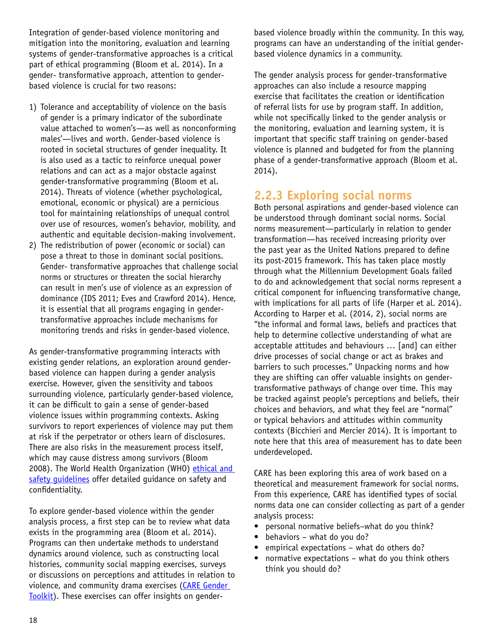Integration of gender-based violence monitoring and mitigation into the monitoring, evaluation and learning systems of gender-transformative approaches is a critical part of ethical programming (Bloom et al. 2014). In a gender- transformative approach, attention to genderbased violence is crucial for two reasons:

- 1) Tolerance and acceptability of violence on the basis of gender is a primary indicator of the subordinate value attached to women's—as well as nonconforming males'—lives and worth. Gender-based violence is rooted in societal structures of gender inequality. It is also used as a tactic to reinforce unequal power relations and can act as a major obstacle against gender-transformative programming (Bloom et al. 2014). Threats of violence (whether psychological, emotional, economic or physical) are a pernicious tool for maintaining relationships of unequal control over use of resources, women's behavior, mobility, and authentic and equitable decision-making involvement.
- 2) The redistribution of power (economic or social) can pose a threat to those in dominant social positions. Gender- transformative approaches that challenge social norms or structures or threaten the social hierarchy can result in men's use of violence as an expression of dominance (IDS 2011; Eves and Crawford 2014). Hence, it is essential that all programs engaging in gendertransformative approaches include mechanisms for monitoring trends and risks in gender-based violence.

As gender-transformative programming interacts with existing gender relations, an exploration around genderbased violence can happen during a gender analysis exercise. However, given the sensitivity and taboos surrounding violence, particularly gender-based violence, it can be difficult to gain a sense of gender-based violence issues within programming contexts. Asking survivors to report experiences of violence may put them at risk if the perpetrator or others learn of disclosures. There are also risks in the measurement process itself, which may cause distress among survivors (Bloom 2008). The World Health Organization (WHO) ethical and safety quidelines offer detailed quidance on safety and confidentiality.

To explore gender-based violence within the gender analysis process, a first step can be to review what data exists in the programming area (Bloom et al. 2014). Programs can then undertake methods to understand dynamics around violence, such as constructing local histories, community social mapping exercises, surveys or discussions on perceptions and attitudes in relation to violence, and community drama exercises ([CARE Gender](http://gendertoolkit.care.org/Areas_of_Inquiry/7_Violence_Justice.aspx)  [Toolkit\)](http://gendertoolkit.care.org/Areas_of_Inquiry/7_Violence_Justice.aspx). These exercises can offer insights on genderbased violence broadly within the community. In this way, programs can have an understanding of the initial genderbased violence dynamics in a community.

The gender analysis process for gender-transformative approaches can also include a resource mapping exercise that facilitates the creation or identification of referral lists for use by program staff. In addition, while not specifically linked to the gender analysis or the monitoring, evaluation and learning system, it is important that specific staff training on gender-based violence is planned and budgeted for from the planning phase of a gender-transformative approach (Bloom et al. 2014).

## **2.2.3 Exploring social norms**

Both personal aspirations and gender-based violence can be understood through dominant social norms. Social norms measurement—particularly in relation to gender transformation—has received increasing priority over the past year as the United Nations prepared to define its post-2015 framework. This has taken place mostly through what the Millennium Development Goals failed to do and acknowledgement that social norms represent a critical component for influencing transformative change, with implications for all parts of life (Harper et al. 2014). According to Harper et al. (2014, 2), social norms are "the informal and formal laws, beliefs and practices that help to determine collective understanding of what are acceptable attitudes and behaviours … [and] can either drive processes of social change or act as brakes and barriers to such processes." Unpacking norms and how they are shifting can offer valuable insights on gendertransformative pathways of change over time. This may be tracked against people's perceptions and beliefs, their choices and behaviors, and what they feel are "normal" or typical behaviors and attitudes within community contexts (Bicchieri and Mercier 2014). It is important to note here that this area of measurement has to date been underdeveloped.

CARE has been exploring this area of work based on a theoretical and measurement framework for social norms. From this experience, CARE has identified types of social norms data one can consider collecting as part of a gender analysis process:

- personal normative beliefs–what do you think?
- behaviors what do you do?
- empirical expectations what do others do?
- normative expectations what do you think others think you should do?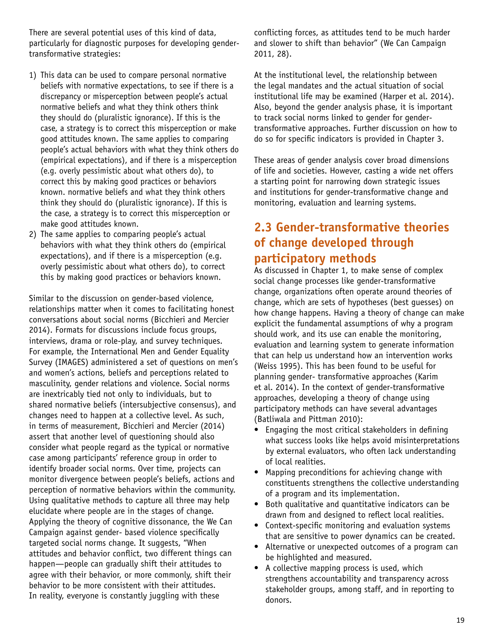There are several potential uses of this kind of data, particularly for diagnostic purposes for developing gendertransformative strategies:

- 1) This data can be used to compare personal normative beliefs with normative expectations, to see if there is a discrepancy or misperception between people's actual normative beliefs and what they think others think they should do (pluralistic ignorance). If this is the case, a strategy is to correct this misperception or make good attitudes known. The same applies to comparing people's actual behaviors with what they think others do (empirical expectations), and if there is a misperception (e.g. overly pessimistic about what others do), to correct this by making good practices or behaviors known. normative beliefs and what they think others think they should do (pluralistic ignorance). If this is the case, a strategy is to correct this misperception or make good attitudes known.
- 2) The same applies to comparing people's actual behaviors with what they think others do (empirical expectations), and if there is a misperception (e.g. overly pessimistic about what others do), to correct this by making good practices or behaviors known.

Similar to the discussion on gender-based violence, relationships matter when it comes to facilitating honest conversations about social norms (Bicchieri and Mercier 2014). Formats for discussions include focus groups, interviews, drama or role-play, and survey techniques. For example, the International Men and Gender Equality Survey (IMAGES) administered a set of questions on men's and women's actions, beliefs and perceptions related to masculinity, gender relations and violence. Social norms are inextricably tied not only to individuals, but to shared normative beliefs (intersubjective consensus), and changes need to happen at a collective level. As such, in terms of measurement, Bicchieri and Mercier (2014) assert that another level of questioning should also consider what people regard as the typical or normative case among participants' reference group in order to identify broader social norms. Over time, projects can monitor divergence between people's beliefs, actions and perception of normative behaviors within the community. Using qualitative methods to capture all three may help elucidate where people are in the stages of change. Applying the theory of cognitive dissonance, the We Can Campaign against gender- based violence specifically targeted social norms change. It suggests, "When attitudes and behavior conflict, two different things can happen—people can gradually shift their attitudes to agree with their behavior, or more commonly, shift their behavior to be more consistent with their attitudes. In reality, everyone is constantly juggling with these

conflicting forces, as attitudes tend to be much harder and slower to shift than behavior" (We Can Campaign 2011, 28).

At the institutional level, the relationship between the legal mandates and the actual situation of social institutional life may be examined (Harper et al. 2014). Also, beyond the gender analysis phase, it is important to track social norms linked to gender for gendertransformative approaches. Further discussion on how to do so for specific indicators is provided in Chapter 3.

These areas of gender analysis cover broad dimensions of life and societies. However, casting a wide net offers a starting point for narrowing down strategic issues and institutions for gender-transformative change and monitoring, evaluation and learning systems.

# **2.3 Gender-transformative theories of change developed through participatory methods**

As discussed in Chapter 1, to make sense of complex social change processes like gender-transformative change, organizations often operate around theories of change, which are sets of hypotheses (best guesses) on how change happens. Having a theory of change can make explicit the fundamental assumptions of why a program should work, and its use can enable the monitoring, evaluation and learning system to generate information that can help us understand how an intervention works (Weiss 1995). This has been found to be useful for planning gender- transformative approaches (Karim et al. 2014). In the context of gender-transformative approaches, developing a theory of change using participatory methods can have several advantages (Batliwala and Pittman 2010):

- Engaging the most critical stakeholders in defining what success looks like helps avoid misinterpretations by external evaluators, who often lack understanding of local realities.
- Mapping preconditions for achieving change with constituents strengthens the collective understanding of a program and its implementation.
- Both qualitative and quantitative indicators can be drawn from and designed to reflect local realities.
- Context-specific monitoring and evaluation systems that are sensitive to power dynamics can be created.
- Alternative or unexpected outcomes of a program can be highlighted and measured.
- A collective mapping process is used, which strengthens accountability and transparency across stakeholder groups, among staff, and in reporting to donors.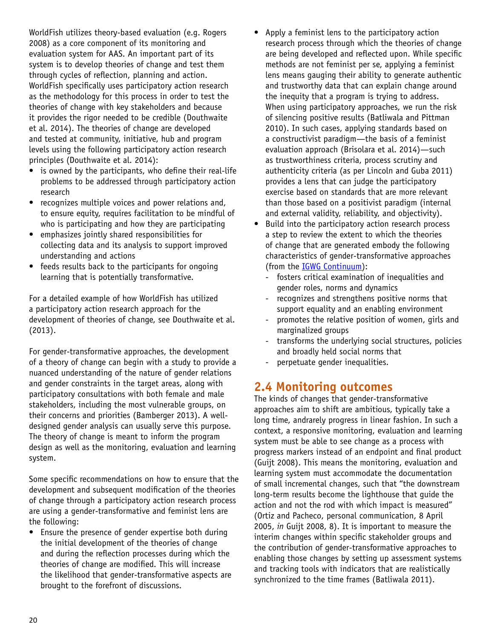WorldFish utilizes theory-based evaluation (e.g. Rogers 2008) as a core component of its monitoring and evaluation system for AAS. An important part of its system is to develop theories of change and test them through cycles of reflection, planning and action. WorldFish specifically uses participatory action research as the methodology for this process in order to test the theories of change with key stakeholders and because it provides the rigor needed to be credible (Douthwaite et al. 2014). The theories of change are developed and tested at community, initiative, hub and program levels using the following participatory action research principles (Douthwaite et al. 2014):

- is owned by the participants, who define their real-life problems to be addressed through participatory action research
- recognizes multiple voices and power relations and, to ensure equity, requires facilitation to be mindful of who is participating and how they are participating
- emphasizes jointly shared responsibilities for collecting data and its analysis to support improved understanding and actions
- feeds results back to the participants for ongoing learning that is potentially transformative.

For a detailed example of how WorldFish has utilized a participatory action research approach for the development of theories of change, see Douthwaite et al. (2013).

For gender-transformative approaches, the development of a theory of change can begin with a study to provide a nuanced understanding of the nature of gender relations and gender constraints in the target areas, along with participatory consultations with both female and male stakeholders, including the most vulnerable groups, on their concerns and priorities (Bamberger 2013). A welldesigned gender analysis can usually serve this purpose. The theory of change is meant to inform the program design as well as the monitoring, evaluation and learning system.

Some specific recommendations on how to ensure that the development and subsequent modification of the theories of change through a participatory action research process are using a gender-transformative and feminist lens are the following:

• Ensure the presence of gender expertise both during the initial development of the theories of change and during the reflection processes during which the theories of change are modified. This will increase the likelihood that gender-transformative aspects are brought to the forefront of discussions.

- Apply a feminist lens to the participatory action research process through which the theories of change are being developed and reflected upon. While specific methods are not feminist per se, applying a feminist lens means gauging their ability to generate authentic and trustworthy data that can explain change around the inequity that a program is trying to address. When using participatory approaches, we run the risk of silencing positive results (Batliwala and Pittman 2010). In such cases, applying standards based on a constructivist paradigm—the basis of a feminist evaluation approach (Brisolara et al. 2014)—such as trustworthiness criteria, process scrutiny and authenticity criteria (as per Lincoln and Guba 2011) provides a lens that can judge the participatory exercise based on standards that are more relevant than those based on a positivist paradigm (internal and external validity, reliability, and objectivity).
- Build into the participatory action research process a step to review the extent to which the theories of change that are generated embody the following characteristics of gender-transformative approaches (from the [IGWG Continuum\)](http://www.igwg.org/training/ProgrammaticGuidance/GenderContinuum.aspx):
	- fosters critical examination of inequalities and gender roles, norms and dynamics
	- recognizes and strengthens positive norms that support equality and an enabling environment
	- promotes the relative position of women, girls and marginalized groups
	- transforms the underlying social structures, policies and broadly held social norms that
	- perpetuate gender inequalities.

## **2.4 Monitoring outcomes**

The kinds of changes that gender-transformative approaches aim to shift are ambitious, typically take a long time, andrarely progress in linear fashion. In such a context, a responsive monitoring, evaluation and learning system must be able to see change as a process with progress markers instead of an endpoint and final product (Guijt 2008). This means the monitoring, evaluation and learning system must accommodate the documentation of small incremental changes, such that "the downstream long-term results become the lighthouse that guide the action and not the rod with which impact is measured" (Ortiz and Pacheco, personal communication, 8 April 2005, *in* Guijt 2008, 8). It is important to measure the interim changes within specific stakeholder groups and the contribution of gender-transformative approaches to enabling those changes by setting up assessment systems and tracking tools with indicators that are realistically synchronized to the time frames (Batliwala 2011).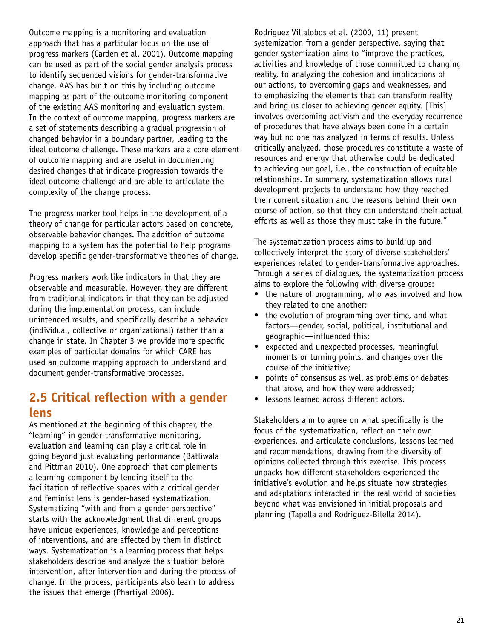Outcome mapping is a monitoring and evaluation approach that has a particular focus on the use of progress markers (Carden et al. 2001). Outcome mapping can be used as part of the social gender analysis process to identify sequenced visions for gender-transformative change. AAS has built on this by including outcome mapping as part of the outcome monitoring component of the existing AAS monitoring and evaluation system. In the context of outcome mapping, progress markers are a set of statements describing a gradual progression of changed behavior in a boundary partner, leading to the ideal outcome challenge. These markers are a core element of outcome mapping and are useful in documenting desired changes that indicate progression towards the ideal outcome challenge and are able to articulate the complexity of the change process.

The progress marker tool helps in the development of a theory of change for particular actors based on concrete, observable behavior changes. The addition of outcome mapping to a system has the potential to help programs develop specific gender-transformative theories of change.

Progress markers work like indicators in that they are observable and measurable. However, they are different from traditional indicators in that they can be adjusted during the implementation process, can include unintended results, and specifically describe a behavior (individual, collective or organizational) rather than a change in state. In Chapter 3 we provide more specific examples of particular domains for which CARE has used an outcome mapping approach to understand and document gender-transformative processes.

### **2.5 Critical reflection with a gender lens**

As mentioned at the beginning of this chapter, the "learning" in gender-transformative monitoring, evaluation and learning can play a critical role in going beyond just evaluating performance (Batliwala and Pittman 2010). One approach that complements a learning component by lending itself to the facilitation of reflective spaces with a critical gender and feminist lens is gender-based systematization. Systematizing "with and from a gender perspective" starts with the acknowledgment that different groups have unique experiences, knowledge and perceptions of interventions, and are affected by them in distinct ways. Systematization is a learning process that helps stakeholders describe and analyze the situation before intervention, after intervention and during the process of change. In the process, participants also learn to address the issues that emerge (Phartiyal 2006).

Rodriguez Villalobos et al. (2000, 11) present systemization from a gender perspective, saying that gender systemization aims to "improve the practices, activities and knowledge of those committed to changing reality, to analyzing the cohesion and implications of our actions, to overcoming gaps and weaknesses, and to emphasizing the elements that can transform reality and bring us closer to achieving gender equity. [This] involves overcoming activism and the everyday recurrence of procedures that have always been done in a certain way but no one has analyzed in terms of results. Unless critically analyzed, those procedures constitute a waste of resources and energy that otherwise could be dedicated to achieving our goal, i.e., the construction of equitable relationships. In summary, systematization allows rural development projects to understand how they reached their current situation and the reasons behind their own course of action, so that they can understand their actual efforts as well as those they must take in the future."

The systematization process aims to build up and collectively interpret the story of diverse stakeholders' experiences related to gender-transformative approaches. Through a series of dialogues, the systematization process aims to explore the following with diverse groups:

- the nature of programming, who was involved and how they related to one another;
- the evolution of programming over time, and what factors—gender, social, political, institutional and geographic—influenced this;
- expected and unexpected processes, meaningful moments or turning points, and changes over the course of the initiative;
- points of consensus as well as problems or debates that arose, and how they were addressed;
- lessons learned across different actors.

Stakeholders aim to agree on what specifically is the focus of the systematization, reflect on their own experiences, and articulate conclusions, lessons learned and recommendations, drawing from the diversity of opinions collected through this exercise. This process unpacks how different stakeholders experienced the initiative's evolution and helps situate how strategies and adaptations interacted in the real world of societies beyond what was envisioned in initial proposals and planning (Tapella and Rodriguez-Bilella 2014).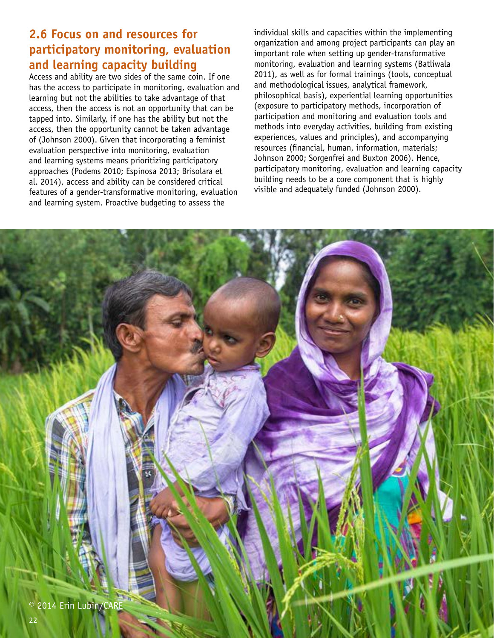# **2.6 Focus on and resources for participatory monitoring, evaluation and learning capacity building**

Access and ability are two sides of the same coin. If one has the access to participate in monitoring, evaluation and learning but not the abilities to take advantage of that access, then the access is not an opportunity that can be tapped into. Similarly, if one has the ability but not the access, then the opportunity cannot be taken advantage of (Johnson 2000). Given that incorporating a feminist evaluation perspective into monitoring, evaluation and learning systems means prioritizing participatory approaches (Podems 2010; Espinosa 2013; Brisolara et al. 2014), access and ability can be considered critical features of a gender-transformative monitoring, evaluation and learning system. Proactive budgeting to assess the

individual skills and capacities within the implementing organization and among project participants can play an important role when setting up gender-transformative monitoring, evaluation and learning systems (Batliwala 2011), as well as for formal trainings (tools, conceptual and methodological issues, analytical framework, philosophical basis), experiential learning opportunities (exposure to participatory methods, incorporation of participation and monitoring and evaluation tools and methods into everyday activities, building from existing experiences, values and principles), and accompanying resources (financial, human, information, materials; Johnson 2000; Sorgenfrei and Buxton 2006). Hence, participatory monitoring, evaluation and learning capacity building needs to be a core component that is highly visible and adequately funded (Johnson 2000).

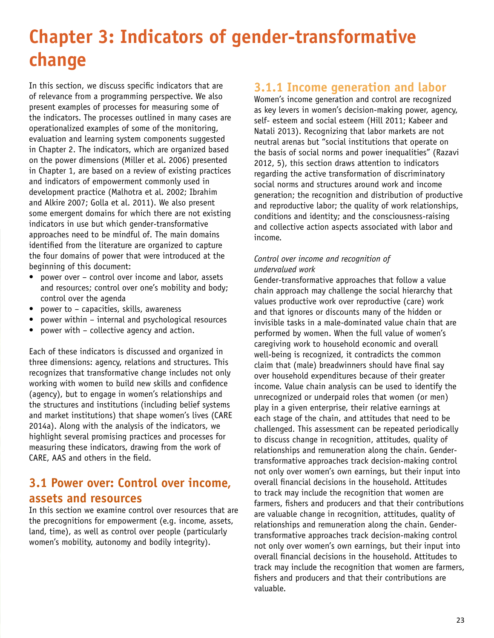# **Chapter 3: Indicators of gender-transformative change**

In this section, we discuss specific indicators that are of relevance from a programming perspective. We also present examples of processes for measuring some of the indicators. The processes outlined in many cases are operationalized examples of some of the monitoring, evaluation and learning system components suggested in Chapter 2. The indicators, which are organized based on the power dimensions (Miller et al. 2006) presented in Chapter 1, are based on a review of existing practices and indicators of empowerment commonly used in development practice (Malhotra et al. 2002; Ibrahim and Alkire 2007; Golla et al. 2011). We also present some emergent domains for which there are not existing indicators in use but which gender-transformative approaches need to be mindful of. The main domains identified from the literature are organized to capture the four domains of power that were introduced at the beginning of this document:

- power over control over income and labor, assets and resources; control over one's mobility and body; control over the agenda
- power to capacities, skills, awareness
- power within internal and psychological resources
- power with collective agency and action.

Each of these indicators is discussed and organized in three dimensions: agency, relations and structures. This recognizes that transformative change includes not only working with women to build new skills and confidence (agency), but to engage in women's relationships and the structures and institutions (including belief systems and market institutions) that shape women's lives (CARE 2014a). Along with the analysis of the indicators, we highlight several promising practices and processes for measuring these indicators, drawing from the work of CARE, AAS and others in the field.

### **3.1 Power over: Control over income, assets and resources**

In this section we examine control over resources that are the precognitions for empowerment (e.g. income, assets, land, time), as well as control over people (particularly women's mobility, autonomy and bodily integrity).

### **3.1.1 Income generation and labor**

Women's income generation and control are recognized as key levers in women's decision-making power, agency, self- esteem and social esteem (Hill 2011; Kabeer and Natali 2013). Recognizing that labor markets are not neutral arenas but "social institutions that operate on the basis of social norms and power inequalities" (Razavi 2012, 5), this section draws attention to indicators regarding the active transformation of discriminatory social norms and structures around work and income generation; the recognition and distribution of productive and reproductive labor; the quality of work relationships, conditions and identity; and the consciousness-raising and collective action aspects associated with labor and income.

### *Control over income and recognition of undervalued work*

Gender-transformative approaches that follow a value chain approach may challenge the social hierarchy that values productive work over reproductive (care) work and that ignores or discounts many of the hidden or invisible tasks in a male-dominated value chain that are performed by women. When the full value of women's caregiving work to household economic and overall well-being is recognized, it contradicts the common claim that (male) breadwinners should have final say over household expenditures because of their greater income. Value chain analysis can be used to identify the unrecognized or underpaid roles that women (or men) play in a given enterprise, their relative earnings at each stage of the chain, and attitudes that need to be challenged. This assessment can be repeated periodically to discuss change in recognition, attitudes, quality of relationships and remuneration along the chain. Gendertransformative approaches track decision-making control not only over women's own earnings, but their input into overall financial decisions in the household. Attitudes to track may include the recognition that women are farmers, fishers and producers and that their contributions are valuable change in recognition, attitudes, quality of relationships and remuneration along the chain. Gendertransformative approaches track decision-making control not only over women's own earnings, but their input into overall financial decisions in the household. Attitudes to track may include the recognition that women are farmers, fishers and producers and that their contributions are valuable.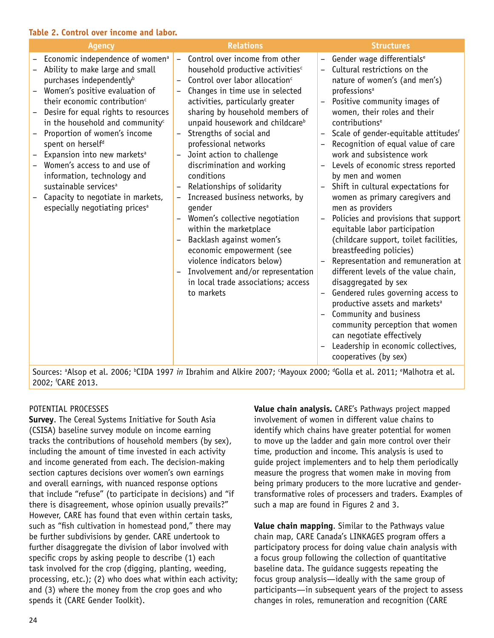#### **Table 2. Control over income and labor.**

| <b>Agency</b>                                                                                                                                                                                                                                                                                                                                                                                                                                                                                                                                                                                  | <b>Relations</b>                                                                                                                                                                                                                                                                                                                                                                                                                                                                                                                                                                                                                                                                                                                                                                                                                              | <b>Structures</b>                                                                                                                                                                                                                                                                                                                                                                                                                                                                                                                                                                                                                                                                                                                                                                                                                                                                                                                                                                                                                                      |
|------------------------------------------------------------------------------------------------------------------------------------------------------------------------------------------------------------------------------------------------------------------------------------------------------------------------------------------------------------------------------------------------------------------------------------------------------------------------------------------------------------------------------------------------------------------------------------------------|-----------------------------------------------------------------------------------------------------------------------------------------------------------------------------------------------------------------------------------------------------------------------------------------------------------------------------------------------------------------------------------------------------------------------------------------------------------------------------------------------------------------------------------------------------------------------------------------------------------------------------------------------------------------------------------------------------------------------------------------------------------------------------------------------------------------------------------------------|--------------------------------------------------------------------------------------------------------------------------------------------------------------------------------------------------------------------------------------------------------------------------------------------------------------------------------------------------------------------------------------------------------------------------------------------------------------------------------------------------------------------------------------------------------------------------------------------------------------------------------------------------------------------------------------------------------------------------------------------------------------------------------------------------------------------------------------------------------------------------------------------------------------------------------------------------------------------------------------------------------------------------------------------------------|
| Economic independence of women <sup>a</sup><br>Ability to make large and small<br>purchases independently <sup>b</sup><br>Women's positive evaluation of<br>their economic contribution <sup>c</sup><br>Desire for equal rights to resources<br>in the household and community <sup>c</sup><br>Proportion of women's income<br>spent on herself <sup>d</sup><br>Expansion into new markets <sup>a</sup><br>Women's access to and use of<br>information, technology and<br>sustainable services <sup>a</sup><br>Capacity to negotiate in markets,<br>especially negotiating prices <sup>a</sup> | Control over income from other<br>$\qquad \qquad -$<br>household productive activities <sup>c</sup><br>Control over labor allocation <sup>c</sup><br>Changes in time use in selected<br>activities, particularly greater<br>sharing by household members of<br>unpaid housework and childcare <sup>b</sup><br>Strengths of social and<br>professional networks<br>Joint action to challenge<br>discrimination and working<br>conditions<br>Relationships of solidarity<br>Increased business networks, by<br>qender<br>Women's collective negotiation<br>$\overline{\phantom{0}}$<br>within the marketplace<br>Backlash against women's<br>$\qquad \qquad -$<br>economic empowerment (see<br>violence indicators below)<br>Involvement and/or representation<br>$\overline{\phantom{0}}$<br>in local trade associations; access<br>to markets | Gender wage differentials <sup>e</sup><br>Cultural restrictions on the<br>$\qquad \qquad -$<br>nature of women's (and men's)<br>professions <sup>a</sup><br>Positive community images of<br>women, their roles and their<br>contributions <sup>e</sup><br>Scale of gender-equitable attitudesf<br>Recognition of equal value of care<br>work and subsistence work<br>Levels of economic stress reported<br>by men and women<br>Shift in cultural expectations for<br>women as primary caregivers and<br>men as providers<br>Policies and provisions that support<br>$\overline{\phantom{0}}$<br>equitable labor participation<br>(childcare support, toilet facilities,<br>breastfeeding policies)<br>Representation and remuneration at<br>different levels of the value chain,<br>disaggregated by sex<br>Gendered rules governing access to<br>productive assets and markets <sup>a</sup><br>Community and business<br>community perception that women<br>can negotiate effectively<br>Leadership in economic collectives,<br>cooperatives (by sex) |

Sources: <sup>a</sup>Alsop et al. 2006; <sup>b</sup>CIDA 1997 *in* Ibrahim and Alkire 2007; <sup>c</sup>Mayoux 2000; <sup>d</sup>Golla et al. 2011; <sup>e</sup>Malhotra et al. 2002; f CARE 2013.

### POTENTIAL PROCESSES

**Survey**. The Cereal Systems Initiative for South Asia (CSISA) baseline survey module on income earning tracks the contributions of household members (by sex), including the amount of time invested in each activity and income generated from each. The decision-making section captures decisions over women's own earnings and overall earnings, with nuanced response options that include "refuse" (to participate in decisions) and "if there is disagreement, whose opinion usually prevails?" However, CARE has found that even within certain tasks, such as "fish cultivation in homestead pond," there may be further subdivisions by gender. CARE undertook to further disaggregate the division of labor involved with specific crops by asking people to describe (1) each task involved for the crop (digging, planting, weeding, processing, etc.); (2) who does what within each activity; and (3) where the money from the crop goes and who spends it (CARE Gender Toolkit).

**Value chain analysis.** CARE's Pathways project mapped involvement of women in different value chains to identify which chains have greater potential for women to move up the ladder and gain more control over their time, production and income. This analysis is used to guide project implementers and to help them periodically measure the progress that women make in moving from being primary producers to the more lucrative and gendertransformative roles of processers and traders. Examples of such a map are found in Figures 2 and 3.

**Value chain mapping**. Similar to the Pathways value chain map, CARE Canada's LINKAGES program offers a participatory process for doing value chain analysis with a focus group following the collection of quantitative baseline data. The guidance suggests repeating the focus group analysis—ideally with the same group of participants—in subsequent years of the project to assess changes in roles, remuneration and recognition (CARE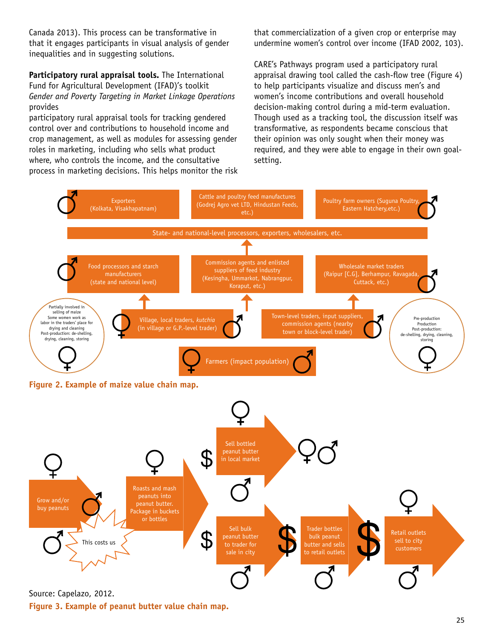Canada 2013). This process can be transformative in that it engages participants in visual analysis of gender inequalities and in suggesting solutions.

**Participatory rural appraisal tools.** The International Fund for Agricultural Development (IFAD)'s toolkit *Gender and Poverty Targeting in Market Linkage Operations*  provides

participatory rural appraisal tools for tracking gendered control over and contributions to household income and crop management, as well as modules for assessing gender roles in marketing, including who sells what product where, who controls the income, and the consultative process in marketing decisions. This helps monitor the risk that commercialization of a given crop or enterprise may undermine women's control over income (IFAD 2002, 103).

CARE's Pathways program used a participatory rural appraisal drawing tool called the cash-flow tree (Figure 4) to help participants visualize and discuss men's and women's income contributions and overall household decision-making control during a mid-term evaluation. Though used as a tracking tool, the discussion itself was transformative, as respondents became conscious that their opinion was only sought when their money was required, and they were able to engage in their own goalsetting.



Source: Capelazo, 2012.

**Figure 3. Example of peanut butter value chain map.**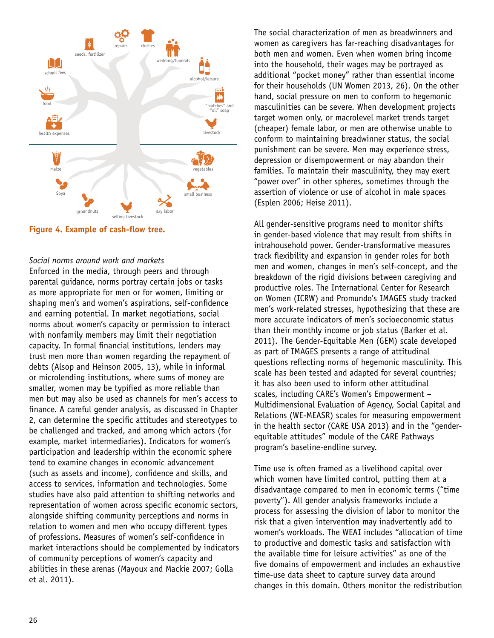

**Figure 4. Example of cash-flow tree.**

#### *Social norms around work and markets*

Enforced in the media, through peers and through parental guidance, norms portray certain jobs or tasks as more appropriate for men or for women, limiting or shaping men's and women's aspirations, self-confidence and earning potential. In market negotiations, social norms about women's capacity or permission to interact with nonfamily members may limit their negotiation capacity. In formal financial institutions, lenders may trust men more than women regarding the repayment of debts (Alsop and Heinson 2005, 13), while in informal or microlending institutions, where sums of money are smaller, women may be typified as more reliable than men but may also be used as channels for men's access to finance. A careful gender analysis, as discussed in Chapter 2, can determine the specific attitudes and stereotypes to be challenged and tracked, and among which actors (for example, market intermediaries). Indicators for women's participation and leadership within the economic sphere tend to examine changes in economic advancement (such as assets and income), confidence and skills, and access to services, information and technologies. Some studies have also paid attention to shifting networks and representation of women across specific economic sectors, alongside shifting community perceptions and norms in relation to women and men who occupy different types of professions. Measures of women's self-confidence in market interactions should be complemented by indicators of community perceptions of women's capacity and abilities in these arenas (Mayoux and Mackie 2007; Golla et al. 2011).

The social characterization of men as breadwinners and women as caregivers has far-reaching disadvantages for both men and women. Even when women bring income into the household, their wages may be portrayed as additional "pocket money" rather than essential income for their households (UN Women 2013, 26). On the other hand, social pressure on men to conform to hegemonic masculinities can be severe. When development projects target women only, or macrolevel market trends target (cheaper) female labor, or men are otherwise unable to conform to maintaining breadwinner status, the social punishment can be severe. Men may experience stress, depression or disempowerment or may abandon their families. To maintain their masculinity, they may exert "power over" in other spheres, sometimes through the assertion of violence or use of alcohol in male spaces (Esplen 2006; Heise 2011).

All gender-sensitive programs need to monitor shifts in gender-based violence that may result from shifts in intrahousehold power. Gender-transformative measures track flexibility and expansion in gender roles for both men and women, changes in men's self-concept, and the breakdown of the rigid divisions between caregiving and productive roles. The International Center for Research on Women (ICRW) and Promundo's IMAGES study tracked men's work-related stresses, hypothesizing that these are more accurate indicators of men's socioeconomic status than their monthly income or job status (Barker et al. 2011). The Gender-Equitable Men (GEM) scale developed as part of IMAGES presents a range of attitudinal questions reflecting norms of hegemonic masculinity. This scale has been tested and adapted for several countries; it has also been used to inform other attitudinal scales, including CARE's Women's Empowerment – Multidimensional Evaluation of Agency, Social Capital and Relations (WE-MEASR) scales for measuring empowerment in the health sector (CARE USA 2013) and in the "genderequitable attitudes" module of the CARE Pathways program's baseline-endline survey.

Time use is often framed as a livelihood capital over which women have limited control, putting them at a disadvantage compared to men in economic terms ("time poverty"). All gender analysis frameworks include a process for assessing the division of labor to monitor the risk that a given intervention may inadvertently add to women's workloads. The WEAI includes "allocation of time to productive and domestic tasks and satisfaction with the available time for leisure activities" as one of the five domains of empowerment and includes an exhaustive time-use data sheet to capture survey data around changes in this domain. Others monitor the redistribution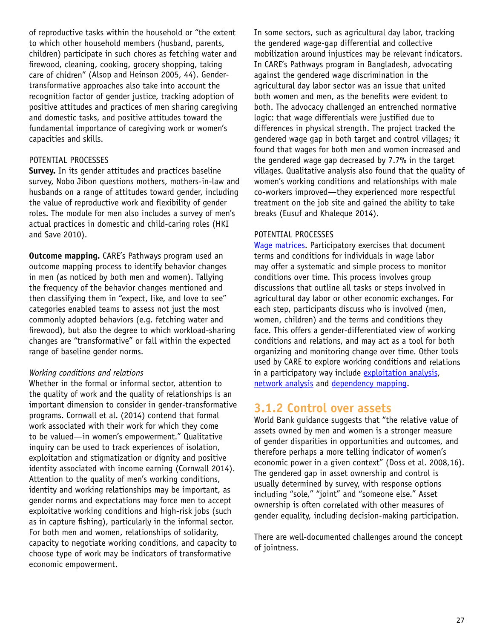of reproductive tasks within the household or "the extent to which other household members (husband, parents, children) participate in such chores as fetching water and firewood, cleaning, cooking, grocery shopping, taking care of chidren" (Alsop and Heinson 2005, 44). Gendertransformative approaches also take into account the recognition factor of gender justice, tracking adoption of positive attitudes and practices of men sharing caregiving and domestic tasks, and positive attitudes toward the fundamental importance of caregiving work or women's capacities and skills.

#### POTENTIAL PROCESSES

**Survey.** In its gender attitudes and practices baseline survey, Nobo Jibon questions mothers, mothers-in-law and husbands on a range of attitudes toward gender, including the value of reproductive work and flexibility of gender roles. The module for men also includes a survey of men's actual practices in domestic and child-caring roles (HKI and Save 2010).

**Outcome mapping.** CARE's Pathways program used an outcome mapping process to identify behavior changes in men (as noticed by both men and women). Tallying the frequency of the behavior changes mentioned and then classifying them in "expect, like, and love to see" categories enabled teams to assess not just the most commonly adopted behaviors (e.g. fetching water and firewood), but also the degree to which workload-sharing changes are "transformative" or fall within the expected range of baseline gender norms.

#### *Working conditions and relations*

Whether in the formal or informal sector, attention to the quality of work and the quality of relationships is an important dimension to consider in gender-transformative programs. Cornwall et al. (2014) contend that formal work associated with their work for which they come to be valued—in women's empowerment." Qualitative inquiry can be used to track experiences of isolation, exploitation and stigmatization or dignity and positive identity associated with income earning (Cornwall 2014). Attention to the quality of men's working conditions, identity and working relationships may be important, as gender norms and expectations may force men to accept exploitative working conditions and high-risk jobs (such as in capture fishing), particularly in the informal sector. For both men and women, relationships of solidarity, capacity to negotiate working conditions, and capacity to choose type of work may be indicators of transformative economic empowerment.

In some sectors, such as agricultural day labor, tracking the gendered wage-gap differential and collective mobilization around injustices may be relevant indicators. In CARE's Pathways program in Bangladesh, advocating against the gendered wage discrimination in the agricultural day labor sector was an issue that united both women and men, as the benefits were evident to both. The advocacy challenged an entrenched normative logic: that wage differentials were justified due to differences in physical strength. The project tracked the gendered wage gap in both target and control villages; it found that wages for both men and women increased and the gendered wage gap decreased by 7.7% in the target villages. Qualitative analysis also found that the quality of women's working conditions and relationships with male co-workers improved—they experienced more respectful treatment on the job site and gained the ability to take breaks (Eusuf and Khaleque 2014).

#### POTENTIAL PROCESSES

[Wage matrices.](http://gendertoolkit.care.org/Pages/wage%20analysis.aspx) Participatory exercises that document terms and conditions for individuals in wage labor may offer a systematic and simple process to monitor conditions over time. This process involves group discussions that outline all tasks or steps involved in agricultural day labor or other economic exchanges. For each step, participants discuss who is involved (men, women, children) and the terms and conditions they face. This offers a gender-differentiated view of working conditions and relations, and may act as a tool for both organizing and monitoring change over time. Other tools used by CARE to explore working conditions and relations in a participatory way include [exploitation analysis](http://gendertoolkit.care.org/Pages/exploitation%20analysis.aspx), [network analysis](http://gendertoolkit.care.org/Pages/network%20analysis.aspx) and [dependency mapping](http://gendertoolkit.care.org/Pages/dependency%20mapping.aspx).

### **3.1.2 Control over assets**

World Bank guidance suggests that "the relative value of assets owned by men and women is a stronger measure of gender disparities in opportunities and outcomes, and therefore perhaps a more telling indicator of women's economic power in a given context" (Doss et al. 2008,16). The gendered gap in asset ownership and control is usually determined by survey, with response options including "sole," "joint" and "someone else." Asset ownership is often correlated with other measures of gender equality, including decision-making participation.

There are well-documented challenges around the concept of jointness.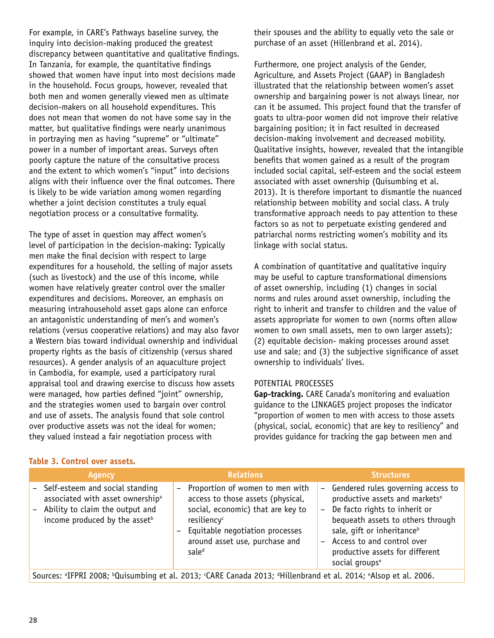For example, in CARE's Pathways baseline survey, the inquiry into decision-making produced the greatest discrepancy between quantitative and qualitative findings. In Tanzania, for example, the quantitative findings showed that women have input into most decisions made in the household. Focus groups, however, revealed that both men and women generally viewed men as ultimate decision-makers on all household expenditures. This does not mean that women do not have some say in the matter, but qualitative findings were nearly unanimous in portraying men as having "supreme" or "ultimate" power in a number of important areas. Surveys often poorly capture the nature of the consultative process and the extent to which women's "input" into decisions aligns with their influence over the final outcomes. There is likely to be wide variation among women regarding whether a joint decision constitutes a truly equal negotiation process or a consultative formality.

The type of asset in question may affect women's level of participation in the decision-making: Typically men make the final decision with respect to large expenditures for a household, the selling of major assets (such as livestock) and the use of this income, while women have relatively greater control over the smaller expenditures and decisions. Moreover, an emphasis on measuring intrahousehold asset gaps alone can enforce an antagonistic understanding of men's and women's relations (versus cooperative relations) and may also favor a Western bias toward individual ownership and individual property rights as the basis of citizenship (versus shared resources). A gender analysis of an aquaculture project in Cambodia, for example, used a participatory rural appraisal tool and drawing exercise to discuss how assets were managed, how parties defined "joint" ownership, and the strategies women used to bargain over control and use of assets. The analysis found that sole control over productive assets was not the ideal for women; they valued instead a fair negotiation process with

their spouses and the ability to equally veto the sale or purchase of an asset (Hillenbrand et al. 2014).

Furthermore, one project analysis of the Gender, Agriculture, and Assets Project (GAAP) in Bangladesh illustrated that the relationship between women's asset ownership and bargaining power is not always linear, nor can it be assumed. This project found that the transfer of goats to ultra-poor women did not improve their relative bargaining position; it in fact resulted in decreased decision-making involvement and decreased mobility. Qualitative insights, however, revealed that the intangible benefits that women gained as a result of the program included social capital, self-esteem and the social esteem associated with asset ownership (Quisumbing et al. 2013). It is therefore important to dismantle the nuanced relationship between mobility and social class. A truly transformative approach needs to pay attention to these factors so as not to perpetuate existing gendered and patriarchal norms restricting women's mobility and its linkage with social status.

A combination of quantitative and qualitative inquiry may be useful to capture transformational dimensions of asset ownership, including (1) changes in social norms and rules around asset ownership, including the right to inherit and transfer to children and the value of assets appropriate for women to own (norms often allow women to own small assets, men to own larger assets); (2) equitable decision- making processes around asset use and sale; and (3) the subjective significance of asset ownership to individuals' lives.

#### POTENTIAL PROCESSES

**Gap-tracking.** CARE Canada's monitoring and evaluation guidance to the LINKAGES project proposes the indicator "proportion of women to men with access to those assets (physical, social, economic) that are key to resiliency" and provides guidance for tracking the gap between men and

| <b>Agency</b>                                                                                                                                                       |  | <b>Relations</b>                                                                                                                                                                                                               |  | <b>Structures</b>                                                                                                                                                                                                                                                                                     |  |
|---------------------------------------------------------------------------------------------------------------------------------------------------------------------|--|--------------------------------------------------------------------------------------------------------------------------------------------------------------------------------------------------------------------------------|--|-------------------------------------------------------------------------------------------------------------------------------------------------------------------------------------------------------------------------------------------------------------------------------------------------------|--|
| - Self-esteem and social standing<br>associated with asset ownership <sup>a</sup><br>- Ability to claim the output and<br>income produced by the asset <sup>b</sup> |  | Proportion of women to men with<br>access to those assets (physical,<br>social, economic) that are key to<br>resiliency <sup>c</sup><br>Equitable negotiation processes<br>around asset use, purchase and<br>sale <sup>d</sup> |  | - Gendered rules governing access to<br>productive assets and markets <sup>e</sup><br>- De facto rights to inherit or<br>bequeath assets to others through<br>sale, gift or inheritance <sup>b</sup><br>- Access to and control over<br>productive assets for different<br>social groups <sup>e</sup> |  |
| Sources: <sup>a</sup> IFPRI 2008; <sup>b</sup> Quisumbing et al. 2013; CARE Canada 2013; <sup>d</sup> Hillenbrand et al. 2014; <sup>e</sup> Alsop et al. 2006.      |  |                                                                                                                                                                                                                                |  |                                                                                                                                                                                                                                                                                                       |  |

#### **Table 3. Control over assets.**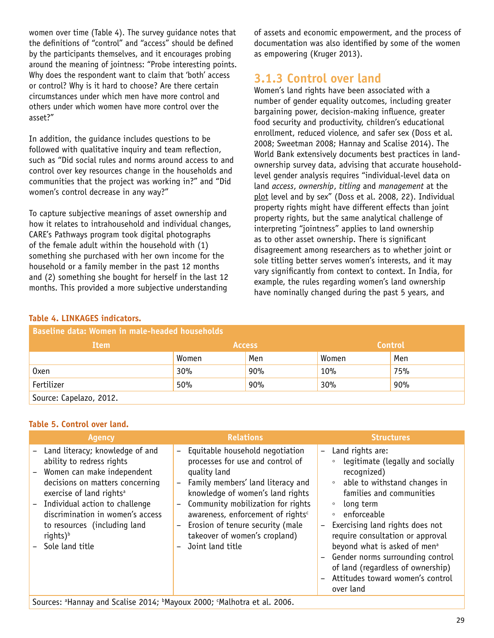women over time (Table 4). The survey guidance notes that the definitions of "control" and "access" should be defined by the participants themselves, and it encourages probing around the meaning of jointness: "Probe interesting points. Why does the respondent want to claim that 'both' access or control? Why is it hard to choose? Are there certain circumstances under which men have more control and others under which women have more control over the asset?"

In addition, the guidance includes questions to be followed with qualitative inquiry and team reflection, such as "Did social rules and norms around access to and control over key resources change in the households and communities that the project was working in?" and "Did women's control decrease in any way?"

To capture subjective meanings of asset ownership and how it relates to intrahousehold and individual changes, CARE's Pathways program took digital photographs of the female adult within the household with (1) something she purchased with her own income for the household or a family member in the past 12 months and (2) something she bought for herself in the last 12 months. This provided a more subjective understanding

of assets and economic empowerment, and the process of documentation was also identified by some of the women as empowering (Kruger 2013).

### **3.1.3 Control over land**

Women's land rights have been associated with a number of gender equality outcomes, including greater bargaining power, decision-making influence, greater food security and productivity, children's educational enrollment, reduced violence, and safer sex (Doss et al. 2008; Sweetman 2008; Hannay and Scalise 2014). The World Bank extensively documents best practices in landownership survey data, advising that accurate householdlevel gender analysis requires "individual-level data on land *access*, *ownership*, *titling* and *management* at the plot level and by sex" (Doss et al. 2008, 22). Individual property rights might have different effects than joint property rights, but the same analytical challenge of interpreting "jointness" applies to land ownership as to other asset ownership. There is significant disagreement among researchers as to whether joint or sole titling better serves women's interests, and it may vary significantly from context to context. In India, for example, the rules regarding women's land ownership have nominally changed during the past 5 years, and

| <b>Baseline data: Women in male-headed households</b> |       |               |       |                |  |  |  |  |
|-------------------------------------------------------|-------|---------------|-------|----------------|--|--|--|--|
| Item                                                  |       | <b>Access</b> |       | <b>Control</b> |  |  |  |  |
|                                                       | Women | Men           | Women | Men            |  |  |  |  |
| 0xen                                                  | 30%   | 90%           | 10%   | 75%            |  |  |  |  |
| Fertilizer                                            | 50%   | 90%           | 30%   | 90%            |  |  |  |  |
| Source: Capelazo, 2012.                               |       |               |       |                |  |  |  |  |

### **Table 4. LINKAGES indicators.**

### **Table 5. Control over land.**

| <b>Agency</b>                                                                                                                                                                                                                                                                                                       |     | <b>Relations</b>                                                                                                                                                                                                                                                                                                                                    | <b>Structures</b>                                                                                                                                                                                                                                                                                                                                                                            |
|---------------------------------------------------------------------------------------------------------------------------------------------------------------------------------------------------------------------------------------------------------------------------------------------------------------------|-----|-----------------------------------------------------------------------------------------------------------------------------------------------------------------------------------------------------------------------------------------------------------------------------------------------------------------------------------------------------|----------------------------------------------------------------------------------------------------------------------------------------------------------------------------------------------------------------------------------------------------------------------------------------------------------------------------------------------------------------------------------------------|
| - Land literacy; knowledge of and<br>ability to redress rights<br>- Women can make independent<br>decisions on matters concerning<br>exercise of land rights <sup>a</sup><br>- Individual action to challenge<br>discrimination in women's access<br>to resources (including land<br>rights) $b$<br>Sole land title | $-$ | Equitable household negotiation<br>processes for use and control of<br>quality land<br>- Family members' land literacy and<br>knowledge of women's land rights<br>- Community mobilization for rights<br>awareness, enforcement of rights <sup>c</sup><br>- Erosion of tenure security (male<br>takeover of women's cropland)<br>- Joint land title | Land rights are:<br>legitimate (legally and socially<br>$\circ$<br>recognized)<br>• able to withstand changes in<br>families and communities<br>long term<br>$\circ$<br>enforceable<br>$\circ$<br>Exercising land rights does not<br>require consultation or approval<br>beyond what is asked of men <sup>a</sup><br>- Gender norms surrounding control<br>of land (regardless of ownership) |
|                                                                                                                                                                                                                                                                                                                     |     |                                                                                                                                                                                                                                                                                                                                                     | Attitudes toward women's control                                                                                                                                                                                                                                                                                                                                                             |
|                                                                                                                                                                                                                                                                                                                     |     |                                                                                                                                                                                                                                                                                                                                                     | over land                                                                                                                                                                                                                                                                                                                                                                                    |

Sources: <sup>a</sup>Hannay and Scalise 2014; bMayoux 2000; <sup>c</sup>Malhotra et al. 2006.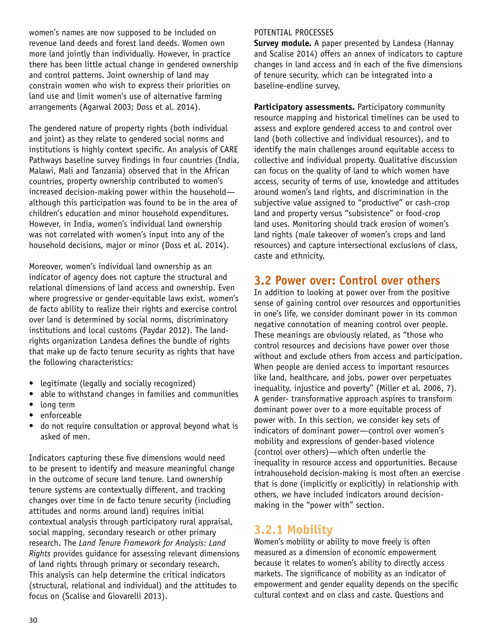women's names are now supposed to be included on revenue land deeds and forest land deeds. Women own more land jointly than individually. However, in practice there has been little actual change in gendered ownership and control patterns. Joint ownership of land may constrain women who wish to express their priorities on land use and limit women's use of alternative farming arrangements (Agarwal 2003; Doss et al. 2014).

The gendered nature of property rights (both individual and joint) as they relate to gendered social norms and institutions is highly context specific. An analysis of CARE Pathways baseline survey findings in four countries (India, Malawi, Mali and Tanzania) observed that in the African countries, property ownership contributed to women's increased decision-making power within the household although this participation was found to be in the area of children's education and minor household expenditures. However, in India, women's individual land ownership was not correlated with women's input into any of the household decisions, major or minor (Doss et al. 2014).

Moreover, women's individual land ownership as an indicator of agency does not capture the structural and relational dimensions of land access and ownership. Even where progressive or gender-equitable laws exist, women's de facto ability to realize their rights and exercise control over land is determined by social norms, discriminatory institutions and local customs (Paydar 2012). The landrights organization Landesa defines the bundle of rights that make up de facto tenure security as rights that have the following characteristics:

- legitimate (legally and socially recognized)
- able to withstand changes in families and communities
- long term
- enforceable
- do not require consultation or approval beyond what is asked of men.

Indicators capturing these five dimensions would need to be present to identify and measure meaningful change in the outcome of secure land tenure. Land ownership tenure systems are contextually different, and tracking changes over time in de facto tenure security (including attitudes and norms around land) requires initial contextual analysis through participatory rural appraisal, social mapping, secondary research or other primary research. The *Land Tenure Framework for Analysis: Land Rights* provides guidance for assessing relevant dimensions of land rights through primary or secondary research. This analysis can help determine the critical indicators (structural, relational and individual) and the attitudes to focus on (Scalise and Giovarelli 2013).

#### POTENTIAL PROCESSES

**Survey module.** A paper presented by Landesa (Hannay and Scalise 2014) offers an annex of indicators to capture changes in land access and in each of the five dimensions of tenure security, which can be integrated into a baseline-endline survey.

**Participatory assessments.** Participatory community resource mapping and historical timelines can be used to assess and explore gendered access to and control over land (both collective and individual resources), and to identify the main challenges around equitable access to collective and individual property. Qualitative discussion can focus on the quality of land to which women have access, security of terms of use, knowledge and attitudes around women's land rights, and discrimination in the subjective value assigned to "productive" or cash-crop land and property versus "subsistence" or food-crop land uses. Monitoring should track erosion of women's land rights (male takeover of women's crops and land resources) and capture intersectional exclusions of class, caste and ethnicity.

### **3.2 Power over: Control over others**

In addition to looking at power over from the positive sense of gaining control over resources and opportunities in one's life, we consider dominant power in its common negative connotation of meaning control over people. These meanings are obviously related, as "those who control resources and decisions have power over those without and exclude others from access and participation. When people are denied access to important resources like land, healthcare, and jobs, power over perpetuates inequality, injustice and poverty" (Miller et al. 2006, 7). A gender- transformative approach aspires to transform dominant power over to a more equitable process of power with. In this section, we consider key sets of indicators of dominant power—control over women's mobility and expressions of gender-based violence (control over others)—which often underlie the inequality in resource access and opportunities. Because intrahousehold decision-making is most often an exercise that is done (implicitly or explicitly) in relationship with others, we have included indicators around decisionmaking in the "power with" section.

### **3.2.1 Mobility**

Women's mobility or ability to move freely is often measured as a dimension of economic empowerment because it relates to women's ability to directly access markets. The significance of mobility as an indicator of empowerment and gender equality depends on the specific cultural context and on class and caste. Questions and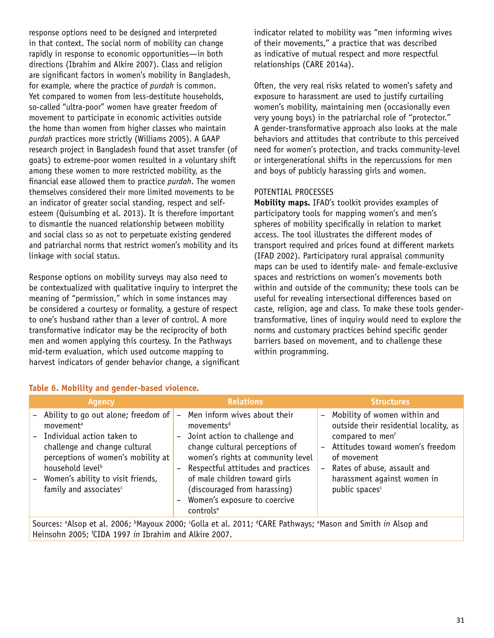response options need to be designed and interpreted in that context. The social norm of mobility can change rapidly in response to economic opportunities—in both directions (Ibrahim and Alkire 2007). Class and religion are significant factors in women's mobility in Bangladesh, for example, where the practice of *purdah* is common. Yet compared to women from less-destitute households, so-called "ultra-poor" women have greater freedom of movement to participate in economic activities outside the home than women from higher classes who maintain *purdah* practices more strictly (Williams 2005). A GAAP research project in Bangladesh found that asset transfer (of goats) to extreme-poor women resulted in a voluntary shift among these women to more restricted mobility, as the financial ease allowed them to practice *purdah*. The women themselves considered their more limited movements to be an indicator of greater social standing, respect and selfesteem (Quisumbing et al. 2013). It is therefore important to dismantle the nuanced relationship between mobility and social class so as not to perpetuate existing gendered and patriarchal norms that restrict women's mobility and its linkage with social status.

Response options on mobility surveys may also need to be contextualized with qualitative inquiry to interpret the meaning of "permission," which in some instances may be considered a courtesy or formality, a gesture of respect to one's husband rather than a lever of control. A more transformative indicator may be the reciprocity of both men and women applying this courtesy. In the Pathways mid-term evaluation, which used outcome mapping to harvest indicators of gender behavior change, a significant indicator related to mobility was "men informing wives of their movements," a practice that was described as indicative of mutual respect and more respectful relationships (CARE 2014a).

Often, the very real risks related to women's safety and exposure to harassment are used to justify curtailing women's mobility, maintaining men (occasionally even very young boys) in the patriarchal role of "protector." A gender-transformative approach also looks at the male behaviors and attitudes that contribute to this perceived need for women's protection, and tracks community-level or intergenerational shifts in the repercussions for men and boys of publicly harassing girls and women.

### POTENTIAL PROCESSES

**Mobility maps.** IFAD's toolkit provides examples of participatory tools for mapping women's and men's spheres of mobility specifically in relation to market access. The tool illustrates the different modes of transport required and prices found at different markets (IFAD 2002). Participatory rural appraisal community maps can be used to identify male- and female-exclusive spaces and restrictions on women's movements both within and outside of the community; these tools can be useful for revealing intersectional differences based on caste, religion, age and class. To make these tools gendertransformative, lines of inquiry would need to explore the norms and customary practices behind specific gender barriers based on movement, and to challenge these within programming.

#### **Table 6. Mobility and gender-based violence.**

| Agency                                                                                                                                                                                                                                                                             |                                                                                                       | <b>Relations</b>                                                                                                                                                                                                                                                                                                               |                                                                                  | <b>Structures</b>                                                                                                                                                                                                                         |  |
|------------------------------------------------------------------------------------------------------------------------------------------------------------------------------------------------------------------------------------------------------------------------------------|-------------------------------------------------------------------------------------------------------|--------------------------------------------------------------------------------------------------------------------------------------------------------------------------------------------------------------------------------------------------------------------------------------------------------------------------------|----------------------------------------------------------------------------------|-------------------------------------------------------------------------------------------------------------------------------------------------------------------------------------------------------------------------------------------|--|
| - Ability to go out alone; freedom of<br>movement <sup>a</sup><br>- Individual action taken to<br>challenge and change cultural<br>perceptions of women's mobility at<br>household level <sup>b</sup><br>- Women's ability to visit friends,<br>family and associates <sup>c</sup> | $\overline{\phantom{0}}$<br>$\overline{\phantom{a}}$<br>$\qquad \qquad -$<br>$\overline{\phantom{m}}$ | Men inform wives about their<br>movements <sup>d</sup><br>Joint action to challenge and<br>change cultural perceptions of<br>women's rights at community level<br>Respectful attitudes and practices<br>of male children toward girls<br>(discouraged from harassing)<br>Women's exposure to coercive<br>controls <sup>e</sup> | $\overline{\phantom{a}}$<br>$\overline{\phantom{a}}$<br>$\overline{\phantom{a}}$ | Mobility of women within and<br>outside their residential locality, as<br>compared to menf<br>Attitudes toward women's freedom<br>of movement<br>Rates of abuse, assault and<br>harassment against women in<br>public spaces <sup>c</sup> |  |
| Sources: <sup>a</sup> Alsop et al. 2006; <sup>b</sup> Mayoux 2000; <sup>c</sup> Golla et al. 2011; <sup>d</sup> CARE Pathways; <sup>e</sup> Mason and Smith <i>in</i> Alsop and<br>Heinsohn 2005; <sup>f</sup> CIDA 1997 in Ibrahim and Alkire 2007.                               |                                                                                                       |                                                                                                                                                                                                                                                                                                                                |                                                                                  |                                                                                                                                                                                                                                           |  |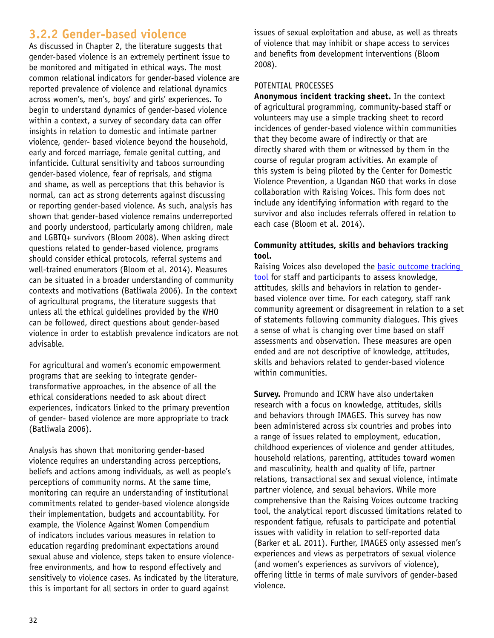## **3.2.2 Gender-based violence**

As discussed in Chapter 2, the literature suggests that gender-based violence is an extremely pertinent issue to be monitored and mitigated in ethical ways. The most common relational indicators for gender-based violence are reported prevalence of violence and relational dynamics across women's, men's, boys' and girls' experiences. To begin to understand dynamics of gender-based violence within a context, a survey of secondary data can offer insights in relation to domestic and intimate partner violence, gender- based violence beyond the household, early and forced marriage, female genital cutting, and infanticide. Cultural sensitivity and taboos surrounding gender-based violence, fear of reprisals, and stigma and shame, as well as perceptions that this behavior is normal, can act as strong deterrents against discussing or reporting gender-based violence. As such, analysis has shown that gender-based violence remains underreported and poorly understood, particularly among children, male and LGBTQ+ survivors (Bloom 2008). When asking direct questions related to gender-based violence, programs should consider ethical protocols, referral systems and well-trained enumerators (Bloom et al. 2014). Measures can be situated in a broader understanding of community contexts and motivations (Batliwala 2006). In the context of agricultural programs, the literature suggests that unless all the ethical guidelines provided by the WHO can be followed, direct questions about gender-based violence in order to establish prevalence indicators are not advisable.

For agricultural and women's economic empowerment programs that are seeking to integrate gendertransformative approaches, in the absence of all the ethical considerations needed to ask about direct experiences, indicators linked to the primary prevention of gender- based violence are more appropriate to track (Batliwala 2006).

Analysis has shown that monitoring gender-based violence requires an understanding across perceptions, beliefs and actions among individuals, as well as people's perceptions of community norms. At the same time, monitoring can require an understanding of institutional commitments related to gender-based violence alongside their implementation, budgets and accountability. For example, the Violence Against Women Compendium of indicators includes various measures in relation to education regarding predominant expectations around sexual abuse and violence, steps taken to ensure violencefree environments, and how to respond effectively and sensitively to violence cases. As indicated by the literature, this is important for all sectors in order to guard against

issues of sexual exploitation and abuse, as well as threats of violence that may inhibit or shape access to services and benefits from development interventions (Bloom 2008).

#### POTENTIAL PROCESSES

**Anonymous incident tracking sheet.** In the context of agricultural programming, community-based staff or volunteers may use a simple tracking sheet to record incidences of gender-based violence within communities that they become aware of indirectly or that are directly shared with them or witnessed by them in the course of regular program activities. An example of this system is being piloted by the Center for Domestic Violence Prevention, a Ugandan NGO that works in close collaboration with Raising Voices. This form does not include any identifying information with regard to the survivor and also includes referrals offered in relation to each case (Bloom et al. 2014).

### **Community attitudes, skills and behaviors tracking tool.**

Raising Voices also developed the [basic outcome tracking](http://www.raisingvoices.org/wp-content/uploads/2013/03/downloads/Activism/SBL/BasicMonitoringToolsOutcomeTrackingTool.pdf)  [tool](http://www.raisingvoices.org/wp-content/uploads/2013/03/downloads/Activism/SBL/BasicMonitoringToolsOutcomeTrackingTool.pdf) for staff and participants to assess knowledge, attitudes, skills and behaviors in relation to genderbased violence over time. For each category, staff rank community agreement or disagreement in relation to a set of statements following community dialogues. This gives a sense of what is changing over time based on staff assessments and observation. These measures are open ended and are not descriptive of knowledge, attitudes, skills and behaviors related to gender-based violence within communities.

**Survey.** Promundo and ICRW have also undertaken research with a focus on knowledge, attitudes, skills and behaviors through IMAGES. This survey has now been administered across six countries and probes into a range of issues related to employment, education, childhood experiences of violence and gender attitudes, household relations, parenting, attitudes toward women and masculinity, health and quality of life, partner relations, transactional sex and sexual violence, intimate partner violence, and sexual behaviors. While more comprehensive than the Raising Voices outcome tracking tool, the analytical report discussed limitations related to respondent fatigue, refusals to participate and potential issues with validity in relation to self-reported data (Barker et al. 2011). Further, IMAGES only assessed men's experiences and views as perpetrators of sexual violence (and women's experiences as survivors of violence), offering little in terms of male survivors of gender-based violence.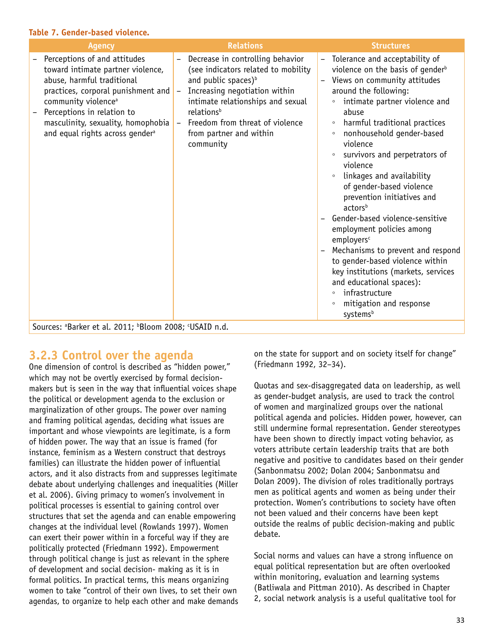#### **Table 7. Gender-based violence.**

| <b>Agency</b>                                                                                                                                                                                                                                                                               | <b>Relations</b>                                                                                                                                                                                                                                                                                  | <b>Structures</b>                                                                                                                                                                                                                                                                                                                                                                                                                                                                                                                                                                                                                                                                                                                                                                                                  |
|---------------------------------------------------------------------------------------------------------------------------------------------------------------------------------------------------------------------------------------------------------------------------------------------|---------------------------------------------------------------------------------------------------------------------------------------------------------------------------------------------------------------------------------------------------------------------------------------------------|--------------------------------------------------------------------------------------------------------------------------------------------------------------------------------------------------------------------------------------------------------------------------------------------------------------------------------------------------------------------------------------------------------------------------------------------------------------------------------------------------------------------------------------------------------------------------------------------------------------------------------------------------------------------------------------------------------------------------------------------------------------------------------------------------------------------|
| Perceptions of and attitudes<br>toward intimate partner violence,<br>abuse, harmful traditional<br>practices, corporal punishment and<br>community violence <sup>a</sup><br>Perceptions in relation to<br>masculinity, sexuality, homophobia<br>and equal rights across gender <sup>a</sup> | Decrease in controlling behavior<br>$\equiv$<br>(see indicators related to mobility<br>and public spaces) <sup>b</sup><br>Increasing negotiation within<br>intimate relationships and sexual<br>relations <sup>b</sup><br>Freedom from threat of violence<br>from partner and within<br>community | Tolerance and acceptability of<br>$\overline{\phantom{m}}$<br>violence on the basis of gender <sup>b</sup><br>Views on community attitudes<br>around the following:<br>intimate partner violence and<br>$\circ$<br>abuse<br>harmful traditional practices<br>$\circ$<br>nonhousehold gender-based<br>$\circ$<br>violence<br>survivors and perpetrators of<br>violence<br>linkages and availability<br>$\circ$<br>of gender-based violence<br>prevention initiatives and<br>actors <sup>b</sup><br>Gender-based violence-sensitive<br>employment policies among<br>employers <sup>c</sup><br>Mechanisms to prevent and respond<br>to gender-based violence within<br>key institutions (markets, services<br>and educational spaces):<br>infrastructure<br>$\circ$<br>mitigation and response<br>$\circ$<br>systemsb |

Sources: a Barker et al. 2011; b Bloom 2008; c USAID n.d.

## **3.2.3 Control over the agenda**

One dimension of control is described as "hidden power," which may not be overtly exercised by formal decisionmakers but is seen in the way that influential voices shape the political or development agenda to the exclusion or marginalization of other groups. The power over naming and framing political agendas, deciding what issues are important and whose viewpoints are legitimate, is a form of hidden power. The way that an issue is framed (for instance, feminism as a Western construct that destroys families) can illustrate the hidden power of influential actors, and it also distracts from and suppresses legitimate debate about underlying challenges and inequalities (Miller et al. 2006). Giving primacy to women's involvement in political processes is essential to gaining control over structures that set the agenda and can enable empowering changes at the individual level (Rowlands 1997). Women can exert their power within in a forceful way if they are politically protected (Friedmann 1992). Empowerment through political change is just as relevant in the sphere of development and social decision- making as it is in formal politics. In practical terms, this means organizing women to take "control of their own lives, to set their own agendas, to organize to help each other and make demands on the state for support and on society itself for change" (Friedmann 1992, 32–34).

Quotas and sex-disaggregated data on leadership, as well as gender-budget analysis, are used to track the control of women and marginalized groups over the national political agenda and policies. Hidden power, however, can still undermine formal representation. Gender stereotypes have been shown to directly impact voting behavior, as voters attribute certain leadership traits that are both negative and positive to candidates based on their gender (Sanbonmatsu 2002; Dolan 2004; Sanbonmatsu and Dolan 2009). The division of roles traditionally portrays men as political agents and women as being under their protection. Women's contributions to society have often not been valued and their concerns have been kept outside the realms of public decision-making and public debate.

Social norms and values can have a strong influence on equal political representation but are often overlooked within monitoring, evaluation and learning systems (Batliwala and Pittman 2010). As described in Chapter 2, social network analysis is a useful qualitative tool for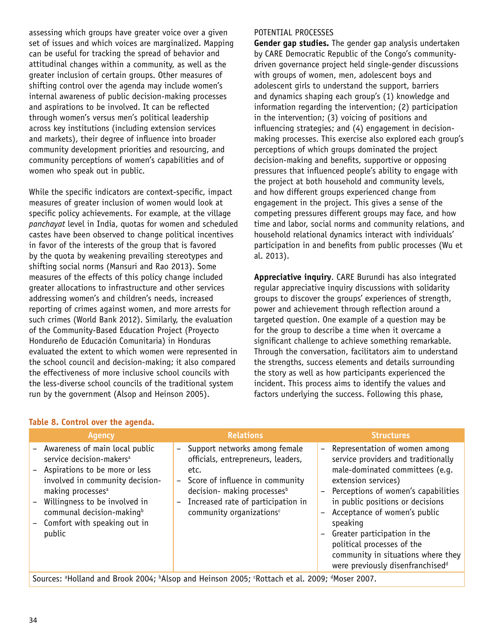assessing which groups have greater voice over a given set of issues and which voices are marginalized. Mapping can be useful for tracking the spread of behavior and attitudinal changes within a community, as well as the greater inclusion of certain groups. Other measures of shifting control over the agenda may include women's internal awareness of public decision-making processes and aspirations to be involved. It can be reflected through women's versus men's political leadership across key institutions (including extension services and markets), their degree of influence into broader community development priorities and resourcing, and community perceptions of women's capabilities and of women who speak out in public.

While the specific indicators are context-specific, impact measures of greater inclusion of women would look at specific policy achievements. For example, at the village *panchayat* level in India, quotas for women and scheduled castes have been observed to change political incentives in favor of the interests of the group that is favored by the quota by weakening prevailing stereotypes and shifting social norms (Mansuri and Rao 2013). Some measures of the effects of this policy change included greater allocations to infrastructure and other services addressing women's and children's needs, increased reporting of crimes against women, and more arrests for such crimes (World Bank 2012). Similarly, the evaluation of the Community-Based Education Project (Proyecto Hondureño de Educación Comunitaria) in Honduras evaluated the extent to which women were represented in the school council and decision-making; it also compared the effectiveness of more inclusive school councils with the less-diverse school councils of the traditional system run by the government (Alsop and Heinson 2005).

**Table 8. Control over the agenda.**

### POTENTIAL PROCESSES

**Gender gap studies.** The gender gap analysis undertaken by CARE Democratic Republic of the Congo's communitydriven governance project held single-gender discussions with groups of women, men, adolescent boys and adolescent girls to understand the support, barriers and dynamics shaping each group's (1) knowledge and information regarding the intervention; (2) participation in the intervention; (3) voicing of positions and influencing strategies; and (4) engagement in decisionmaking processes. This exercise also explored each group's perceptions of which groups dominated the project decision-making and benefits, supportive or opposing pressures that influenced people's ability to engage with the project at both household and community levels, and how different groups experienced change from engagement in the project. This gives a sense of the competing pressures different groups may face, and how time and labor, social norms and community relations, and household relational dynamics interact with individuals' participation in and benefits from public processes (Wu et al. 2013).

**Appreciative inquiry**. CARE Burundi has also integrated regular appreciative inquiry discussions with solidarity groups to discover the groups' experiences of strength, power and achievement through reflection around a targeted question. One example of a question may be for the group to describe a time when it overcame a significant challenge to achieve something remarkable. Through the conversation, facilitators aim to understand the strengths, success elements and details surrounding the story as well as how participants experienced the incident. This process aims to identify the values and factors underlying the success. Following this phase,

| <b>Agency</b>                                                                                                                                                                                                                                                                                      | <b>Relations</b>                                                                                                                                                                                                                                   | <b>Structures</b>                                                                                                                                                                                                                                                                                                                                                                                                                                                                               |
|----------------------------------------------------------------------------------------------------------------------------------------------------------------------------------------------------------------------------------------------------------------------------------------------------|----------------------------------------------------------------------------------------------------------------------------------------------------------------------------------------------------------------------------------------------------|-------------------------------------------------------------------------------------------------------------------------------------------------------------------------------------------------------------------------------------------------------------------------------------------------------------------------------------------------------------------------------------------------------------------------------------------------------------------------------------------------|
| - Awareness of main local public<br>service decision-makers <sup>a</sup><br>Aspirations to be more or less<br>involved in community decision-<br>making processes <sup>a</sup><br>Willingness to be involved in<br>communal decision-making <sup>b</sup><br>Comfort with speaking out in<br>public | - Support networks among female<br>officials, entrepreneurs, leaders,<br>etc.<br>- Score of influence in community<br>decision- making processes <sup>b</sup><br>Increased rate of participation in<br>$-$<br>community organizations <sup>c</sup> | - Representation of women among<br>service providers and traditionally<br>male-dominated committees (e.g.<br>extension services)<br>Perceptions of women's capabilities<br>$\overline{\phantom{a}}$<br>in public positions or decisions<br>Acceptance of women's public<br>$\overline{\phantom{a}}$<br>speaking<br>Greater participation in the<br>$\overline{\phantom{a}}$<br>political processes of the<br>community in situations where they<br>were previously disenfranchised <sup>d</sup> |

#### Sources: <sup>a</sup>Holland and Brook 2004; <sup>b</sup>Alsop and Heinson 2005; 'Rottach et al. 2009; <sup>d</sup>Moser 2007.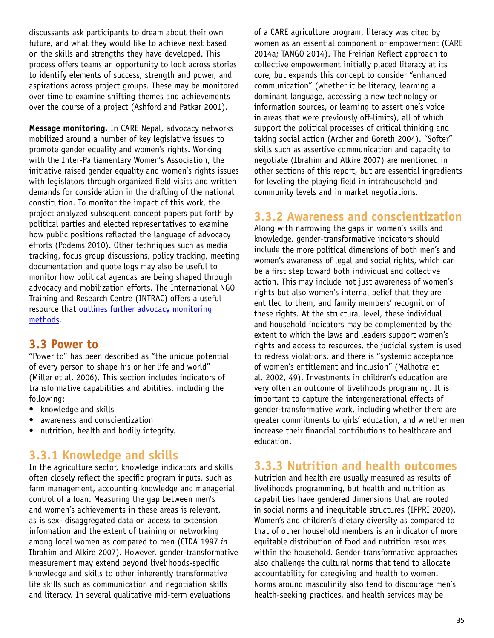discussants ask participants to dream about their own future, and what they would like to achieve next based on the skills and strengths they have developed. This process offers teams an opportunity to look across stories to identify elements of success, strength and power, and aspirations across project groups. These may be monitored over time to examine shifting themes and achievements over the course of a project (Ashford and Patkar 2001).

**Message monitoring.** In CARE Nepal, advocacy networks mobilized around a number of key legislative issues to promote gender equality and women's rights. Working with the Inter-Parliamentary Women's Association, the initiative raised gender equality and women's rights issues with legislators through organized field visits and written demands for consideration in the drafting of the national constitution. To monitor the impact of this work, the project analyzed subsequent concept papers put forth by political parties and elected representatives to examine how public positions reflected the language of advocacy efforts (Podems 2010). Other techniques such as media tracking, focus group discussions, policy tracking, meeting documentation and quote logs may also be useful to monitor how political agendas are being shaped through advocacy and mobilization efforts. The International NGO Training and Research Centre (INTRAC) offers a useful resource that outlines further advocacy monitoring [methods](http://www.intrac.org/data/files/resources/672/Tracking-Progress-in-Advocacy-Why-and-How-to-Monitor-and-Evaluate-Advocacy-Projects-and-Programmes.pdf).

### **3.3 Power to**

"Power to" has been described as "the unique potential of every person to shape his or her life and world" (Miller et al. 2006). This section includes indicators of transformative capabilities and abilities, including the following:

- knowledge and skills
- awareness and conscientization
- nutrition, health and bodily integrity.

### **3.3.1 Knowledge and skills**

In the agriculture sector, knowledge indicators and skills often closely reflect the specific program inputs, such as farm management, accounting knowledge and managerial control of a loan. Measuring the gap between men's and women's achievements in these areas is relevant, as is sex- disaggregated data on access to extension information and the extent of training or networking among local women as compared to men (CIDA 1997 *in*  Ibrahim and Alkire 2007). However, gender-transformative measurement may extend beyond livelihoods-specific knowledge and skills to other inherently transformative life skills such as communication and negotiation skills and literacy. In several qualitative mid-term evaluations

of a CARE agriculture program, literacy was cited by women as an essential component of empowerment (CARE 2014a; TANGO 2014). The Freirian Reflect approach to collective empowerment initially placed literacy at its core, but expands this concept to consider "enhanced communication" (whether it be literacy, learning a dominant language, accessing a new technology or information sources, or learning to assert one's voice in areas that were previously off-limits), all of which support the political processes of critical thinking and taking social action (Archer and Goreth 2004). "Softer" skills such as assertive communication and capacity to negotiate (Ibrahim and Alkire 2007) are mentioned in other sections of this report, but are essential ingredients for leveling the playing field in intrahousehold and community levels and in market negotiations.

### **3.3.2 Awareness and conscientization**

Along with narrowing the gaps in women's skills and knowledge, gender-transformative indicators should include the more political dimensions of both men's and women's awareness of legal and social rights, which can be a first step toward both individual and collective action. This may include not just awareness of women's rights but also women's internal belief that they are entitled to them, and family members' recognition of these rights. At the structural level, these individual and household indicators may be complemented by the extent to which the laws and leaders support women's rights and access to resources, the judicial system is used to redress violations, and there is "systemic acceptance of women's entitlement and inclusion" (Malhotra et al. 2002, 49). Investments in children's education are very often an outcome of livelihoods programing. It is important to capture the intergenerational effects of gender-transformative work, including whether there are greater commitments to girls' education, and whether men increase their financial contributions to healthcare and education.

### **3.3.3 Nutrition and health outcomes**

Nutrition and health are usually measured as results of livelihoods programming, but health and nutrition as capabilities have gendered dimensions that are rooted in social norms and inequitable structures (IFPRI 2020). Women's and children's dietary diversity as compared to that of other household members is an indicator of more equitable distribution of food and nutrition resources within the household. Gender-transformative approaches also challenge the cultural norms that tend to allocate accountability for caregiving and health to women. Norms around masculinity also tend to discourage men's health-seeking practices, and health services may be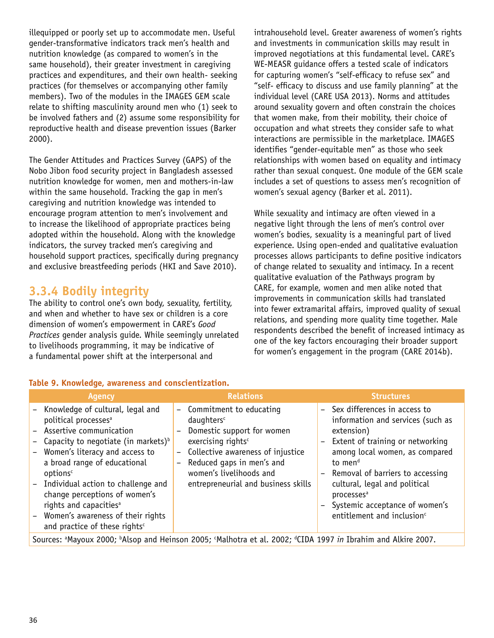illequipped or poorly set up to accommodate men. Useful gender-transformative indicators track men's health and nutrition knowledge (as compared to women's in the same household), their greater investment in caregiving practices and expenditures, and their own health- seeking practices (for themselves or accompanying other family members). Two of the modules in the IMAGES GEM scale relate to shifting masculinity around men who (1) seek to be involved fathers and (2) assume some responsibility for reproductive health and disease prevention issues (Barker 2000).

The Gender Attitudes and Practices Survey (GAPS) of the Nobo Jibon food security project in Bangladesh assessed nutrition knowledge for women, men and mothers-in-law within the same household. Tracking the gap in men's caregiving and nutrition knowledge was intended to encourage program attention to men's involvement and to increase the likelihood of appropriate practices being adopted within the household. Along with the knowledge indicators, the survey tracked men's caregiving and household support practices, specifically during pregnancy and exclusive breastfeeding periods (HKI and Save 2010).

### **3.3.4 Bodily integrity**

The ability to control one's own body, sexuality, fertility, and when and whether to have sex or children is a core dimension of women's empowerment in CARE's *Good Practices* gender analysis guide. While seemingly unrelated to livelihoods programming, it may be indicative of a fundamental power shift at the interpersonal and

intrahousehold level. Greater awareness of women's rights and investments in communication skills may result in improved negotiations at this fundamental level. CARE's WE-MEASR guidance offers a tested scale of indicators for capturing women's "self-efficacy to refuse sex" and "self- efficacy to discuss and use family planning" at the individual level (CARE USA 2013). Norms and attitudes around sexuality govern and often constrain the choices that women make, from their mobility, their choice of occupation and what streets they consider safe to what interactions are permissible in the marketplace. IMAGES identifies "gender-equitable men" as those who seek relationships with women based on equality and intimacy rather than sexual conquest. One module of the GEM scale includes a set of questions to assess men's recognition of women's sexual agency (Barker et al. 2011).

While sexuality and intimacy are often viewed in a negative light through the lens of men's control over women's bodies, sexuality is a meaningful part of lived experience. Using open-ended and qualitative evaluation processes allows participants to define positive indicators of change related to sexuality and intimacy. In a recent qualitative evaluation of the Pathways program by CARE, for example, women and men alike noted that improvements in communication skills had translated into fewer extramarital affairs, improved quality of sexual relations, and spending more quality time together. Male respondents described the benefit of increased intimacy as one of the key factors encouraging their broader support for women's engagement in the program (CARE 2014b).

| Table 5: MIDWICUGL, awareness and conscientization.                                                                                                                                                                                                                                                                                                                                                                                                 |                   |                                                                                                                                                                                                                                                         |  |                                                                                                                                                                                                                                                                                                                                                             |  |
|-----------------------------------------------------------------------------------------------------------------------------------------------------------------------------------------------------------------------------------------------------------------------------------------------------------------------------------------------------------------------------------------------------------------------------------------------------|-------------------|---------------------------------------------------------------------------------------------------------------------------------------------------------------------------------------------------------------------------------------------------------|--|-------------------------------------------------------------------------------------------------------------------------------------------------------------------------------------------------------------------------------------------------------------------------------------------------------------------------------------------------------------|--|
| <b>Agency</b>                                                                                                                                                                                                                                                                                                                                                                                                                                       |                   | <b>Relations</b>                                                                                                                                                                                                                                        |  | <b>Structures</b>                                                                                                                                                                                                                                                                                                                                           |  |
| - Knowledge of cultural, legal and<br>political processes <sup>a</sup><br>- Assertive communication<br>Capacity to negotiate (in markets) <sup>b</sup><br>Women's literacy and access to<br>a broad range of educational<br>options <sup>c</sup><br>- Individual action to challenge and<br>change perceptions of women's<br>rights and capacities <sup>a</sup><br>- Women's awareness of their rights<br>and practice of these rights <sup>c</sup> | $\qquad \qquad -$ | - Commitment to educating<br>daughters <sup>c</sup><br>Domestic support for women<br>exercising rights <sup>c</sup><br>Collective awareness of injustice<br>Reduced gaps in men's and<br>women's livelihoods and<br>entrepreneurial and business skills |  | - Sex differences in access to<br>information and services (such as<br>extension)<br>Extent of training or networking<br>among local women, as compared<br>to men <sup>d</sup><br>Removal of barriers to accessing<br>cultural, legal and political<br>processes <sup>a</sup><br>- Systemic acceptance of women's<br>entitlement and inclusion <sup>c</sup> |  |
|                                                                                                                                                                                                                                                                                                                                                                                                                                                     |                   | Sources: <sup>a</sup> Mayoux 2000; <sup>b</sup> Alsop and Heinson 2005; <sup>c</sup> Malhotra et al. 2002; <sup>d</sup> CIDA 1997 <i>in</i> Ibrahim and Alkire 2007.                                                                                    |  |                                                                                                                                                                                                                                                                                                                                                             |  |

#### **Table 9. Knowledge, awareness and conscientization.**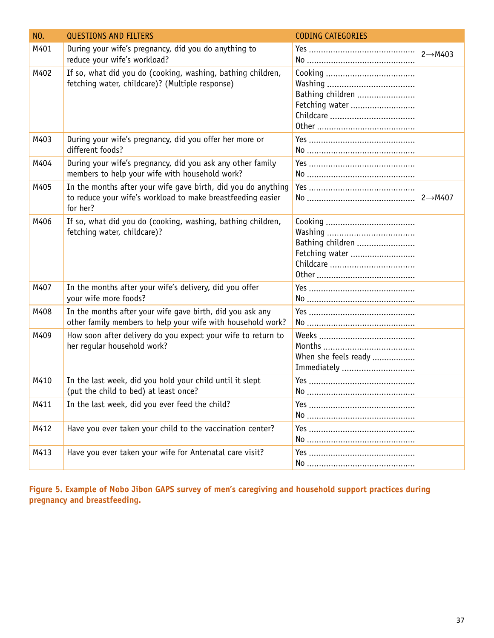| <b>NO.</b> | <b>QUESTIONS AND FILTERS</b>                                                                                                             | <b>CODING CATEGORIES</b>            |                      |
|------------|------------------------------------------------------------------------------------------------------------------------------------------|-------------------------------------|----------------------|
| M401       | During your wife's pregnancy, did you do anything to<br>reduce your wife's workload?                                                     |                                     | $2 \rightarrow M403$ |
| M402       | If so, what did you do (cooking, washing, bathing children,<br>fetching water, childcare)? (Multiple response)                           | Bathing children<br>Fetching water  |                      |
| M403       | During your wife's pregnancy, did you offer her more or<br>different foods?                                                              |                                     |                      |
| M404       | During your wife's pregnancy, did you ask any other family<br>members to help your wife with household work?                             |                                     |                      |
| M405       | In the months after your wife gave birth, did you do anything<br>to reduce your wife's workload to make breastfeeding easier<br>for her? |                                     | $2 \rightarrow M407$ |
| M406       | If so, what did you do (cooking, washing, bathing children,<br>fetching water, childcare)?                                               | Bathing children<br>Fetching water  |                      |
| M407       | In the months after your wife's delivery, did you offer<br>your wife more foods?                                                         |                                     |                      |
| M408       | In the months after your wife gave birth, did you ask any<br>other family members to help your wife with household work?                 |                                     |                      |
| M409       | How soon after delivery do you expect your wife to return to<br>her regular household work?                                              | When she feels ready<br>Immediately |                      |
| M410       | In the last week, did you hold your child until it slept<br>(put the child to bed) at least once?                                        |                                     |                      |
| M411       | In the last week, did you ever feed the child?                                                                                           |                                     |                      |
| M412       | Have you ever taken your child to the vaccination center?                                                                                |                                     |                      |
| M413       | Have you ever taken your wife for Antenatal care visit?                                                                                  |                                     |                      |

**Figure 5. Example of Nobo Jibon GAPS survey of men's caregiving and household support practices during pregnancy and breastfeeding.**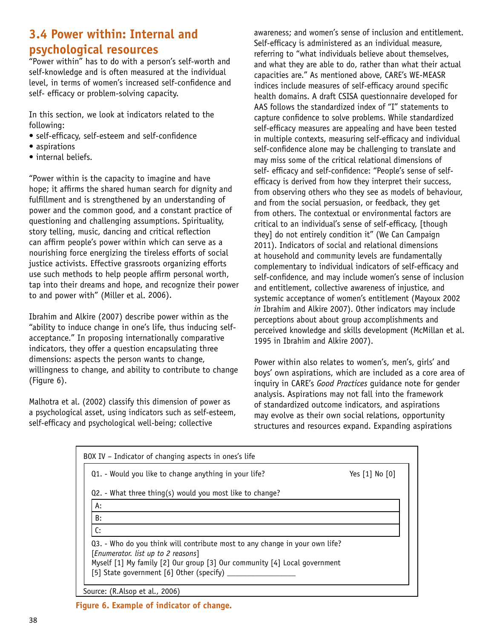# **3.4 Power within: Internal and psychological resources**

"Power within" has to do with a person's self-worth and self-knowledge and is often measured at the individual level, in terms of women's increased self-confidence and self- efficacy or problem-solving capacity.

In this section, we look at indicators related to the following:

- self-efficacy, self-esteem and self-confidence
- aspirations
- internal beliefs.

"Power within is the capacity to imagine and have hope; it affirms the shared human search for dignity and fulfillment and is strengthened by an understanding of power and the common good, and a constant practice of questioning and challenging assumptions. Spirituality, story telling, music, dancing and critical reflection can affirm people's power within which can serve as a nourishing force energizing the tireless efforts of social justice activists. Effective grassroots organizing efforts use such methods to help people affirm personal worth, tap into their dreams and hope, and recognize their power to and power with" (Miller et al. 2006).

Ibrahim and Alkire (2007) describe power within as the "ability to induce change in one's life, thus inducing selfacceptance." In proposing internationally comparative indicators, they offer a question encapsulating three dimensions: aspects the person wants to change, willingness to change, and ability to contribute to change (Figure 6).

Malhotra et al. (2002) classify this dimension of power as a psychological asset, using indicators such as self-esteem, self-efficacy and psychological well-being; collective

awareness; and women's sense of inclusion and entitlement. Self-efficacy is administered as an individual measure, referring to "what individuals believe about themselves, and what they are able to do, rather than what their actual capacities are." As mentioned above, CARE's WE-MEASR indices include measures of self-efficacy around specific health domains. A draft CSISA questionnaire developed for AAS follows the standardized index of "I" statements to capture confidence to solve problems. While standardized self-efficacy measures are appealing and have been tested in multiple contexts, measuring self-efficacy and individual self-confidence alone may be challenging to translate and may miss some of the critical relational dimensions of self- efficacy and self-confidence: "People's sense of selfefficacy is derived from how they interpret their success, from observing others who they see as models of behaviour, and from the social persuasion, or feedback, they get from others. The contextual or environmental factors are critical to an individual's sense of self-efficacy, [though they] do not entirely condition it" (We Can Campaign 2011). Indicators of social and relational dimensions at household and community levels are fundamentally complementary to individual indicators of self-efficacy and self-confidence, and may include women's sense of inclusion and entitlement, collective awareness of injustice, and systemic acceptance of women's entitlement (Mayoux 2002 *in* Ibrahim and Alkire 2007). Other indicators may include perceptions about about group accomplishments and perceived knowledge and skills development (McMillan et al. 1995 in Ibrahim and Alkire 2007).

Power within also relates to women's, men's, girls' and boys' own aspirations, which are included as a core area of inquiry in CARE's *Good Practices* guidance note for gender analysis. Aspirations may not fall into the framework of standardized outcome indicators, and aspirations may evolve as their own social relations, opportunity structures and resources expand. Expanding aspirations

| BOX IV – Indicator of changing aspects in ones's life                                                                 |                    |
|-----------------------------------------------------------------------------------------------------------------------|--------------------|
| Q1. - Would you like to change anything in your life?                                                                 | Yes $[1]$ No $[0]$ |
| $Q2.$ - What three thing(s) would you most like to change?                                                            |                    |
| A:                                                                                                                    |                    |
| B:                                                                                                                    |                    |
| C:                                                                                                                    |                    |
| Q3. - Who do you think will contribute most to any change in your own life?<br>[Enumerator. list up to 2 reasons]     |                    |
| Myself [1] My family [2] Our group [3] Our community [4] Local government<br>[5] State government [6] Other (specify) |                    |
| Source: (R.Alsop et al., 2006)                                                                                        |                    |

**Figure 6. Example of indicator of change.**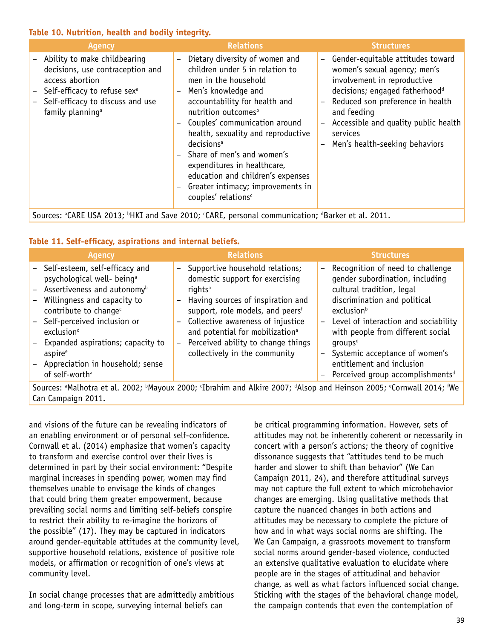#### **Table 10. Nutrition, health and bodily integrity.**

| <b>Agency</b>                                                                                                                                                                                         | <b>Relations</b>                                                                                                                                                                                                                                                                                                                                                                                                                                                                                                                                                                              | <b>Structures</b>                                                                                                                                                                                                                                                                                                                               |
|-------------------------------------------------------------------------------------------------------------------------------------------------------------------------------------------------------|-----------------------------------------------------------------------------------------------------------------------------------------------------------------------------------------------------------------------------------------------------------------------------------------------------------------------------------------------------------------------------------------------------------------------------------------------------------------------------------------------------------------------------------------------------------------------------------------------|-------------------------------------------------------------------------------------------------------------------------------------------------------------------------------------------------------------------------------------------------------------------------------------------------------------------------------------------------|
| - Ability to make childbearing<br>decisions, use contraception and<br>access abortion<br>Self-efficacy to refuse sex <sup>a</sup><br>Self-efficacy to discuss and use<br>family planning <sup>a</sup> | Dietary diversity of women and<br>$\overline{\phantom{0}}$<br>children under 5 in relation to<br>men in the household<br>Men's knowledge and<br>$\qquad \qquad -$<br>accountability for health and<br>nutrition outcomes <sup>b</sup><br>Couples' communication around<br>$\qquad \qquad -$<br>health, sexuality and reproductive<br>decisions <sup>a</sup><br>Share of men's and women's<br>$\overline{\phantom{a}}$<br>expenditures in healthcare,<br>education and children's expenses<br>Greater intimacy; improvements in<br>$\overline{\phantom{a}}$<br>couples' relations <sup>c</sup> | Gender-equitable attitudes toward<br>$\overline{\phantom{0}}$<br>women's sexual agency; men's<br>involvement in reproductive<br>decisions; engaged fatherhood <sup>d</sup><br>Reduced son preference in health<br>and feeding<br>Accessible and quality public health<br>$\overline{\phantom{m}}$<br>services<br>Men's health-seeking behaviors |
|                                                                                                                                                                                                       |                                                                                                                                                                                                                                                                                                                                                                                                                                                                                                                                                                                               |                                                                                                                                                                                                                                                                                                                                                 |

Sources: <sup>a</sup>CARE USA 2013; <sup>b</sup>HKI and Save 2010; <sup>c</sup>CARE, personal communication; <sup>d</sup>Barker et al. 2011.

### **Table 11. Self-efficacy, aspirations and internal beliefs.**

| - Self-esteem, self-efficacy and<br>Supportive household relations;<br>Recognition of need to challenge<br>$\overline{\phantom{a}}$<br>$-$<br>domestic support for exercising<br>gender subordination, including<br>psychological well- being <sup>a</sup><br>- Assertiveness and autonomy <sup>b</sup><br>cultural tradition, legal<br>rights <sup>a</sup><br>discrimination and political<br>- Willingness and capacity to<br>Having sources of inspiration and<br>$\overline{\phantom{a}}$<br>support, role models, and peersf<br>contribute to change <sup>c</sup><br>exclusionb<br>Collective awareness of injustice<br>- Self-perceived inclusion or<br>$\qquad \qquad -$<br>with people from different social<br>and potential for mobilization <sup>a</sup><br>exclusion <sup>d</sup><br>Perceived ability to change things<br>- Expanded aspirations; capacity to<br>$q$ roups <sup>d</sup><br>$\qquad \qquad -$<br>collectively in the community<br>Systemic acceptance of women's<br>aspire <sup>e</sup><br>$\qquad \qquad -$<br>entitlement and inclusion<br>- Appreciation in household; sense<br>of self-worth <sup>a</sup> | <b>Agency</b> | <b>Relations</b> | <b>Structures</b>                              |
|-------------------------------------------------------------------------------------------------------------------------------------------------------------------------------------------------------------------------------------------------------------------------------------------------------------------------------------------------------------------------------------------------------------------------------------------------------------------------------------------------------------------------------------------------------------------------------------------------------------------------------------------------------------------------------------------------------------------------------------------------------------------------------------------------------------------------------------------------------------------------------------------------------------------------------------------------------------------------------------------------------------------------------------------------------------------------------------------------------------------------------------------|---------------|------------------|------------------------------------------------|
|                                                                                                                                                                                                                                                                                                                                                                                                                                                                                                                                                                                                                                                                                                                                                                                                                                                                                                                                                                                                                                                                                                                                           |               |                  | - Level of interaction and sociability         |
|                                                                                                                                                                                                                                                                                                                                                                                                                                                                                                                                                                                                                                                                                                                                                                                                                                                                                                                                                                                                                                                                                                                                           |               |                  |                                                |
|                                                                                                                                                                                                                                                                                                                                                                                                                                                                                                                                                                                                                                                                                                                                                                                                                                                                                                                                                                                                                                                                                                                                           |               |                  | - Perceived group accomplishments <sup>d</sup> |

Sources: <sup>a</sup>Malhotra et al. 2002; <sup>b</sup>Mayoux 2000; <sup>c</sup>Ibrahim and Alkire 2007; <sup>d</sup>Alsop and Heinson 2005; <sup>e</sup>Cornwall 2014; <sup>f</sup>We Can Campaign 2011.

and visions of the future can be revealing indicators of an enabling environment or of personal self-confidence. Cornwall et al. (2014) emphasize that women's capacity to transform and exercise control over their lives is determined in part by their social environment: "Despite marginal increases in spending power, women may find themselves unable to envisage the kinds of changes that could bring them greater empowerment, because prevailing social norms and limiting self-beliefs conspire to restrict their ability to re-imagine the horizons of the possible" (17). They may be captured in indicators around gender-equitable attitudes at the community level, supportive household relations, existence of positive role models, or affirmation or recognition of one's views at community level.

In social change processes that are admittedly ambitious and long-term in scope, surveying internal beliefs can

be critical programming information. However, sets of attitudes may not be inherently coherent or necessarily in concert with a person's actions; the theory of cognitive dissonance suggests that "attitudes tend to be much harder and slower to shift than behavior" (We Can Campaign 2011, 24), and therefore attitudinal surveys may not capture the full extent to which microbehavior changes are emerging. Using qualitative methods that capture the nuanced changes in both actions and attitudes may be necessary to complete the picture of how and in what ways social norms are shifting. The We Can Campaign, a grassroots movement to transform social norms around gender-based violence, conducted an extensive qualitative evaluation to elucidate where people are in the stages of attitudinal and behavior change, as well as what factors influenced social change. Sticking with the stages of the behavioral change model, the campaign contends that even the contemplation of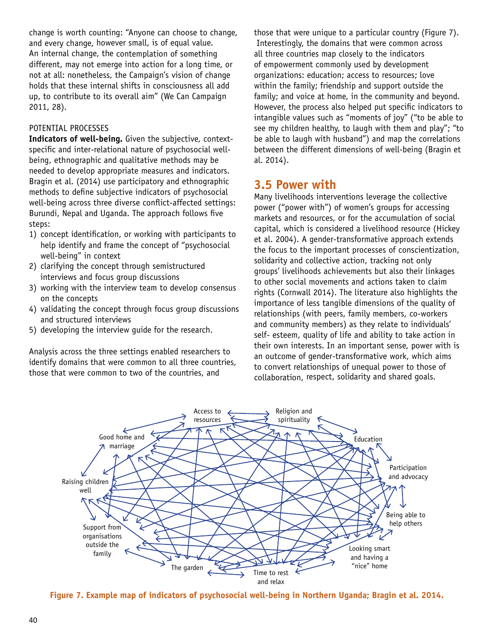change is worth counting: "Anyone can choose to change, and every change, however small, is of equal value. An internal change, the contemplation of something different, may not emerge into action for a long time, or not at all: nonetheless, the Campaign's vision of change holds that these internal shifts in consciousness all add up, to contribute to its overall aim" (We Can Campaign 2011, 28).

#### POTENTIAL PROCESSES

**Indicators of well-being.** Given the subjective, contextspecific and inter-relational nature of psychosocial wellbeing, ethnographic and qualitative methods may be needed to develop appropriate measures and indicators. Bragin et al. (2014) use participatory and ethnographic methods to define subjective indicators of psychosocial well-being across three diverse conflict-affected settings: Burundi, Nepal and Uganda. The approach follows five steps:

- 1) concept identification, or working with participants to help identify and frame the concept of "psychosocial well-being" in context
- 2) clarifying the concept through semistructured interviews and focus group discussions
- 3) working with the interview team to develop consensus on the concepts
- 4) validating the concept through focus group discussions and structured interviews
- 5) developing the interview guide for the research.

Analysis across the three settings enabled researchers to identify domains that were common to all three countries, those that were common to two of the countries, and

those that were unique to a particular country (Figure 7). Interestingly, the domains that were common across all three countries map closely to the indicators of empowerment commonly used by development organizations: education; access to resources; love within the family; friendship and support outside the family; and voice at home, in the community and beyond. However, the process also helped put specific indicators to intangible values such as "moments of joy" ("to be able to see my children healthy, to laugh with them and play"; "to be able to laugh with husband") and map the correlations between the different dimensions of well-being (Bragin et al. 2014).

### **3.5 Power with**

Many livelihoods interventions leverage the collective power ("power with") of women's groups for accessing markets and resources, or for the accumulation of social capital, which is considered a livelihood resource (Hickey et al. 2004). A gender-transformative approach extends the focus to the important processes of conscientization, solidarity and collective action, tracking not only groups' livelihoods achievements but also their linkages to other social movements and actions taken to claim rights (Cornwall 2014). The literature also highlights the importance of less tangible dimensions of the quality of relationships (with peers, family members, co-workers and community members) as they relate to individuals' self- esteem, quality of life and ability to take action in their own interests. In an important sense, power with is an outcome of gender-transformative work, which aims to convert relationships of unequal power to those of collaboration, respect, solidarity and shared goals.



**Figure 7. Example map of indicators of psychosocial well-being in Northern Uganda; Bragin et al. 2014.**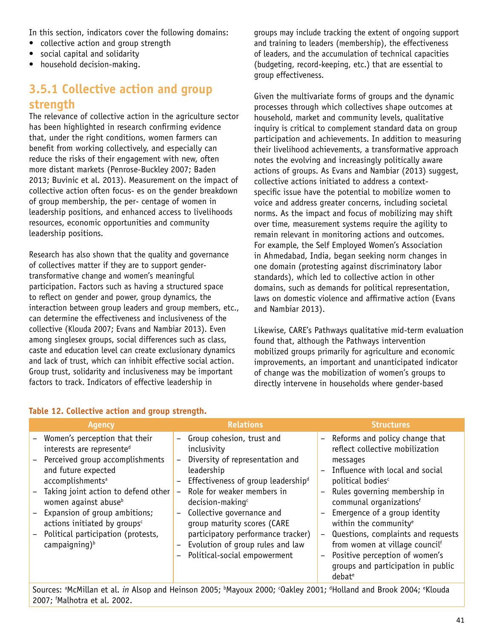In this section, indicators cover the following domains:

- collective action and group strength
- social capital and solidarity
- household decision-making.

### **3.5.1 Collective action and group strength**

The relevance of collective action in the agriculture sector has been highlighted in research confirming evidence that, under the right conditions, women farmers can benefit from working collectively, and especially can reduce the risks of their engagement with new, often more distant markets (Penrose-Buckley 2007; Baden 2013; Buvinic et al. 2013). Measurement on the impact of collective action often focus- es on the gender breakdown of group membership, the per- centage of women in leadership positions, and enhanced access to livelihoods resources, economic opportunities and community leadership positions.

Research has also shown that the quality and governance of collectives matter if they are to support gendertransformative change and women's meaningful participation. Factors such as having a structured space to reflect on gender and power, group dynamics, the interaction between group leaders and group members, etc., can determine the effectiveness and inclusiveness of the collective (Klouda 2007; Evans and Nambiar 2013). Even among singlesex groups, social differences such as class, caste and education level can create exclusionary dynamics and lack of trust, which can inhibit effective social action. Group trust, solidarity and inclusiveness may be important factors to track. Indicators of effective leadership in

groups may include tracking the extent of ongoing support and training to leaders (membership), the effectiveness of leaders, and the accumulation of technical capacities (budgeting, record-keeping, etc.) that are essential to group effectiveness.

Given the multivariate forms of groups and the dynamic processes through which collectives shape outcomes at household, market and community levels, qualitative inquiry is critical to complement standard data on group participation and achievements. In addition to measuring their livelihood achievements, a transformative approach notes the evolving and increasingly politically aware actions of groups. As Evans and Nambiar (2013) suggest, collective actions initiated to address a contextspecific issue have the potential to mobilize women to voice and address greater concerns, including societal norms. As the impact and focus of mobilizing may shift over time, measurement systems require the agility to remain relevant in monitoring actions and outcomes. For example, the Self Employed Women's Association in Ahmedabad, India, began seeking norm changes in one domain (protesting against discriminatory labor standards), which led to collective action in other domains, such as demands for political representation, laws on domestic violence and affirmative action (Evans and Nambiar 2013).

Likewise, CARE's Pathways qualitative mid-term evaluation found that, although the Pathways intervention mobilized groups primarily for agriculture and economic improvements, an important and unanticipated indicator of change was the mobilization of women's groups to directly intervene in households where gender-based

| <b>Agency</b>                                                                                                                                                                                                                                                                                                                                                                  |                                                                           | <b>Relations</b>                                                                                                                                                                                                                                                                                                                                                                |                                                                                                                                          | <b>Structures</b>                                                                                                                                                                                                                                                                                                                                                                                                                               |
|--------------------------------------------------------------------------------------------------------------------------------------------------------------------------------------------------------------------------------------------------------------------------------------------------------------------------------------------------------------------------------|---------------------------------------------------------------------------|---------------------------------------------------------------------------------------------------------------------------------------------------------------------------------------------------------------------------------------------------------------------------------------------------------------------------------------------------------------------------------|------------------------------------------------------------------------------------------------------------------------------------------|-------------------------------------------------------------------------------------------------------------------------------------------------------------------------------------------------------------------------------------------------------------------------------------------------------------------------------------------------------------------------------------------------------------------------------------------------|
| - Women's perception that their<br>interests are represented<br>- Perceived group accomplishments<br>and future expected<br>accomplishments <sup>a</sup><br>- Taking joint action to defend other<br>women against abuse <sup>b</sup><br>- Expansion of group ambitions;<br>actions initiated by groups <sup>c</sup><br>Political participation (protests,<br>campaigning) $b$ | $-$<br>$\qquad \qquad -$<br>$\qquad \qquad -$<br>$\overline{\phantom{0}}$ | Group cohesion, trust and<br>inclusivity<br>Diversity of representation and<br>leadership<br>Effectiveness of group leadership <sup>d</sup><br>Role for weaker members in<br>decision-making <sup>c</sup><br>Collective governance and<br>group maturity scores (CARE<br>participatory performance tracker)<br>Evolution of group rules and law<br>Political-social empowerment | $\overline{\phantom{a}}$<br>$\overline{\phantom{0}}$<br>$\overline{\phantom{0}}$<br>$\overline{\phantom{0}}$<br>$\overline{\phantom{0}}$ | Reforms and policy change that<br>reflect collective mobilization<br>messages<br>Influence with local and social<br>political bodies <sup>c</sup><br>Rules governing membership in<br>communal organizations <sup>f</sup><br>Emergence of a group identity<br>within the community <sup>e</sup><br>Questions, complaints and requests<br>from women at village councilf<br>Positive perception of women's<br>groups and participation in public |
|                                                                                                                                                                                                                                                                                                                                                                                |                                                                           | Sources: <sup>a</sup> McMillan et al. <i>in</i> Alson and Heinson 2005; <sup>b</sup> Mayoux 2000; Cakley 2001; <sup>d</sup> Holland and Brook 2004; <sup>e</sup> Klouda                                                                                                                                                                                                         |                                                                                                                                          | debat <sup>e</sup>                                                                                                                                                                                                                                                                                                                                                                                                                              |
|                                                                                                                                                                                                                                                                                                                                                                                |                                                                           |                                                                                                                                                                                                                                                                                                                                                                                 |                                                                                                                                          |                                                                                                                                                                                                                                                                                                                                                                                                                                                 |

#### **Table 12. Collective action and group strength.**

Sources: a McMillan et al. *in* Alsop and Heinson 2005; bMayoux 2000; °Oakley 2001; <sup>d</sup> Holland and Brook 2004; e Klouda 2007; f Malhotra et al. 2002.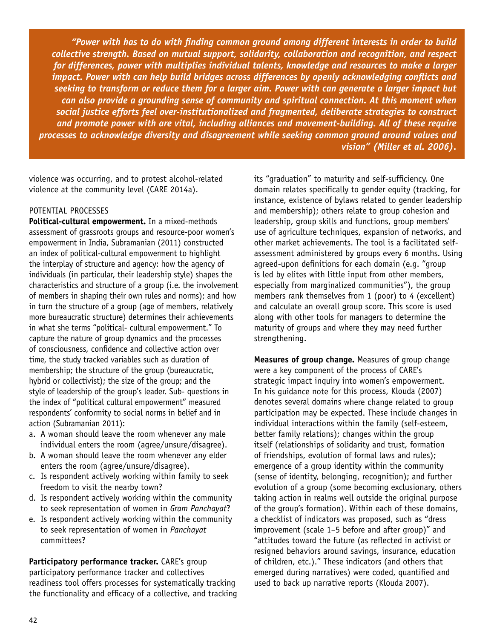*"Power with has to do with finding common ground among different interests in order to build collective strength. Based on mutual support, solidarity, collaboration and recognition, and respect for differences, power with multiplies individual talents, knowledge and resources to make a larger impact. Power with can help build bridges across differences by openly acknowledging conflicts and seeking to transform or reduce them for a larger aim. Power with can generate a larger impact but can also provide a grounding sense of community and spiritual connection. At this moment when social justice efforts feel over-institutionalized and fragmented, deliberate strategies to construct and promote power with are vital, including alliances and movement-building. All of these require processes to acknowledge diversity and disagreement while seeking common ground around values and vision" (Miller et al. 2006).*

violence was occurring, and to protest alcohol-related violence at the community level (CARE 2014a).

#### POTENTIAL PROCESSES

**Political-cultural empowerment.** In a mixed-methods assessment of grassroots groups and resource-poor women's empowerment in India, Subramanian (2011) constructed an index of political-cultural empowerment to highlight the interplay of structure and agency: how the agency of individuals (in particular, their leadership style) shapes the characteristics and structure of a group (i.e. the involvement of members in shaping their own rules and norms); and how in turn the structure of a group (age of members, relatively more bureaucratic structure) determines their achievements in what she terms "political- cultural empowerment." To capture the nature of group dynamics and the processes of consciousness, confidence and collective action over time, the study tracked variables such as duration of membership; the structure of the group (bureaucratic, hybrid or collectivist); the size of the group; and the style of leadership of the group's leader. Sub- questions in the index of "political cultural empowerment" measured respondents' conformity to social norms in belief and in action (Subramanian 2011):

- a. A woman should leave the room whenever any male individual enters the room (agree/unsure/disagree).
- b. A woman should leave the room whenever any elder enters the room (agree/unsure/disagree).
- c. Is respondent actively working within family to seek freedom to visit the nearby town?
- d. Is respondent actively working within the community to seek representation of women in *Gram Panchayat*?
- e. Is respondent actively working within the community to seek representation of women in *Panchayat*  committees?

**Participatory performance tracker.** CARE's group participatory performance tracker and collectives readiness tool offers processes for systematically tracking the functionality and efficacy of a collective, and tracking its "graduation" to maturity and self-sufficiency. One domain relates specifically to gender equity (tracking, for instance, existence of bylaws related to gender leadership and membership); others relate to group cohesion and leadership, group skills and functions, group members' use of agriculture techniques, expansion of networks, and other market achievements. The tool is a facilitated selfassessment administered by groups every 6 months. Using agreed-upon definitions for each domain (e.g. "group is led by elites with little input from other members, especially from marginalized communities"), the group members rank themselves from 1 (poor) to 4 (excellent) and calculate an overall group score. This score is used along with other tools for managers to determine the maturity of groups and where they may need further strengthening.

**Measures of group change.** Measures of group change were a key component of the process of CARE's strategic impact inquiry into women's empowerment. In his guidance note for this process, Klouda (2007) denotes several domains where change related to group participation may be expected. These include changes in individual interactions within the family (self-esteem, better family relations); changes within the group itself (relationships of solidarity and trust, formation of friendships, evolution of formal laws and rules); emergence of a group identity within the community (sense of identity, belonging, recognition); and further evolution of a group (some becoming exclusionary, others taking action in realms well outside the original purpose of the group's formation). Within each of these domains, a checklist of indicators was proposed, such as "dress improvement (scale 1–5 before and after group)" and "attitudes toward the future (as reflected in activist or resigned behaviors around savings, insurance, education of children, etc.)." These indicators (and others that emerged during narratives) were coded, quantified and used to back up narrative reports (Klouda 2007).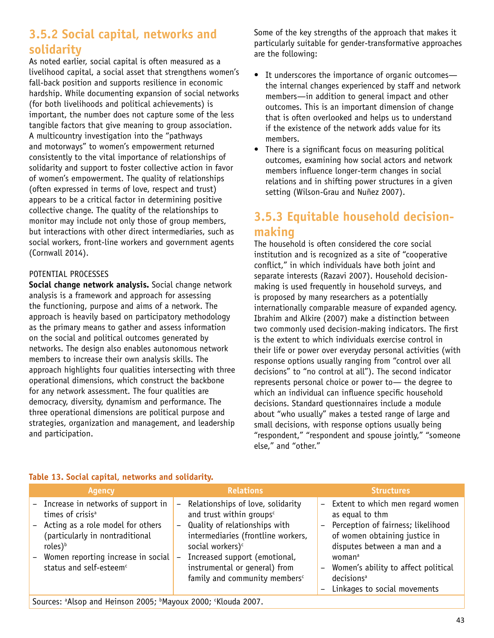# **3.5.2 Social capital, networks and solidarity**

As noted earlier, social capital is often measured as a livelihood capital, a social asset that strengthens women's fall-back position and supports resilience in economic hardship. While documenting expansion of social networks (for both livelihoods and political achievements) is important, the number does not capture some of the less tangible factors that give meaning to group association. A multicountry investigation into the "pathways and motorways" to women's empowerment returned consistently to the vital importance of relationships of solidarity and support to foster collective action in favor of women's empowerment. The quality of relationships (often expressed in terms of love, respect and trust) appears to be a critical factor in determining positive collective change. The quality of the relationships to monitor may include not only those of group members, but interactions with other direct intermediaries, such as social workers, front-line workers and government agents (Cornwall 2014).

### POTENTIAL PROCESSES

**Social change network analysis.** Social change network analysis is a framework and approach for assessing the functioning, purpose and aims of a network. The approach is heavily based on participatory methodology as the primary means to gather and assess information on the social and political outcomes generated by networks. The design also enables autonomous network members to increase their own analysis skills. The approach highlights four qualities intersecting with three operational dimensions, which construct the backbone for any network assessment. The four qualities are democracy, diversity, dynamism and performance. The three operational dimensions are political purpose and strategies, organization and management, and leadership and participation.

Some of the key strengths of the approach that makes it particularly suitable for gender-transformative approaches are the following:

- It underscores the importance of organic outcomes the internal changes experienced by staff and network members—in addition to general impact and other outcomes. This is an important dimension of change that is often overlooked and helps us to understand if the existence of the network adds value for its members.
- There is a significant focus on measuring political outcomes, examining how social actors and network members influence longer-term changes in social relations and in shifting power structures in a given setting (Wilson-Grau and Nuñez 2007).

# **3.5.3 Equitable household decisionmaking**

The household is often considered the core social institution and is recognized as a site of "cooperative conflict," in which individuals have both joint and separate interests (Razavi 2007). Household decisionmaking is used frequently in household surveys, and is proposed by many researchers as a potentially internationally comparable measure of expanded agency. Ibrahim and Alkire (2007) make a distinction between two commonly used decision-making indicators. The first is the extent to which individuals exercise control in their life or power over everyday personal activities (with response options usually ranging from "control over all decisions" to "no control at all"). The second indicator represents personal choice or power to— the degree to which an individual can influence specific household decisions. Standard questionnaires include a module about "who usually" makes a tested range of large and small decisions, with response options usually being "respondent," "respondent and spouse jointly," "someone else," and "other."

| <b>Agency</b>                                                                                                                                                                                                                             | <b>Relations</b>                                                                                                                                                                                                                                                                                                              | <b>Structures</b>                                                                                                                                                                                                                                                                                                                                |
|-------------------------------------------------------------------------------------------------------------------------------------------------------------------------------------------------------------------------------------------|-------------------------------------------------------------------------------------------------------------------------------------------------------------------------------------------------------------------------------------------------------------------------------------------------------------------------------|--------------------------------------------------------------------------------------------------------------------------------------------------------------------------------------------------------------------------------------------------------------------------------------------------------------------------------------------------|
| - Increase in networks of support in<br>times of crisis <sup>a</sup><br>- Acting as a role model for others<br>(particularly in nontraditional<br>roles) $b$<br>Women reporting increase in social<br>status and self-esteem <sup>c</sup> | Relationships of love, solidarity<br>and trust within groups <sup>c</sup><br>- Quality of relationships with<br>intermediaries (frontline workers,<br>social workers) <sup>c</sup><br>Increased support (emotional,<br>$\overline{\phantom{m}}$<br>instrumental or general) from<br>family and community members <sup>c</sup> | Extent to which men regard women<br>$-$<br>as equal to thm<br>Perception of fairness; likelihood<br>of women obtaining justice in<br>disputes between a man and a<br>woman <sup>a</sup><br>Women's ability to affect political<br>$\overline{\phantom{0}}$<br>decisions <sup>a</sup><br>Linkages to social movements<br>$\overline{\phantom{a}}$ |
| $C_{1}$ and $C_{2}$ and $C_{3}$ and $C_{4}$ and $C_{5}$ and $C_{6}$ and $C_{7}$ and $C_{8}$ and $C_{9}$ and $C_{1}$                                                                                                                       |                                                                                                                                                                                                                                                                                                                               |                                                                                                                                                                                                                                                                                                                                                  |

### **Table 13. Social capital, networks and solidarity.**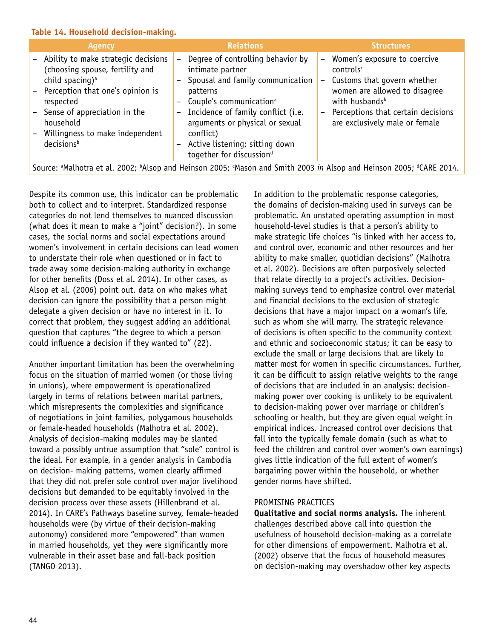#### **Table 14. Household decision-making.**

| <b>Agency</b>                                                                                                                                                                                                                                                          | <b>Relations</b>                                                                                                                                                                                                                                                                                                                                                                          | <b>Structures</b>                                                                                                                                                                                                                                                                                        |
|------------------------------------------------------------------------------------------------------------------------------------------------------------------------------------------------------------------------------------------------------------------------|-------------------------------------------------------------------------------------------------------------------------------------------------------------------------------------------------------------------------------------------------------------------------------------------------------------------------------------------------------------------------------------------|----------------------------------------------------------------------------------------------------------------------------------------------------------------------------------------------------------------------------------------------------------------------------------------------------------|
| - Ability to make strategic decisions<br>(choosing spouse, fertility and<br>child spacing) <sup>a</sup><br>- Perception that one's opinion is<br>respected<br>- Sense of appreciation in the<br>household<br>Willingness to make independent<br>decisions <sup>b</sup> | Degree of controlling behavior by<br>$\overline{\phantom{0}}$<br>intimate partner<br>Spousal and family communication<br>patterns<br>Couple's communication <sup>a</sup><br>Incidence of family conflict (i.e.<br>$\qquad \qquad -$<br>arguments or physical or sexual<br>conflict)<br>Active listening; sitting down<br>$\overline{\phantom{0}}$<br>together for discussion <sup>d</sup> | Women's exposure to coercive<br>$\overline{\phantom{0}}$<br>controls <sup>c</sup><br>Customs that govern whether<br>$\qquad \qquad -$<br>women are allowed to disagree<br>with husbands <sup>b</sup><br>Perceptions that certain decisions<br>$\overline{\phantom{0}}$<br>are exclusively male or female |
|                                                                                                                                                                                                                                                                        |                                                                                                                                                                                                                                                                                                                                                                                           | Source: <sup>a</sup> Malhotra et al. 2002; <sup>b</sup> Alsop and Heinson 2005; Mason and Smith 2003 in Alsop and Heinson 2005; <sup>d</sup> CARE 2014.                                                                                                                                                  |

Despite its common use, this indicator can be problematic both to collect and to interpret. Standardized response categories do not lend themselves to nuanced discussion (what does it mean to make a "joint" decision?). In some cases, the social norms and social expectations around women's involvement in certain decisions can lead women to understate their role when questioned or in fact to trade away some decision-making authority in exchange for other benefits (Doss et al. 2014). In other cases, as Alsop et al. (2006) point out, data on who makes what decision can ignore the possibility that a person might delegate a given decision or have no interest in it. To correct that problem, they suggest adding an additional question that captures "the degree to which a person could influence a decision if they wanted to" (22).

Another important limitation has been the overwhelming focus on the situation of married women (or those living in unions), where empowerment is operationalized largely in terms of relations between marital partners, which misrepresents the complexities and significance of negotiations in joint families, polygamous households or female-headed households (Malhotra et al. 2002). Analysis of decision-making modules may be slanted toward a possibly untrue assumption that "sole" control is the ideal. For example, in a gender analysis in Cambodia on decision- making patterns, women clearly affirmed that they did not prefer sole control over major livelihood decisions but demanded to be equitably involved in the decision process over these assets (Hillenbrand et al. 2014). In CARE's Pathways baseline survey, female-headed households were (by virtue of their decision-making autonomy) considered more "empowered" than women in married households, yet they were significantly more vulnerable in their asset base and fall-back position (TANGO 2013).

In addition to the problematic response categories, the domains of decision-making used in surveys can be problematic. An unstated operating assumption in most household-level studies is that a person's ability to make strategic life choices "is linked with her access to, and control over, economic and other resources and her ability to make smaller, quotidian decisions" (Malhotra et al. 2002). Decisions are often purposively selected that relate directly to a project's activities. Decisionmaking surveys tend to emphasize control over material and financial decisions to the exclusion of strategic decisions that have a major impact on a woman's life, such as whom she will marry. The strategic relevance of decisions is often specific to the community context and ethnic and socioeconomic status; it can be easy to exclude the small or large decisions that are likely to matter most for women in specific circumstances. Further, it can be difficult to assign relative weights to the range of decisions that are included in an analysis: decisionmaking power over cooking is unlikely to be equivalent to decision-making power over marriage or children's schooling or health, but they are given equal weight in empirical indices. Increased control over decisions that fall into the typically female domain (such as what to feed the children and control over women's own earnings) gives little indication of the full extent of women's bargaining power within the household, or whether gender norms have shifted.

#### PROMISING PRACTICES

**Qualitative and social norms analysis.** The inherent challenges described above call into question the usefulness of household decision-making as a correlate for other dimensions of empowerment. Malhotra et al. (2002) observe that the focus of household measures on decision-making may overshadow other key aspects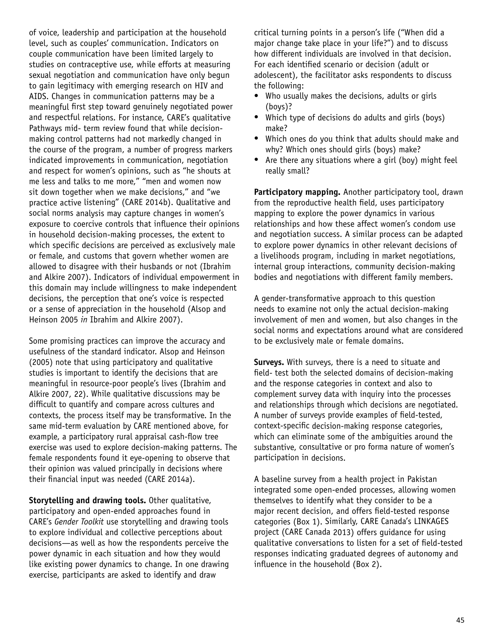of voice, leadership and participation at the household level, such as couples' communication. Indicators on couple communication have been limited largely to studies on contraceptive use, while efforts at measuring sexual negotiation and communication have only begun to gain legitimacy with emerging research on HIV and AIDS. Changes in communication patterns may be a meaningful first step toward genuinely negotiated power and respectful relations. For instance, CARE's qualitative Pathways mid- term review found that while decisionmaking control patterns had not markedly changed in the course of the program, a number of progress markers indicated improvements in communication, negotiation and respect for women's opinions, such as "he shouts at me less and talks to me more," "men and women now sit down together when we make decisions," and "we practice active listening" (CARE 2014b). Qualitative and social norms analysis may capture changes in women's exposure to coercive controls that influence their opinions in household decision-making processes, the extent to which specific decisions are perceived as exclusively male or female, and customs that govern whether women are allowed to disagree with their husbands or not (Ibrahim and Alkire 2007). Indicators of individual empowerment in this domain may include willingness to make independent decisions, the perception that one's voice is respected or a sense of appreciation in the household (Alsop and Heinson 2005 *in* Ibrahim and Alkire 2007).

Some promising practices can improve the accuracy and usefulness of the standard indicator. Alsop and Heinson (2005) note that using participatory and qualitative studies is important to identify the decisions that are meaningful in resource-poor people's lives (Ibrahim and Alkire 2007, 22). While qualitative discussions may be difficult to quantify and compare across cultures and contexts, the process itself may be transformative. In the same mid-term evaluation by CARE mentioned above, for example, a participatory rural appraisal cash-flow tree exercise was used to explore decision-making patterns. The female respondents found it eye-opening to observe that their opinion was valued principally in decisions where their financial input was needed (CARE 2014a).

**Storytelling and drawing tools.** Other qualitative, participatory and open-ended approaches found in CARE's *Gender Toolkit* use storytelling and drawing tools to explore individual and collective perceptions about decisions—as well as how the respondents perceive the power dynamic in each situation and how they would like existing power dynamics to change. In one drawing exercise, participants are asked to identify and draw

critical turning points in a person's life ("When did a major change take place in your life?") and to discuss how different individuals are involved in that decision. For each identified scenario or decision (adult or adolescent), the facilitator asks respondents to discuss the following:

- Who usually makes the decisions, adults or girls (boys)?
- Which type of decisions do adults and girls (boys) make?
- Which ones do you think that adults should make and why? Which ones should girls (boys) make?
- Are there any situations where a girl (boy) might feel really small?

**Participatory mapping.** Another participatory tool, drawn from the reproductive health field, uses participatory mapping to explore the power dynamics in various relationships and how these affect women's condom use and negotiation success. A similar process can be adapted to explore power dynamics in other relevant decisions of a livelihoods program, including in market negotiations, internal group interactions, community decision-making bodies and negotiations with different family members.

A gender-transformative approach to this question needs to examine not only the actual decision-making involvement of men and women, but also changes in the social norms and expectations around what are considered to be exclusively male or female domains.

**Surveys.** With surveys, there is a need to situate and field- test both the selected domains of decision-making and the response categories in context and also to complement survey data with inquiry into the processes and relationships through which decisions are negotiated. A number of surveys provide examples of field-tested, context-specific decision-making response categories, which can eliminate some of the ambiguities around the substantive, consultative or pro forma nature of women's participation in decisions.

A baseline survey from a health project in Pakistan integrated some open-ended processes, allowing women themselves to identify what they consider to be a major recent decision, and offers field-tested response categories (Box 1). Similarly, CARE Canada's LINKAGES project (CARE Canada 2013) offers guidance for using qualitative conversations to listen for a set of field-tested responses indicating graduated degrees of autonomy and influence in the household (Box 2).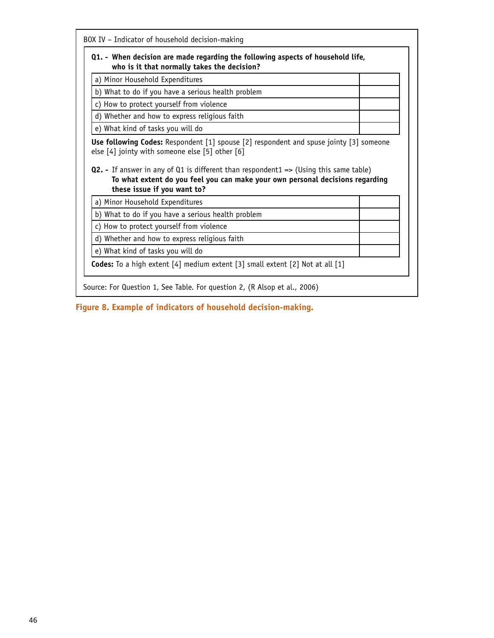| Q1. - When decision are made regarding the following aspects of household life,<br>who is it that normally takes the decision?                                                                                                                                                      |  |
|-------------------------------------------------------------------------------------------------------------------------------------------------------------------------------------------------------------------------------------------------------------------------------------|--|
| a) Minor Household Expenditures                                                                                                                                                                                                                                                     |  |
| b) What to do if you have a serious health problem                                                                                                                                                                                                                                  |  |
| c) How to protect yourself from violence                                                                                                                                                                                                                                            |  |
| d) Whether and how to express religious faith                                                                                                                                                                                                                                       |  |
|                                                                                                                                                                                                                                                                                     |  |
| e) What kind of tasks you will do                                                                                                                                                                                                                                                   |  |
| To what extent do you feel you can make your own personal decisions regarding<br>these issue if you want to?                                                                                                                                                                        |  |
| a) Minor Household Expenditures<br>b) What to do if you have a serious health problem                                                                                                                                                                                               |  |
| c) How to protect yourself from violence                                                                                                                                                                                                                                            |  |
| Use following Codes: Respondent [1] spouse [2] respondent and spuse jointy [3] someone<br>else [4] jointy with someone else [5] other [6]<br>Q2. - If answer in any of Q1 is different than respondent1 => (Using this same table)<br>d) Whether and how to express religious faith |  |
| e) What kind of tasks you will do                                                                                                                                                                                                                                                   |  |

**Figure 8. Example of indicators of household decision-making.**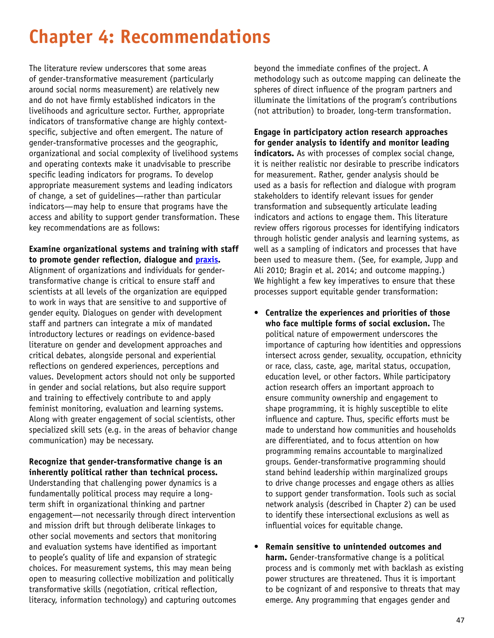# **Chapter 4: Recommendations**

The literature review underscores that some areas of gender-transformative measurement (particularly around social norms measurement) are relatively new and do not have firmly established indicators in the livelihoods and agriculture sector. Further, appropriate indicators of transformative change are highly contextspecific, subjective and often emergent. The nature of gender-transformative processes and the geographic, organizational and social complexity of livelihood systems and operating contexts make it unadvisable to prescribe specific leading indicators for programs. To develop appropriate measurement systems and leading indicators of change, a set of guidelines—rather than particular indicators—may help to ensure that programs have the access and ability to support gender transformation. These key recommendations are as follows:

### **Examine organizational systems and training with staff to promote gender reflection, dialogue and [praxis](https://en.wikipedia.org/wiki/Praxis_%28process%29).**

Alignment of organizations and individuals for gendertransformative change is critical to ensure staff and scientists at all levels of the organization are equipped to work in ways that are sensitive to and supportive of gender equity. Dialogues on gender with development staff and partners can integrate a mix of mandated introductory lectures or readings on evidence-based literature on gender and development approaches and critical debates, alongside personal and experiential reflections on gendered experiences, perceptions and values. Development actors should not only be supported in gender and social relations, but also require support and training to effectively contribute to and apply feminist monitoring, evaluation and learning systems. Along with greater engagement of social scientists, other specialized skill sets (e.g. in the areas of behavior change communication) may be necessary.

### **Recognize that gender-transformative change is an inherently political rather than technical process.**

Understanding that challenging power dynamics is a fundamentally political process may require a longterm shift in organizational thinking and partner engagement—not necessarily through direct intervention and mission drift but through deliberate linkages to other social movements and sectors that monitoring and evaluation systems have identified as important to people's quality of life and expansion of strategic choices. For measurement systems, this may mean being open to measuring collective mobilization and politically transformative skills (negotiation, critical reflection, literacy, information technology) and capturing outcomes

beyond the immediate confines of the project. A methodology such as outcome mapping can delineate the spheres of direct influence of the program partners and illuminate the limitations of the program's contributions (not attribution) to broader, long-term transformation.

### **Engage in participatory action research approaches for gender analysis to identify and monitor leading**  indicators. As with processes of complex social change, it is neither realistic nor desirable to prescribe indicators for measurement. Rather, gender analysis should be used as a basis for reflection and dialogue with program stakeholders to identify relevant issues for gender transformation and subsequently articulate leading indicators and actions to engage them. This literature review offers rigorous processes for identifying indicators through holistic gender analysis and learning systems, as well as a sampling of indicators and processes that have been used to measure them. (See, for example, Jupp and Ali 2010; Bragin et al. 2014; and outcome mapping.) We highlight a few key imperatives to ensure that these processes support equitable gender transformation:

- **Centralize the experiences and priorities of those who face multiple forms of social exclusion.** The political nature of empowerment underscores the importance of capturing how identities and oppressions intersect across gender, sexuality, occupation, ethnicity or race, class, caste, age, marital status, occupation, education level, or other factors. While participatory action research offers an important approach to ensure community ownership and engagement to shape programming, it is highly susceptible to elite influence and capture. Thus, specific efforts must be made to understand how communities and households are differentiated, and to focus attention on how programming remains accountable to marginalized groups. Gender-transformative programming should stand behind leadership within marginalized groups to drive change processes and engage others as allies to support gender transformation. Tools such as social network analysis (described in Chapter 2) can be used to identify these intersectional exclusions as well as influential voices for equitable change.
- **Remain sensitive to unintended outcomes and harm.** Gender-transformative change is a political process and is commonly met with backlash as existing power structures are threatened. Thus it is important to be cognizant of and responsive to threats that may emerge. Any programming that engages gender and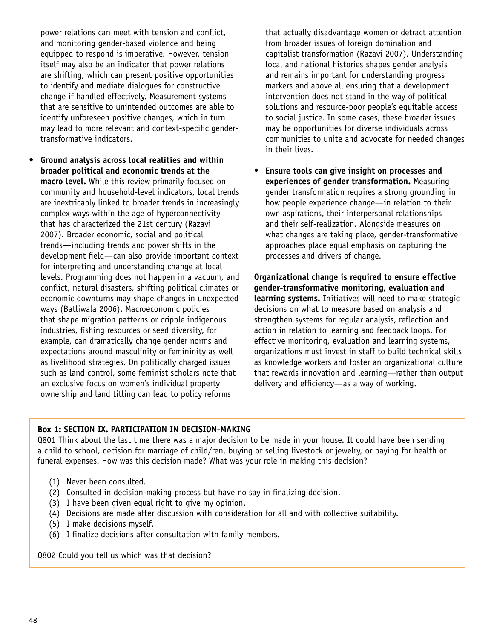power relations can meet with tension and conflict, and monitoring gender-based violence and being equipped to respond is imperative. However, tension itself may also be an indicator that power relations are shifting, which can present positive opportunities to identify and mediate dialogues for constructive change if handled effectively. Measurement systems that are sensitive to unintended outcomes are able to identify unforeseen positive changes, which in turn may lead to more relevant and context-specific gendertransformative indicators.

• **Ground analysis across local realities and within broader political and economic trends at the macro level.** While this review primarily focused on community and household-level indicators, local trends are inextricably linked to broader trends in increasingly complex ways within the age of hyperconnectivity that has characterized the 21st century (Razavi 2007). Broader economic, social and political trends—including trends and power shifts in the development field—can also provide important context for interpreting and understanding change at local levels. Programming does not happen in a vacuum, and conflict, natural disasters, shifting political climates or economic downturns may shape changes in unexpected ways (Batliwala 2006). Macroeconomic policies that shape migration patterns or cripple indigenous industries, fishing resources or seed diversity, for example, can dramatically change gender norms and expectations around masculinity or femininity as well as livelihood strategies. On politically charged issues such as land control, some feminist scholars note that an exclusive focus on women's individual property ownership and land titling can lead to policy reforms

that actually disadvantage women or detract attention from broader issues of foreign domination and capitalist transformation (Razavi 2007). Understanding local and national histories shapes gender analysis and remains important for understanding progress markers and above all ensuring that a development intervention does not stand in the way of political solutions and resource-poor people's equitable access to social justice. In some cases, these broader issues may be opportunities for diverse individuals across communities to unite and advocate for needed changes in their lives.

• **Ensure tools can give insight on processes and experiences of gender transformation.** Measuring gender transformation requires a strong grounding in how people experience change—in relation to their own aspirations, their interpersonal relationships and their self-realization. Alongside measures on what changes are taking place, gender-transformative approaches place equal emphasis on capturing the processes and drivers of change.

**Organizational change is required to ensure effective gender-transformative monitoring, evaluation and learning systems.** Initiatives will need to make strategic decisions on what to measure based on analysis and strengthen systems for regular analysis, reflection and action in relation to learning and feedback loops. For effective monitoring, evaluation and learning systems, organizations must invest in staff to build technical skills as knowledge workers and foster an organizational culture that rewards innovation and learning—rather than output delivery and efficiency—as a way of working.

### **Box 1: SECTION IX. PARTICIPATION IN DECISION-MAKING**

Q801 Think about the last time there was a major decision to be made in your house. It could have been sending a child to school, decision for marriage of child/ren, buying or selling livestock or jewelry, or paying for health or funeral expenses. How was this decision made? What was your role in making this decision?

- (1) Never been consulted.
- (2) Consulted in decision-making process but have no say in finalizing decision.
- (3) I have been given equal right to give my opinion.
- (4) Decisions are made after discussion with consideration for all and with collective suitability.
- (5) I make decisions myself.
- (6) I finalize decisions after consultation with family members.

Q802 Could you tell us which was that decision?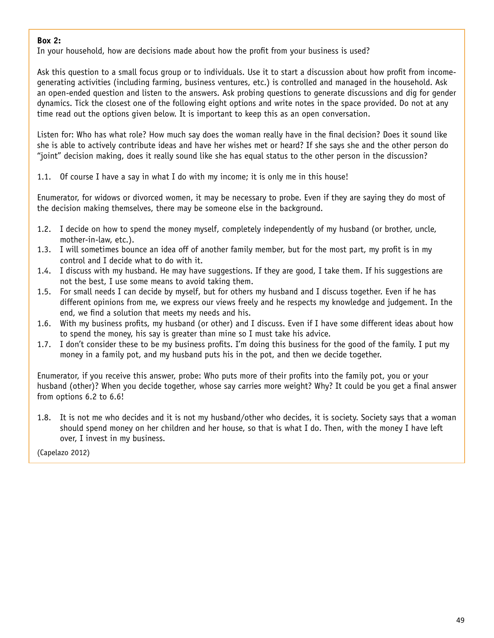### **Box 2:**

In your household, how are decisions made about how the profit from your business is used?

Ask this question to a small focus group or to individuals. Use it to start a discussion about how profit from incomegenerating activities (including farming, business ventures, etc.) is controlled and managed in the household. Ask an open-ended question and listen to the answers. Ask probing questions to generate discussions and dig for gender dynamics. Tick the closest one of the following eight options and write notes in the space provided. Do not at any time read out the options given below. It is important to keep this as an open conversation.

Listen for: Who has what role? How much say does the woman really have in the final decision? Does it sound like she is able to actively contribute ideas and have her wishes met or heard? If she says she and the other person do "joint" decision making, does it really sound like she has equal status to the other person in the discussion?

1.1. Of course I have a say in what I do with my income; it is only me in this house!

Enumerator, for widows or divorced women, it may be necessary to probe. Even if they are saying they do most of the decision making themselves, there may be someone else in the background.

- 1.2. I decide on how to spend the money myself, completely independently of my husband (or brother, uncle, mother-in-law, etc.).
- 1.3. I will sometimes bounce an idea off of another family member, but for the most part, my profit is in my control and I decide what to do with it.
- 1.4. I discuss with my husband. He may have suggestions. If they are good, I take them. If his suggestions are not the best, I use some means to avoid taking them.
- 1.5. For small needs I can decide by myself, but for others my husband and I discuss together. Even if he has different opinions from me, we express our views freely and he respects my knowledge and judgement. In the end, we find a solution that meets my needs and his.
- 1.6. With my business profits, my husband (or other) and I discuss. Even if I have some different ideas about how to spend the money, his say is greater than mine so I must take his advice.
- 1.7. I don't consider these to be my business profits. I'm doing this business for the good of the family. I put my money in a family pot, and my husband puts his in the pot, and then we decide together.

Enumerator, if you receive this answer, probe: Who puts more of their profits into the family pot, you or your husband (other)? When you decide together, whose say carries more weight? Why? It could be you get a final answer from options 6.2 to 6.6!

1.8. It is not me who decides and it is not my husband/other who decides, it is society. Society says that a woman should spend money on her children and her house, so that is what I do. Then, with the money I have left over, I invest in my business.

(Capelazo 2012)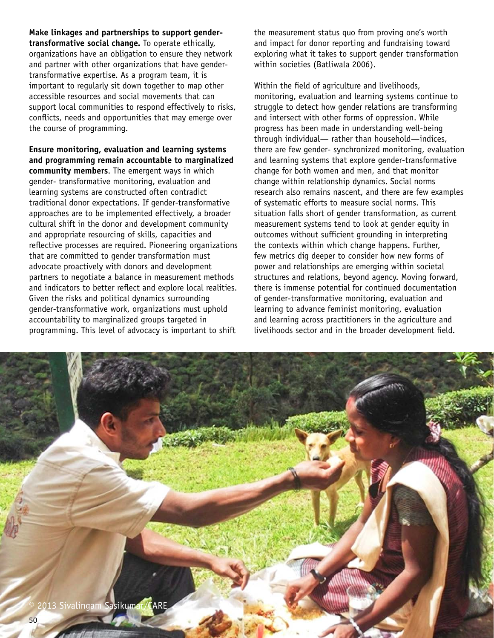**Make linkages and partnerships to support gendertransformative social change.** To operate ethically, organizations have an obligation to ensure they network and partner with other organizations that have gendertransformative expertise. As a program team, it is important to regularly sit down together to map other accessible resources and social movements that can support local communities to respond effectively to risks, conflicts, needs and opportunities that may emerge over the course of programming.

**Ensure monitoring, evaluation and learning systems and programming remain accountable to marginalized community members**. The emergent ways in which gender- transformative monitoring, evaluation and learning systems are constructed often contradict traditional donor expectations. If gender-transformative approaches are to be implemented effectively, a broader cultural shift in the donor and development community and appropriate resourcing of skills, capacities and reflective processes are required. Pioneering organizations that are committed to gender transformation must advocate proactively with donors and development partners to negotiate a balance in measurement methods and indicators to better reflect and explore local realities. Given the risks and political dynamics surrounding gender-transformative work, organizations must uphold accountability to marginalized groups targeted in programming. This level of advocacy is important to shift

the measurement status quo from proving one's worth and impact for donor reporting and fundraising toward exploring what it takes to support gender transformation within societies (Batliwala 2006).

Within the field of agriculture and livelihoods, monitoring, evaluation and learning systems continue to struggle to detect how gender relations are transforming and intersect with other forms of oppression. While progress has been made in understanding well-being through individual— rather than household—indices, there are few gender- synchronized monitoring, evaluation and learning systems that explore gender-transformative change for both women and men, and that monitor change within relationship dynamics. Social norms research also remains nascent, and there are few examples of systematic efforts to measure social norms. This situation falls short of gender transformation, as current measurement systems tend to look at gender equity in outcomes without sufficient grounding in interpreting the contexts within which change happens. Further, few metrics dig deeper to consider how new forms of power and relationships are emerging within societal structures and relations, beyond agency. Moving forward, there is immense potential for continued documentation of gender-transformative monitoring, evaluation and learning to advance feminist monitoring, evaluation and learning across practitioners in the agriculture and livelihoods sector and in the broader development field.

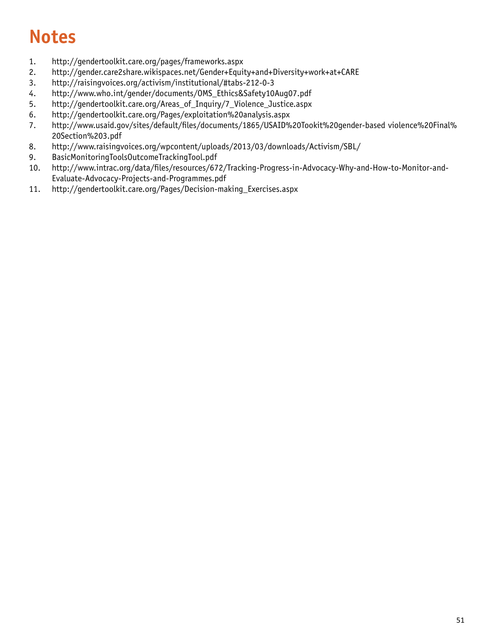# **Notes**

- 1. <http://gendertoolkit.care.org/pages/frameworks.aspx>
- 2. <http://gender.care2share.wikispaces.net/Gender+Equity+and+Diversity+work+at+CARE>
- 3. <http://raisingvoices.org/activism/institutional/#tabs-212-0-3>
- 4. [http://www.who.int/gender/documents/OMS\\_Ethics&Safety10Aug07.pdf](http://www.who.int/gender/documents/OMS_Ethics&Safety10Aug07.pdf)
- 5. [http://gendertoolkit.care.org/Areas\\_of\\_Inquiry/7\\_Violence\\_Justice.aspx](http://gendertoolkit.care.org/Areas_of_Inquiry/7_Violence_Justice.aspx)
- 6. <http://gendertoolkit.care.org/Pages/exploitation%20analysis.aspx>
- 7. [http://www.usaid.gov/sites/default/files/documents/1865/USAID%20Tookit%20gender-based violence%20Final%](https://www.usaid.gov/sites/default/files/documents/1865/USAID%20Tookit%20GBV%20Final%20Section%203.pdf)  [20Section%203.pdf](https://www.usaid.gov/sites/default/files/documents/1865/USAID%20Tookit%20GBV%20Final%20Section%203.pdf)
- 8. [http://www.raisingvoices.org/wpcontent/uploads/2013/03/downloads/Activism/SBL/](https://www.usaid.gov/sites/default/files/documents/1865/USAID%20Tookit%20GBV%20Final%20Section%203.pdf)
- 9. BasicMonitoringToolsOutcomeTrackingTool.pdf
- 10. [http://www.intrac.org/data/files/resources/672/Tracking-Progress-in-Advocacy-Why-and-How-to-Monitor-and-](http://www.intrac.org/data/files/resources/672/Tracking-Progress-in-Advocacy-Why-and-How-to-Monitor-and-Evaluate-Advocacy-Projects-and-Programmes.pdf)[Evaluate-Advocacy-Projects-and-Programmes.pdf](http://www.intrac.org/data/files/resources/672/Tracking-Progress-in-Advocacy-Why-and-How-to-Monitor-and-Evaluate-Advocacy-Projects-and-Programmes.pdf)
- 11. [http://gendertoolkit.care.org/Pages/Decision-making\\_Exercises.aspx](http://gendertoolkit.care.org/Pages/Decision-making_Exercises.aspx)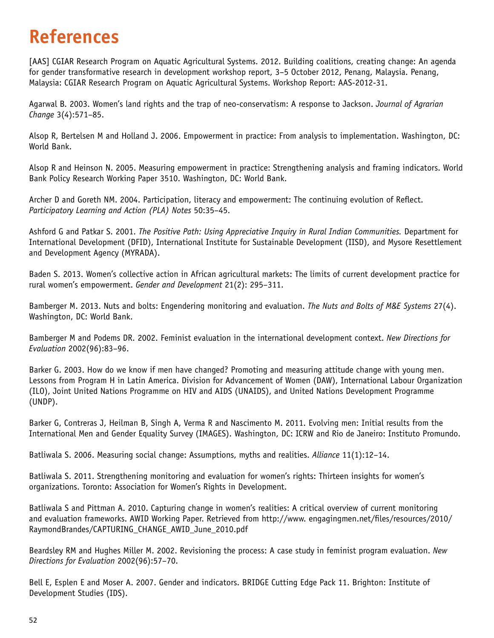# **References**

[AAS] CGIAR Research Program on Aquatic Agricultural Systems. 2012. Building coalitions, creating change: An agenda for gender transformative research in development workshop report, 3–5 October 2012, Penang, Malaysia. Penang, Malaysia: CGIAR Research Program on Aquatic Agricultural Systems. Workshop Report: AAS-2012-31.

Agarwal B. 2003. Women's land rights and the trap of neo-conservatism: A response to Jackson. *Journal of Agrarian Change* 3(4):571–85.

Alsop R, Bertelsen M and Holland J. 2006. Empowerment in practice: From analysis to implementation. Washington, DC: World Bank.

Alsop R and Heinson N. 2005. Measuring empowerment in practice: Strengthening analysis and framing indicators. World Bank Policy Research Working Paper 3510. Washington, DC: World Bank.

Archer D and Goreth NM. 2004. Participation, literacy and empowerment: The continuing evolution of Reflect. *Participatory Learning and Action (PLA) Notes* 50:35–45.

Ashford G and Patkar S. 2001. *The Positive Path: Using Appreciative Inquiry in Rural Indian Communities.* Department for International Development (DFID), International Institute for Sustainable Development (IISD), and Mysore Resettlement and Development Agency (MYRADA).

Baden S. 2013. Women's collective action in African agricultural markets: The limits of current development practice for rural women's empowerment. *Gender and Development* 21(2): 295–311.

Bamberger M. 2013. Nuts and bolts: Engendering monitoring and evaluation. *The Nuts and Bolts of M&E Systems* 27(4). Washington, DC: World Bank.

Bamberger M and Podems DR. 2002. Feminist evaluation in the international development context. *New Directions for Evaluation* 2002(96):83–96.

Barker G. 2003. How do we know if men have changed? Promoting and measuring attitude change with young men. Lessons from Program H in Latin America. Division for Advancement of Women (DAW), International Labour Organization (ILO), Joint United Nations Programme on HIV and AIDS (UNAIDS), and United Nations Development Programme (UNDP).

Barker G, Contreras J, Heilman B, Singh A, Verma R and Nascimento M. 2011. Evolving men: Initial results from the International Men and Gender Equality Survey (IMAGES). Washington, DC: ICRW and Rio de Janeiro: Instituto Promundo.

Batliwala S. 2006. Measuring social change: Assumptions, myths and realities. *Alliance* 11(1):12–14.

Batliwala S. 2011. Strengthening monitoring and evaluation for women's rights: Thirteen insights for women's organizations. Toronto: Association for Women's Rights in Development.

Batliwala S and Pittman A. 2010. Capturing change in women's realities: A critical overview of current monitoring and evaluation frameworks. AWID Working Paper. Retrieved from http://www. engagingmen.net/files/resources/2010/ RaymondBrandes/CAPTURING\_CHANGE\_AWID\_June\_2010.pdf

Beardsley RM and Hughes Miller M. 2002. Revisioning the process: A case study in feminist program evaluation. *New Directions for Evaluation* 2002(96):57–70.

Bell E, Esplen E and Moser A. 2007. Gender and indicators. BRIDGE Cutting Edge Pack 11. Brighton: Institute of Development Studies (IDS).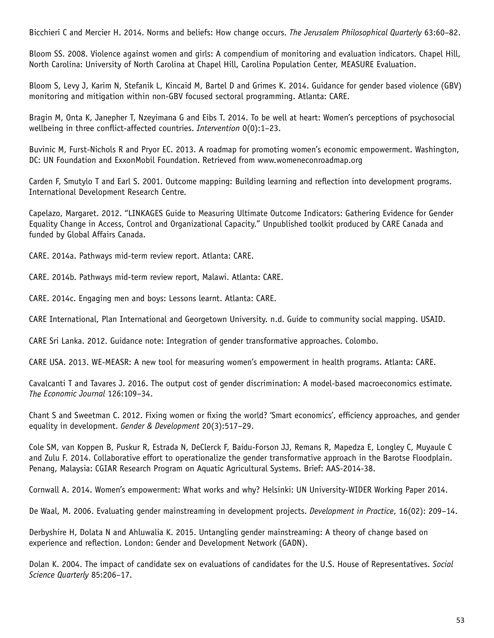Bicchieri C and Mercier H. 2014. Norms and beliefs: How change occurs. *The Jerusalem Philosophical Quarterly* 63:60–82.

Bloom SS. 2008. Violence against women and girls: A compendium of monitoring and evaluation indicators. Chapel Hill, North Carolina: University of North Carolina at Chapel Hill, Carolina Population Center, MEASURE Evaluation.

Bloom S, Levy J, Karim N, Stefanik L, Kincaid M, Bartel D and Grimes K. 2014. Guidance for gender based violence (GBV) monitoring and mitigation within non-GBV focused sectoral programming. Atlanta: CARE.

Bragin M, Onta K, Janepher T, Nzeyimana G and Eibs T. 2014. To be well at heart: Women's perceptions of psychosocial wellbeing in three conflict-affected countries. *Intervention* 0(0):1–23.

Buvinic M, Furst-Nichols R and Pryor EC. 2013. A roadmap for promoting women's economic empowerment. Washington, DC: UN Foundation and ExxonMobil Foundation. Retrieved from www.womeneconroadmap.org

Carden F, Smutylo T and Earl S. 2001. Outcome mapping: Building learning and reflection into development programs. International Development Research Centre.

Capelazo, Margaret. 2012. "LINKAGES Guide to Measuring Ultimate Outcome Indicators: Gathering Evidence for Gender Equality Change in Access, Control and Organizational Capacity." Unpublished toolkit produced by CARE Canada and funded by Global Affairs Canada.

CARE. 2014a. Pathways mid-term review report. Atlanta: CARE.

CARE. 2014b. Pathways mid-term review report, Malawi. Atlanta: CARE.

CARE. 2014c. Engaging men and boys: Lessons learnt. Atlanta: CARE.

CARE International, Plan International and Georgetown University. n.d. Guide to community social mapping. USAID.

CARE Sri Lanka. 2012. Guidance note: Integration of gender transformative approaches. Colombo.

CARE USA. 2013. WE-MEASR: A new tool for measuring women's empowerment in health programs. Atlanta: CARE.

Cavalcanti T and Tavares J. 2016. The output cost of gender discrimination: A model-based macroeconomics estimate. *The Economic Journal* 126:109–34.

Chant S and Sweetman C. 2012. Fixing women or fixing the world? 'Smart economics', efficiency approaches, and gender equality in development. *Gender & Development* 20(3):517–29.

Cole SM, van Koppen B, Puskur R, Estrada N, DeClerck F, Baidu-Forson JJ, Remans R, Mapedza E, Longley C, Muyaule C and Zulu F. 2014. Collaborative effort to operationalize the gender transformative approach in the Barotse Floodplain. Penang, Malaysia: CGIAR Research Program on Aquatic Agricultural Systems. Brief: AAS-2014-38.

Cornwall A. 2014. Women's empowerment: What works and why? Helsinki: UN University-WIDER Working Paper 2014.

De Waal, M. 2006. Evaluating gender mainstreaming in development projects. *Development in Practice*, 16(02): 209–14.

Derbyshire H, Dolata N and Ahluwalia K. 2015. Untangling gender mainstreaming: A theory of change based on experience and reflection. London: Gender and Development Network (GADN).

Dolan K. 2004. The impact of candidate sex on evaluations of candidates for the U.S. House of Representatives. *Social Science Quarterly* 85:206–17.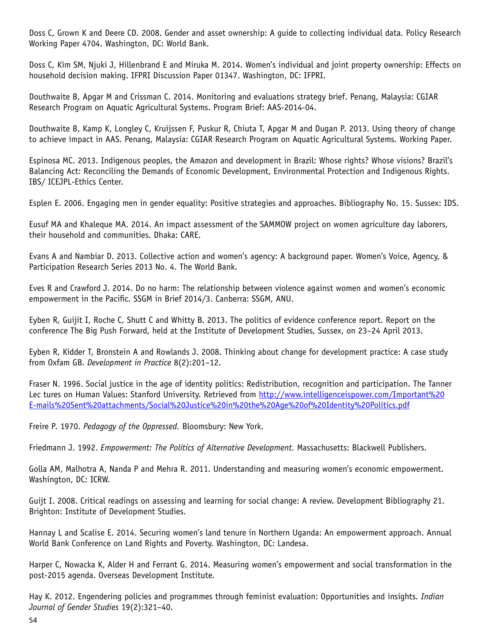Doss C, Grown K and Deere CD. 2008. Gender and asset ownership: A guide to collecting individual data*.* Policy Research Working Paper 4704. Washington, DC: World Bank.

Doss C, Kim SM, Njuki J, Hillenbrand E and Miruka M. 2014. Women's individual and joint property ownership: Effects on household decision making. IFPRI Discussion Paper 01347. Washington, DC: IFPRI.

Douthwaite B, Apgar M and Crissman C. 2014. Monitoring and evaluations strategy brief. Penang, Malaysia: CGIAR Research Program on Aquatic Agricultural Systems. Program Brief: AAS-2014-04.

Douthwaite B, Kamp K, Longley C, Kruijssen F, Puskur R, Chiuta T, Apgar M and Dugan P. 2013. Using theory of change to achieve impact in AAS. Penang, Malaysia: CGIAR Research Program on Aquatic Agricultural Systems. Working Paper.

Espinosa MC. 2013. Indigenous peoples, the Amazon and development in Brazil: Whose rights? Whose visions? Brazil's Balancing Act: Reconciling the Demands of Economic Development, Environmental Protection and Indigenous Rights. IBS/ ICEJPL-Ethics Center.

Esplen E. 2006. Engaging men in gender equality: Positive strategies and approaches. Bibliography No. 15. Sussex: IDS.

Eusuf MA and Khaleque MA. 2014. An impact assessment of the SAMMOW project on women agriculture day laborers, their household and communities. Dhaka: CARE.

Evans A and Nambiar D. 2013. Collective action and women's agency: A background paper. Women's Voice, Agency, & Participation Research Series 2013 No. 4. The World Bank.

Eves R and Crawford J. 2014. Do no harm: The relationship between violence against women and women's economic empowerment in the Pacific. SSGM in Brief 2014/3. Canberra: SSGM, ANU.

Eyben R, Guijit I, Roche C, Shutt C and Whitty B. 2013. The politics of evidence conference report. Report on the conference The Big Push Forward, held at the Institute of Development Studies, Sussex, on 23–24 April 2013.

Eyben R, Kidder T, Bronstein A and Rowlands J. 2008. Thinking about change for development practice: A case study from Oxfam GB. *Development in Practice* 8(2):201–12.

Fraser N. 1996. Social justice in the age of identity politics: Redistribution, recognition and participation. The Tanner Lec tures on Human Values: Stanford University. Retrieved from [http://www.intelligenceispower.com/Important%20](http://www.intelligenceispower.com/Important%20E-mails%20Sent%20attachments/Social%20Justice%20in%20the%20Age%20of%20Identity%20Politics.pdf) [E-mails%20Sent%20attachments/Social%20Justice%20in%20the%20Age%20of%20Identity%20Politics.pdf](http://www.intelligenceispower.com/Important%20E-mails%20Sent%20attachments/Social%20Justice%20in%20the%20Age%20of%20Identity%20Politics.pdf)

Freire P. 1970. *Pedagogy of the Oppressed.* Bloomsbury: New York.

Friedmann J. 1992. *Empowerment: The Politics of Alternative Development.* Massachusetts: Blackwell Publishers.

Golla AM, Malhotra A, Nanda P and Mehra R. 2011. Understanding and measuring women's economic empowerment. Washington, DC: ICRW.

Guijt I. 2008. Critical readings on assessing and learning for social change: A review. Development Bibliography 21. Brighton: Institute of Development Studies.

Hannay L and Scalise E. 2014. Securing women's land tenure in Northern Uganda: An empowerment approach. Annual World Bank Conference on Land Rights and Poverty. Washington, DC: Landesa.

Harper C, Nowacka K, Alder H and Ferrant G. 2014. Measuring women's empowerment and social transformation in the post-2015 agenda. Overseas Development Institute.

Hay K. 2012. Engendering policies and programmes through feminist evaluation: Opportunities and insights. *Indian Journal of Gender Studies* 19(2):321–40.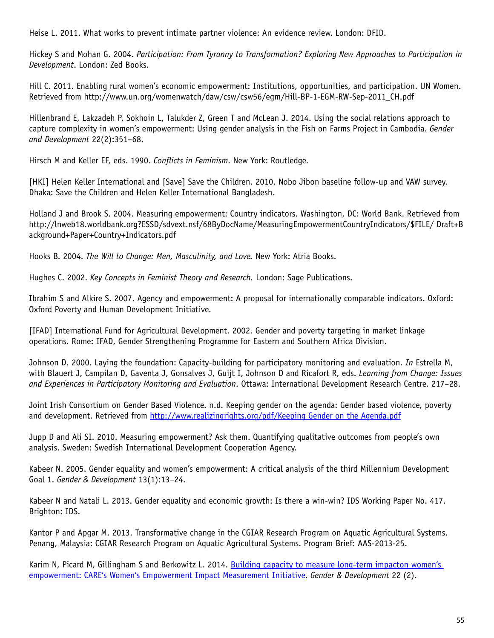Heise L. 2011. What works to prevent intimate partner violence: An evidence review. London: DFID.

Hickey S and Mohan G. 2004. *Participation: From Tyranny to Transformation? Exploring New Approaches to Participation in Development*. London: Zed Books.

Hill C. 2011. Enabling rural women's economic empowerment: Institutions, opportunities, and participation. UN Women. Retrieved from http://www.un.org/womenwatch/daw/csw/csw56/egm/Hill-BP-1-EGM-RW-Sep-2011\_CH.pdf

Hillenbrand E, Lakzadeh P, Sokhoin L, Talukder Z, Green T and McLean J. 2014. Using the social relations approach to capture complexity in women's empowerment: Using gender analysis in the Fish on Farms Project in Cambodia. *Gender and Development* 22(2):351–68.

Hirsch M and Keller EF, eds. 1990. *Conflicts in Feminism*. New York: Routledge.

[HKI] Helen Keller International and [Save] Save the Children. 2010. Nobo Jibon baseline follow-up and VAW survey. Dhaka: Save the Children and Helen Keller International Bangladesh.

Holland J and Brook S. 2004. Measuring empowerment: Country indicators. Washington, DC: World Bank. Retrieved from http://lnweb18.worldbank.org?ESSD/sdvext.nsf/68ByDocName/MeasuringEmpowermentCountryIndicators/\$FILE/ Draft+B ackground+Paper+Country+Indicators.pdf

Hooks B. 2004. *The Will to Change: Men, Masculinity, and Love.* New York: Atria Books.

Hughes C. 2002. *Key Concepts in Feminist Theory and Research.* London: Sage Publications.

Ibrahim S and Alkire S. 2007. Agency and empowerment: A proposal for internationally comparable indicators. Oxford: Oxford Poverty and Human Development Initiative.

[IFAD] International Fund for Agricultural Development. 2002. Gender and poverty targeting in market linkage operations. Rome: IFAD, Gender Strengthening Programme for Eastern and Southern Africa Division.

Johnson D. 2000. Laying the foundation: Capacity-building for participatory monitoring and evaluation. *In* Estrella M, with Blauert J, Campilan D, Gaventa J, Gonsalves J, Guijt I, Johnson D and Ricafort R, eds. *Learning from Change: Issues and Experiences in Participatory Monitoring and Evaluation*. Ottawa: International Development Research Centre. 217–28.

Joint Irish Consortium on Gender Based Violence. n.d. Keeping gender on the agenda: Gender based violence, poverty and development. Retrieved from [http://www.realizingrights.org/pdf/Keeping Gender](http://www.colourtrend.ie/pdf/Keeping_Gender_on_the_Agenda.pdf) on the Agenda.pdf

Jupp D and Ali SI. 2010. Measuring empowerment? Ask them. Quantifying qualitative outcomes from people's own analysis. Sweden: Swedish International Development Cooperation Agency.

Kabeer N. 2005. Gender equality and women's empowerment: A critical analysis of the third Millennium Development Goal 1. *Gender & Development* 13(1):13–24.

Kabeer N and Natali L. 2013. Gender equality and economic growth: Is there a win-win? IDS Working Paper No. 417. Brighton: IDS.

Kantor P and Apgar M. 2013. Transformative change in the CGIAR Research Program on Aquatic Agricultural Systems. Penang, Malaysia: CGIAR Research Program on Aquatic Agricultural Systems. Program Brief: AAS-2013-25.

Karim N, Picard M, Gillingham S and Berkowitz L. 2014. [Building capacity to measure long-term impacton women's](http://www.tandfonline.com/doi/abs/10.1080/13552074.2014.920977#.V5HWoY6KuoA)  [empowerment: CARE's Women's Empowerment Impact Measurement Initiative](http://www.tandfonline.com/doi/abs/10.1080/13552074.2014.920977#.V5HWoY6KuoA). *Gender & Development* 22 (2).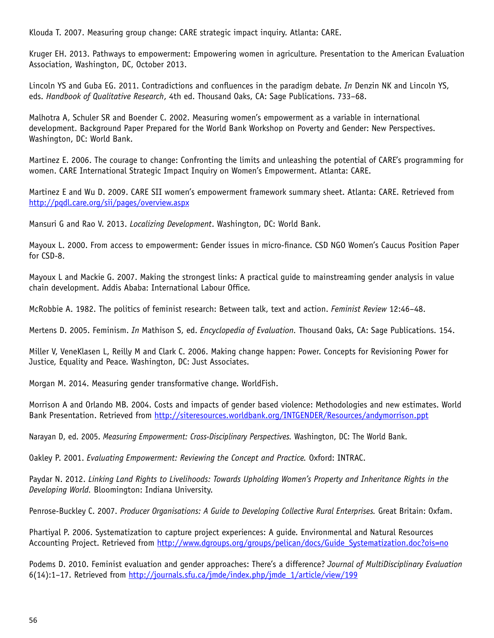Klouda T. 2007. Measuring group change: CARE strategic impact inquiry. Atlanta: CARE.

Kruger EH. 2013. Pathways to empowerment: Empowering women in agriculture. Presentation to the American Evaluation Association, Washington, DC, October 2013.

Lincoln YS and Guba EG. 2011. Contradictions and confluences in the paradigm debate. *In* Denzin NK and Lincoln YS, eds. *Handbook of Qualitative Research*, 4th ed. Thousand Oaks, CA: Sage Publications. 733–68.

Malhotra A, Schuler SR and Boender C. 2002. Measuring women's empowerment as a variable in international development. Background Paper Prepared for the World Bank Workshop on Poverty and Gender: New Perspectives. Washington, DC: World Bank.

Martinez E. 2006. The courage to change: Confronting the limits and unleashing the potential of CARE's programming for women. CARE International Strategic Impact Inquiry on Women's Empowerment. Atlanta: CARE.

Martinez E and Wu D. 2009. CARE SII women's empowerment framework summary sheet. Atlanta: CARE. Retrieved from <http://pqdl.care.org/sii/pages/overview.aspx>

Mansuri G and Rao V. 2013. *Localizing Development*. Washington, DC: World Bank.

Mayoux L. 2000. From access to empowerment: Gender issues in micro-finance. CSD NGO Women's Caucus Position Paper for CSD-8.

Mayoux L and Mackie G. 2007. Making the strongest links: A practical guide to mainstreaming gender analysis in value chain development. Addis Ababa: International Labour Office.

McRobbie A. 1982. The politics of feminist research: Between talk, text and action. *Feminist Review* 12:46–48.

Mertens D. 2005. Feminism. *In* Mathison S, ed. *Encyclopedia of Evaluation.* Thousand Oaks, CA: Sage Publications. 154.

Miller V, VeneKlasen L, Reilly M and Clark C. 2006. Making change happen: Power. Concepts for Revisioning Power for Justice, Equality and Peace. Washington, DC: Just Associates.

Morgan M. 2014. Measuring gender transformative change. WorldFish.

Morrison A and Orlando MB. 2004. Costs and impacts of gender based violence: Methodologies and new estimates. World Bank Presentation. Retrieved from [http://siteresources.worldbank.org/INTGENDER/Resources/andymorrison.ppt](siteresources.worldbank.org/INTGENDER/Resources/andymorrison.ppt)

Narayan D, ed. 2005. *Measuring Empowerment: Cross-Disciplinary Perspectives.* Washington, DC: The World Bank.

Oakley P. 2001. *Evaluating Empowerment: Reviewing the Concept and Practice.* Oxford: INTRAC.

Paydar N. 2012. *Linking Land Rights to Livelihoods: Towards Upholding Women's Property and Inheritance Rights in the Developing World.* Bloomington: Indiana University.

Penrose-Buckley C. 2007. *Producer Organisations: A Guide to Developing Collective Rural Enterprises.* Great Britain: Oxfam.

Phartiyal P. 2006. Systematization to capture project experiences: A guide. Environmental and Natural Resources Accounting Project. Retrieved from [http://www.dgroups.org/groups/pelican/docs/Guide\\_Systematization.doc?ois=no](https://dgroups.org/groups/pelican/docs/Guide_Systematization.doc?ois=no)

Podems D. 2010. Feminist evaluation and gender approaches: There's a difference? *Journal of MultiDisciplinary Evaluation* 6(14):1–17. Retrieved from [http://journals.sfu.ca/jmde/index.php/jmde\\_1/article/view/199](http://journals.sfu.ca/jmde/index.php/jmde_1/article/view/199)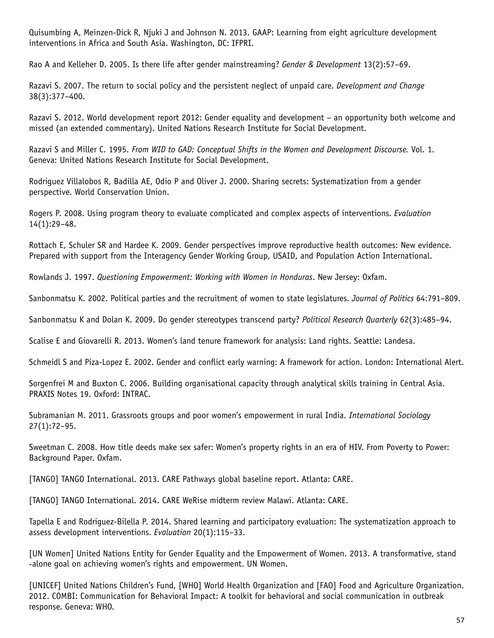Quisumbing A, Meinzen-Dick R, Njuki J and Johnson N. 2013. GAAP: Learning from eight agriculture development interventions in Africa and South Asia. Washington, DC: IFPRI.

Rao A and Kelleher D. 2005. Is there life after gender mainstreaming? *Gender & Development* 13(2):57–69.

Razavi S. 2007. The return to social policy and the persistent neglect of unpaid care. *Development and Change*  38(3):377–400.

Razavi S. 2012. World development report 2012: Gender equality and development – an opportunity both welcome and missed (an extended commentary). United Nations Research Institute for Social Development.

Razavi S and Miller C. 1995. *From WID to GAD: Conceptual Shifts in the Women and Development Discourse.* Vol. 1. Geneva: United Nations Research Institute for Social Development.

Rodriguez Villalobos R, Badilla AE, Odio P and Oliver J. 2000. Sharing secrets: Systematization from a gender perspective. World Conservation Union.

Rogers P. 2008. Using program theory to evaluate complicated and complex aspects of interventions. *Evaluation*  14(1):29–48.

Rottach E, Schuler SR and Hardee K. 2009. Gender perspectives improve reproductive health outcomes: New evidence. Prepared with support from the Interagency Gender Working Group, USAID, and Population Action International.

Rowlands J. 1997. *Questioning Empowerment: Working with Women in Honduras*. New Jersey: Oxfam.

Sanbonmatsu K. 2002. Political parties and the recruitment of women to state legislatures. *Journal of Politics* 64:791–809.

Sanbonmatsu K and Dolan K. 2009. Do gender stereotypes transcend party? *Political Research Quarterly* 62(3):485–94.

Scalise E and Giovarelli R. 2013. Women's land tenure framework for analysis: Land rights. Seattle: Landesa.

Schmeidl S and Piza-Lopez E. 2002. Gender and conflict early warning: A framework for action. London: International Alert.

Sorgenfrei M and Buxton C. 2006. Building organisational capacity through analytical skills training in Central Asia. PRAXIS Notes 19. Oxford: INTRAC.

Subramanian M. 2011. Grassroots groups and poor women's empowerment in rural India. *International Sociology*  27(1):72–95.

Sweetman C. 2008. How title deeds make sex safer: Women's property rights in an era of HIV. From Poverty to Power: Background Paper. Oxfam.

[TANGO] TANGO International. 2013. CARE Pathways global baseline report. Atlanta: CARE.

[TANGO] TANGO International. 2014. CARE WeRise midterm review Malawi. Atlanta: CARE.

Tapella E and Rodriguez-Bilella P. 2014. Shared learning and participatory evaluation: The systematization approach to assess development interventions. *Evaluation* 20(1):115–33.

[UN Women] United Nations Entity for Gender Equality and the Empowerment of Women. 2013. A transformative, stand -alone goal on achieving women's rights and empowerment. UN Women.

[UNICEF] United Nations Children's Fund, [WHO] World Health Organization and [FAO] Food and Agriculture Organization. 2012. COMBI: Communication for Behavioral Impact: A toolkit for behavioral and social communication in outbreak response. Geneva: WHO.